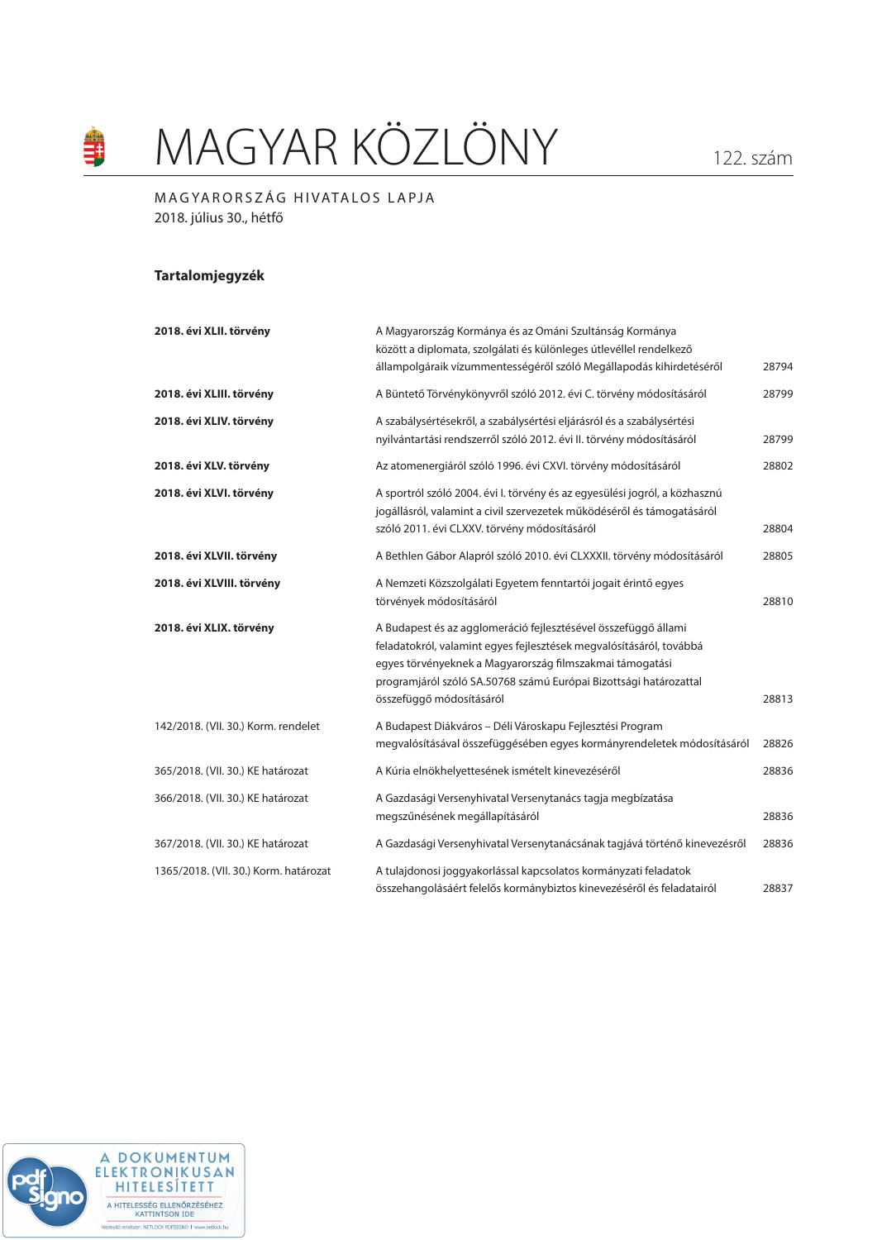# MAGYAR KÖZLÖNY 122. szám

## MAGYARORSZÁG HIVATALOS LAPJA 2018. július 30., hétfő

## **Tartalomjegyzék**

銉

| 2018. évi XLII. törvény               | A Magyarország Kormánya és az Ománi Szultánság Kormánya<br>között a diplomata, szolgálati és különleges útlevéllel rendelkező<br>állampolgáraik vízummentességéről szóló Megállapodás kihirdetéséről                                                                                               | 28794 |
|---------------------------------------|----------------------------------------------------------------------------------------------------------------------------------------------------------------------------------------------------------------------------------------------------------------------------------------------------|-------|
| 2018. évi XLIII. törvény              | A Büntető Törvénykönyvről szóló 2012. évi C. törvény módosításáról                                                                                                                                                                                                                                 | 28799 |
| 2018. évi XLIV. törvény               | A szabálysértésekről, a szabálysértési eljárásról és a szabálysértési<br>nyilvántartási rendszerről szóló 2012. évi II. törvény módosításáról                                                                                                                                                      | 28799 |
| 2018. évi XLV. törvény                | Az atomenergiáról szóló 1996. évi CXVI. törvény módosításáról                                                                                                                                                                                                                                      | 28802 |
| 2018. évi XLVI. törvény               | A sportról szóló 2004. évi I. törvény és az egyesülési jogról, a közhasznú<br>jogállásról, valamint a civil szervezetek működéséről és támogatásáról<br>szóló 2011. évi CLXXV. törvény módosításáról                                                                                               | 28804 |
| 2018. évi XLVII. törvény              | A Bethlen Gábor Alapról szóló 2010. évi CLXXXII. törvény módosításáról                                                                                                                                                                                                                             | 28805 |
| 2018. évi XLVIII. törvény             | A Nemzeti Közszolgálati Egyetem fenntartói jogait érintő egyes<br>törvények módosításáról                                                                                                                                                                                                          | 28810 |
| 2018. évi XLIX. törvény               | A Budapest és az agglomeráció fejlesztésével összefüggő állami<br>feladatokról, valamint egyes fejlesztések megvalósításáról, továbbá<br>egyes törvényeknek a Magyarország filmszakmai támogatási<br>programjáról szóló SA.50768 számú Európai Bizottsági határozattal<br>összefüggő módosításáról | 28813 |
| 142/2018. (VII. 30.) Korm. rendelet   | A Budapest Diákváros – Déli Városkapu Fejlesztési Program<br>megvalósításával összefüggésében egyes kormányrendeletek módosításáról                                                                                                                                                                | 28826 |
| 365/2018. (VII. 30.) KE határozat     | A Kúria elnökhelyettesének ismételt kinevezéséről                                                                                                                                                                                                                                                  | 28836 |
| 366/2018. (VII. 30.) KE határozat     | A Gazdasági Versenyhivatal Versenytanács tagja megbízatása<br>megszűnésének megállapításáról                                                                                                                                                                                                       | 28836 |
| 367/2018. (VII. 30.) KE határozat     | A Gazdasági Versenyhivatal Versenytanácsának tagjává történő kinevezésről                                                                                                                                                                                                                          | 28836 |
| 1365/2018. (VII. 30.) Korm. határozat | A tulajdonosi joggyakorlással kapcsolatos kormányzati feladatok<br>összehangolásáért felelős kormánybiztos kinevezéséről és feladatairól                                                                                                                                                           | 28837 |

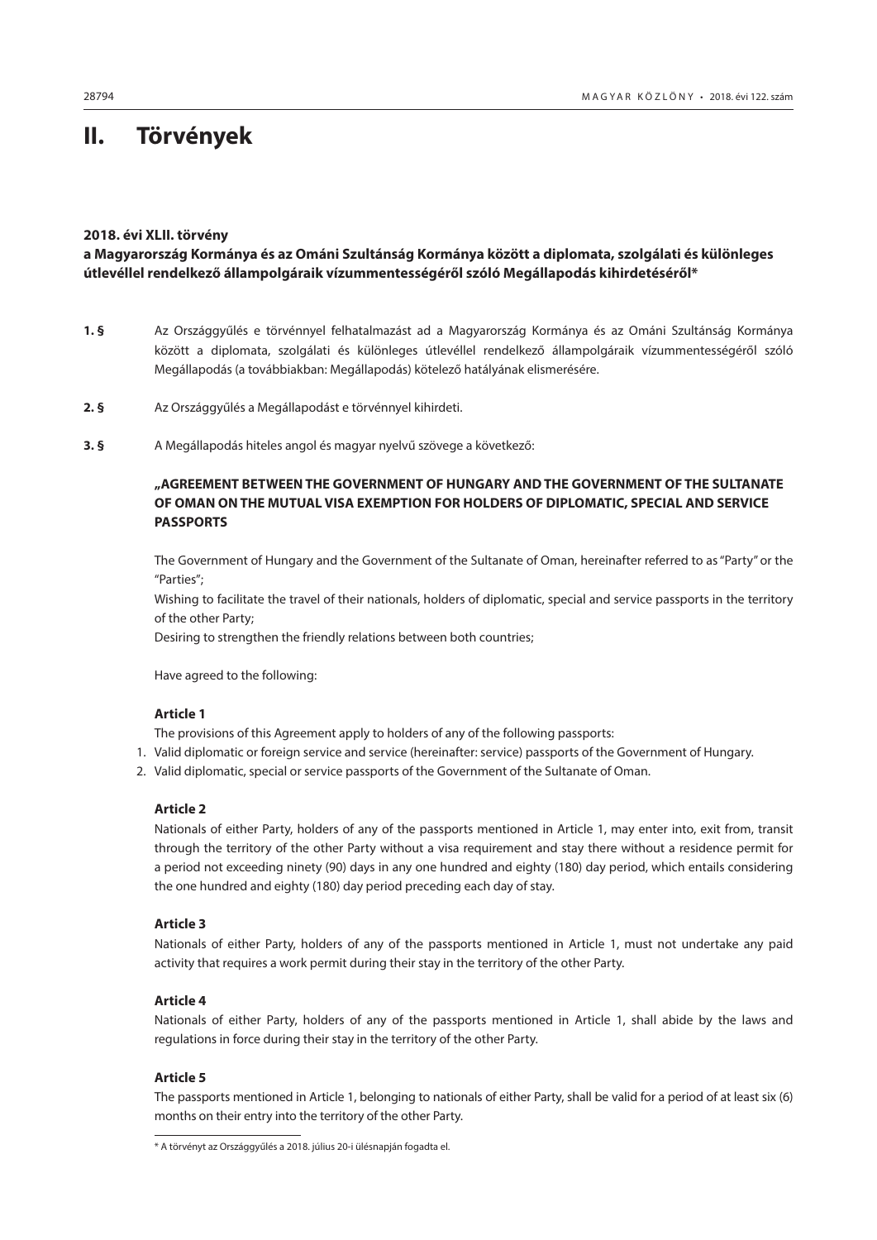# <span id="page-1-0"></span>**II. Törvények**

## **2018. évi XLII. törvény**

## **a Magyarország Kormánya és az Ománi Szultánság Kormánya között a diplomata, szolgálati és különleges útlevéllel rendelkező állampolgáraik vízummentességéről szóló Megállapodás kihirdetéséről\***

- **1. §** Az Országgyűlés e törvénnyel felhatalmazást ad a Magyarország Kormánya és az Ománi Szultánság Kormánya között a diplomata, szolgálati és különleges útlevéllel rendelkező állampolgáraik vízummentességéről szóló Megállapodás (a továbbiakban: Megállapodás) kötelező hatályának elismerésére.
- **2. §** Az Országgyűlés a Megállapodást e törvénnyel kihirdeti.
- **3. §** A Megállapodás hiteles angol és magyar nyelvű szövege a következő:

## **"AGREEMENT BETWEEN THE GOVERNMENT OF HUNGARY AND THE GOVERNMENT OF THE SULTANATE OF OMAN ON THE MUTUAL VISA EXEMPTION FOR HOLDERS OF DIPLOMATIC, SPECIAL AND SERVICE PASSPORTS**

The Government of Hungary and the Government of the Sultanate of Oman, hereinafter referred to as "Party" or the "Parties";

Wishing to facilitate the travel of their nationals, holders of diplomatic, special and service passports in the territory of the other Party;

Desiring to strengthen the friendly relations between both countries;

Have agreed to the following:

## **Article 1**

The provisions of this Agreement apply to holders of any of the following passports:

- 1. Valid diplomatic or foreign service and service (hereinafter: service) passports of the Government of Hungary.
- 2. Valid diplomatic, special or service passports of the Government of the Sultanate of Oman.

## **Article 2**

Nationals of either Party, holders of any of the passports mentioned in Article 1, may enter into, exit from, transit through the territory of the other Party without a visa requirement and stay there without a residence permit for a period not exceeding ninety (90) days in any one hundred and eighty (180) day period, which entails considering the one hundred and eighty (180) day period preceding each day of stay.

## **Article 3**

Nationals of either Party, holders of any of the passports mentioned in Article 1, must not undertake any paid activity that requires a work permit during their stay in the territory of the other Party.

## **Article 4**

Nationals of either Party, holders of any of the passports mentioned in Article 1, shall abide by the laws and regulations in force during their stay in the territory of the other Party.

#### **Article 5**

The passports mentioned in Article 1, belonging to nationals of either Party, shall be valid for a period of at least six (6) months on their entry into the territory of the other Party.

<sup>\*</sup> A törvényt az Országgyűlés a 2018. július 20-i ülésnapján fogadta el.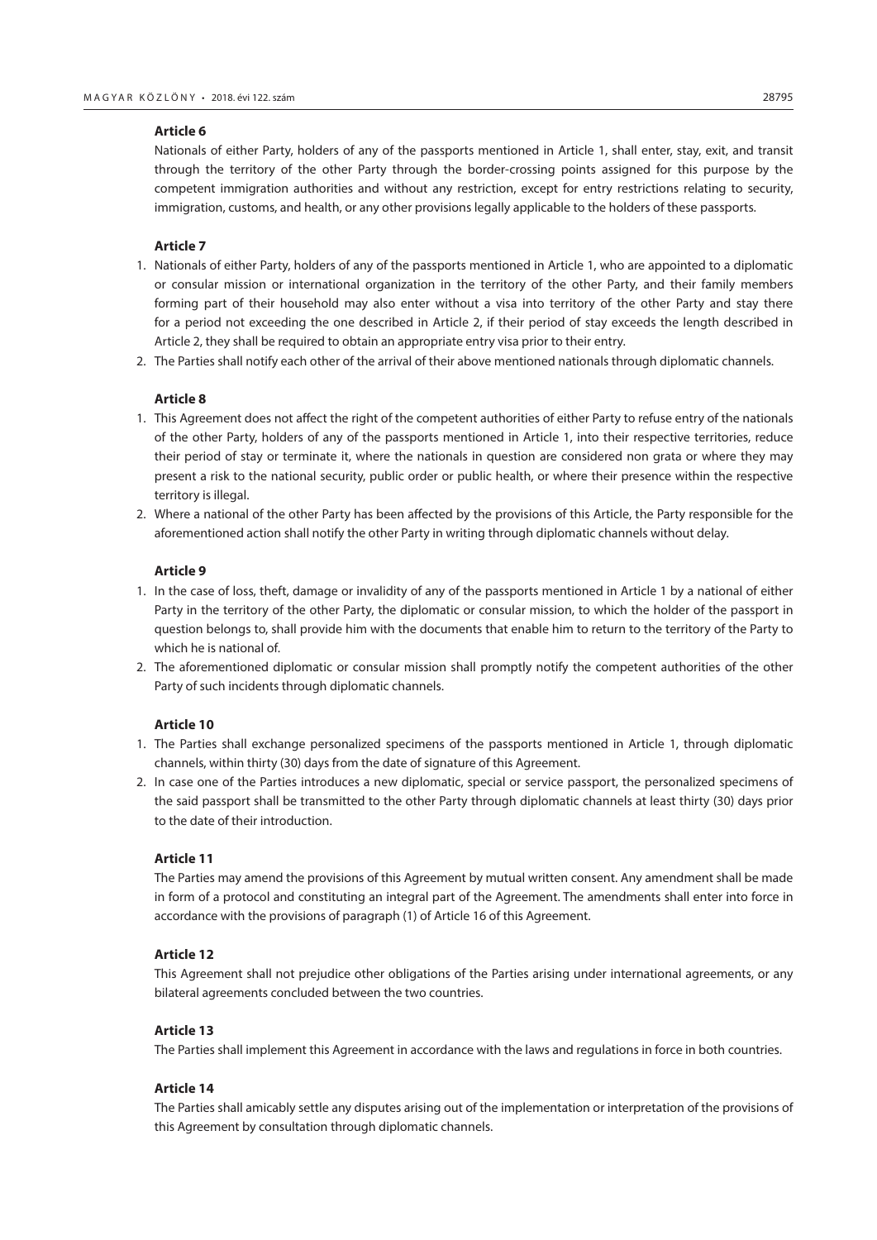#### **Article 6**

Nationals of either Party, holders of any of the passports mentioned in Article 1, shall enter, stay, exit, and transit through the territory of the other Party through the border-crossing points assigned for this purpose by the competent immigration authorities and without any restriction, except for entry restrictions relating to security, immigration, customs, and health, or any other provisions legally applicable to the holders of these passports.

#### **Article 7**

- 1. Nationals of either Party, holders of any of the passports mentioned in Article 1, who are appointed to a diplomatic or consular mission or international organization in the territory of the other Party, and their family members forming part of their household may also enter without a visa into territory of the other Party and stay there for a period not exceeding the one described in Article 2, if their period of stay exceeds the length described in Article 2, they shall be required to obtain an appropriate entry visa prior to their entry.
- 2. The Parties shall notify each other of the arrival of their above mentioned nationals through diplomatic channels.

#### **Article 8**

- 1. This Agreement does not affect the right of the competent authorities of either Party to refuse entry of the nationals of the other Party, holders of any of the passports mentioned in Article 1, into their respective territories, reduce their period of stay or terminate it, where the nationals in question are considered non grata or where they may present a risk to the national security, public order or public health, or where their presence within the respective territory is illegal.
- 2. Where a national of the other Party has been affected by the provisions of this Article, the Party responsible for the aforementioned action shall notify the other Party in writing through diplomatic channels without delay.

## **Article 9**

- 1. In the case of loss, theft, damage or invalidity of any of the passports mentioned in Article 1 by a national of either Party in the territory of the other Party, the diplomatic or consular mission, to which the holder of the passport in question belongs to, shall provide him with the documents that enable him to return to the territory of the Party to which he is national of.
- 2. The aforementioned diplomatic or consular mission shall promptly notify the competent authorities of the other Party of such incidents through diplomatic channels.

#### **Article 10**

- 1. The Parties shall exchange personalized specimens of the passports mentioned in Article 1, through diplomatic channels, within thirty (30) days from the date of signature of this Agreement.
- 2. In case one of the Parties introduces a new diplomatic, special or service passport, the personalized specimens of the said passport shall be transmitted to the other Party through diplomatic channels at least thirty (30) days prior to the date of their introduction.

#### **Article 11**

The Parties may amend the provisions of this Agreement by mutual written consent. Any amendment shall be made in form of a protocol and constituting an integral part of the Agreement. The amendments shall enter into force in accordance with the provisions of paragraph (1) of Article 16 of this Agreement.

#### **Article 12**

This Agreement shall not prejudice other obligations of the Parties arising under international agreements, or any bilateral agreements concluded between the two countries.

#### **Article 13**

The Parties shall implement this Agreement in accordance with the laws and regulations in force in both countries.

#### **Article 14**

The Parties shall amicably settle any disputes arising out of the implementation or interpretation of the provisions of this Agreement by consultation through diplomatic channels.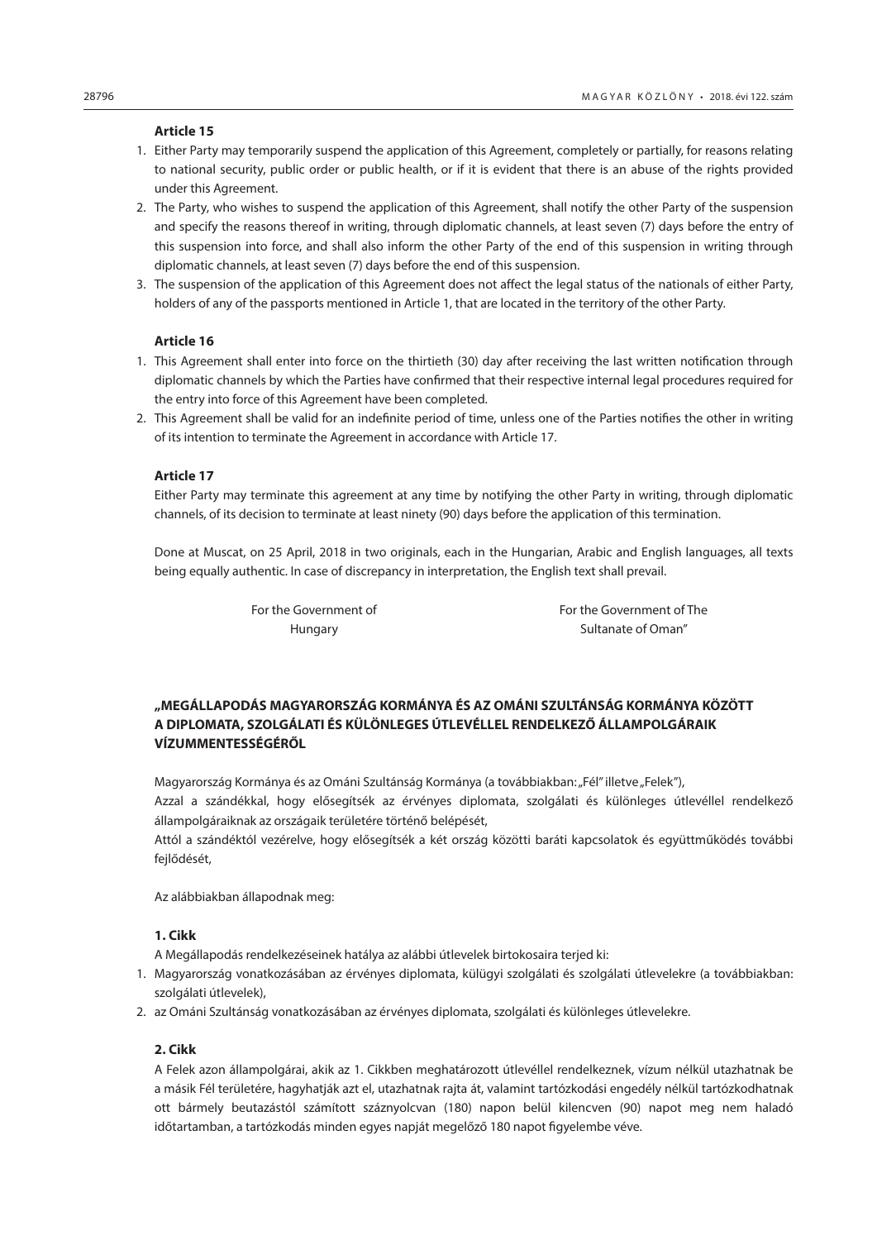#### **Article 15**

- 1. Either Party may temporarily suspend the application of this Agreement, completely or partially, for reasons relating to national security, public order or public health, or if it is evident that there is an abuse of the rights provided under this Agreement.
- 2. The Party, who wishes to suspend the application of this Agreement, shall notify the other Party of the suspension and specify the reasons thereof in writing, through diplomatic channels, at least seven (7) days before the entry of this suspension into force, and shall also inform the other Party of the end of this suspension in writing through diplomatic channels, at least seven (7) days before the end of this suspension.
- 3. The suspension of the application of this Agreement does not affect the legal status of the nationals of either Party, holders of any of the passports mentioned in Article 1, that are located in the territory of the other Party.

#### **Article 16**

- 1. This Agreement shall enter into force on the thirtieth (30) day after receiving the last written notification through diplomatic channels by which the Parties have confirmed that their respective internal legal procedures required for the entry into force of this Agreement have been completed.
- 2. This Agreement shall be valid for an indefinite period of time, unless one of the Parties notifies the other in writing of its intention to terminate the Agreement in accordance with Article 17.

## **Article 17**

Either Party may terminate this agreement at any time by notifying the other Party in writing, through diplomatic channels, of its decision to terminate at least ninety (90) days before the application of this termination.

Done at Muscat, on 25 April, 2018 in two originals, each in the Hungarian, Arabic and English languages, all texts being equally authentic. In case of discrepancy in interpretation, the English text shall prevail.

For the Government of For the Government of The Hungary **Sultanate of Oman**"

## **"MEGÁLLAPODÁS MAGYARORSZÁG KORMÁNYA ÉS AZ OMÁNI SZULTÁNSÁG KORMÁNYA KÖZÖTT A DIPLOMATA, SZOLGÁLATI ÉS KÜLÖNLEGES ÚTLEVÉLLEL RENDELKEZŐ ÁLLAMPOLGÁRAIK VÍZUMMENTESSÉGÉRŐL**

Magyarország Kormánya és az Ománi Szultánság Kormánya (a továbbiakban: "Fél" illetve "Felek"), Azzal a szándékkal, hogy elősegítsék az érvényes diplomata, szolgálati és különleges útlevéllel rendelkező állampolgáraiknak az országaik területére történő belépését,

Attól a szándéktól vezérelve, hogy elősegítsék a két ország közötti baráti kapcsolatok és együttműködés további fejlődését,

Az alábbiakban állapodnak meg:

## **1. Cikk**

A Megállapodás rendelkezéseinek hatálya az alábbi útlevelek birtokosaira terjed ki:

- 1. Magyarország vonatkozásában az érvényes diplomata, külügyi szolgálati és szolgálati útlevelekre (a továbbiakban: szolgálati útlevelek),
- 2. az Ománi Szultánság vonatkozásában az érvényes diplomata, szolgálati és különleges útlevelekre.

#### **2. Cikk**

A Felek azon állampolgárai, akik az 1. Cikkben meghatározott útlevéllel rendelkeznek, vízum nélkül utazhatnak be a másik Fél területére, hagyhatják azt el, utazhatnak rajta át, valamint tartózkodási engedély nélkül tartózkodhatnak ott bármely beutazástól számított száznyolcvan (180) napon belül kilencven (90) napot meg nem haladó időtartamban, a tartózkodás minden egyes napját megelőző 180 napot figyelembe véve.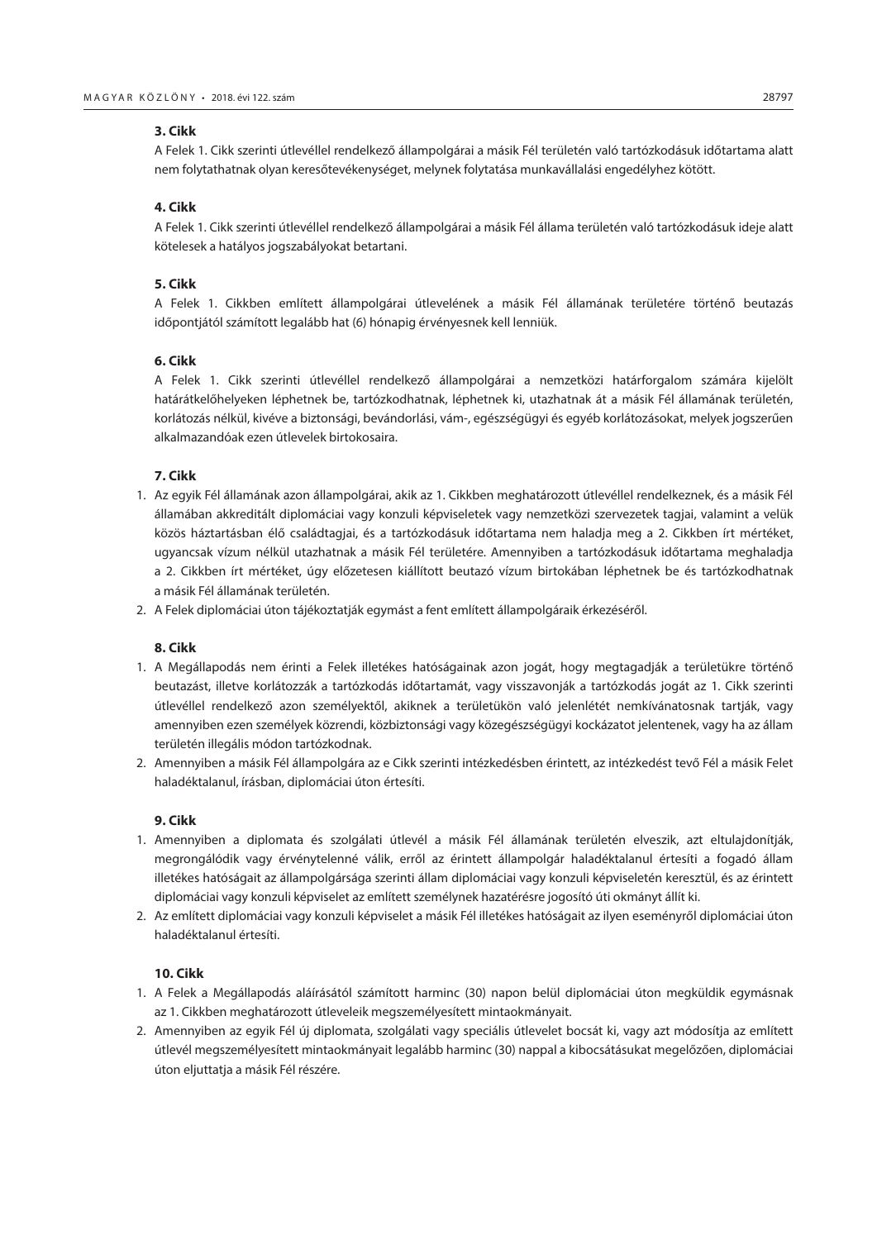#### **3. Cikk**

A Felek 1. Cikk szerinti útlevéllel rendelkező állampolgárai a másik Fél területén való tartózkodásuk időtartama alatt nem folytathatnak olyan keresőtevékenységet, melynek folytatása munkavállalási engedélyhez kötött.

## **4. Cikk**

A Felek 1. Cikk szerinti útlevéllel rendelkező állampolgárai a másik Fél állama területén való tartózkodásuk ideje alatt kötelesek a hatályos jogszabályokat betartani.

## **5. Cikk**

A Felek 1. Cikkben említett állampolgárai útlevelének a másik Fél államának területére történő beutazás időpontjától számított legalább hat (6) hónapig érvényesnek kell lenniük.

## **6. Cikk**

A Felek 1. Cikk szerinti útlevéllel rendelkező állampolgárai a nemzetközi határforgalom számára kijelölt határátkelőhelyeken léphetnek be, tartózkodhatnak, léphetnek ki, utazhatnak át a másik Fél államának területén, korlátozás nélkül, kivéve a biztonsági, bevándorlási, vám-, egészségügyi és egyéb korlátozásokat, melyek jogszerűen alkalmazandóak ezen útlevelek birtokosaira.

## **7. Cikk**

- 1. Az egyik Fél államának azon állampolgárai, akik az 1. Cikkben meghatározott útlevéllel rendelkeznek, és a másik Fél államában akkreditált diplomáciai vagy konzuli képviseletek vagy nemzetközi szervezetek tagjai, valamint a velük közös háztartásban élő családtagjai, és a tartózkodásuk időtartama nem haladja meg a 2. Cikkben írt mértéket, ugyancsak vízum nélkül utazhatnak a másik Fél területére. Amennyiben a tartózkodásuk időtartama meghaladja a 2. Cikkben írt mértéket, úgy előzetesen kiállított beutazó vízum birtokában léphetnek be és tartózkodhatnak a másik Fél államának területén.
- 2. A Felek diplomáciai úton tájékoztatják egymást a fent említett állampolgáraik érkezéséről.

#### **8. Cikk**

- 1. A Megállapodás nem érinti a Felek illetékes hatóságainak azon jogát, hogy megtagadják a területükre történő beutazást, illetve korlátozzák a tartózkodás időtartamát, vagy visszavonják a tartózkodás jogát az 1. Cikk szerinti útlevéllel rendelkező azon személyektől, akiknek a területükön való jelenlétét nemkívánatosnak tartják, vagy amennyiben ezen személyek közrendi, közbiztonsági vagy közegészségügyi kockázatot jelentenek, vagy ha az állam területén illegális módon tartózkodnak.
- 2. Amennyiben a másik Fél állampolgára az e Cikk szerinti intézkedésben érintett, az intézkedést tevő Fél a másik Felet haladéktalanul, írásban, diplomáciai úton értesíti.

## **9. Cikk**

- 1. Amennyiben a diplomata és szolgálati útlevél a másik Fél államának területén elveszik, azt eltulajdonítják, megrongálódik vagy érvénytelenné válik, erről az érintett állampolgár haladéktalanul értesíti a fogadó állam illetékes hatóságait az állampolgársága szerinti állam diplomáciai vagy konzuli képviseletén keresztül, és az érintett diplomáciai vagy konzuli képviselet az említett személynek hazatérésre jogosító úti okmányt állít ki.
- 2. Az említett diplomáciai vagy konzuli képviselet a másik Fél illetékes hatóságait az ilyen eseményről diplomáciai úton haladéktalanul értesíti.

## **10. Cikk**

- 1. A Felek a Megállapodás aláírásától számított harminc (30) napon belül diplomáciai úton megküldik egymásnak az 1. Cikkben meghatározott útleveleik megszemélyesített mintaokmányait.
- 2. Amennyiben az egyik Fél új diplomata, szolgálati vagy speciális útlevelet bocsát ki, vagy azt módosítja az említett útlevél megszemélyesített mintaokmányait legalább harminc (30) nappal a kibocsátásukat megelőzően, diplomáciai úton eljuttatja a másik Fél részére.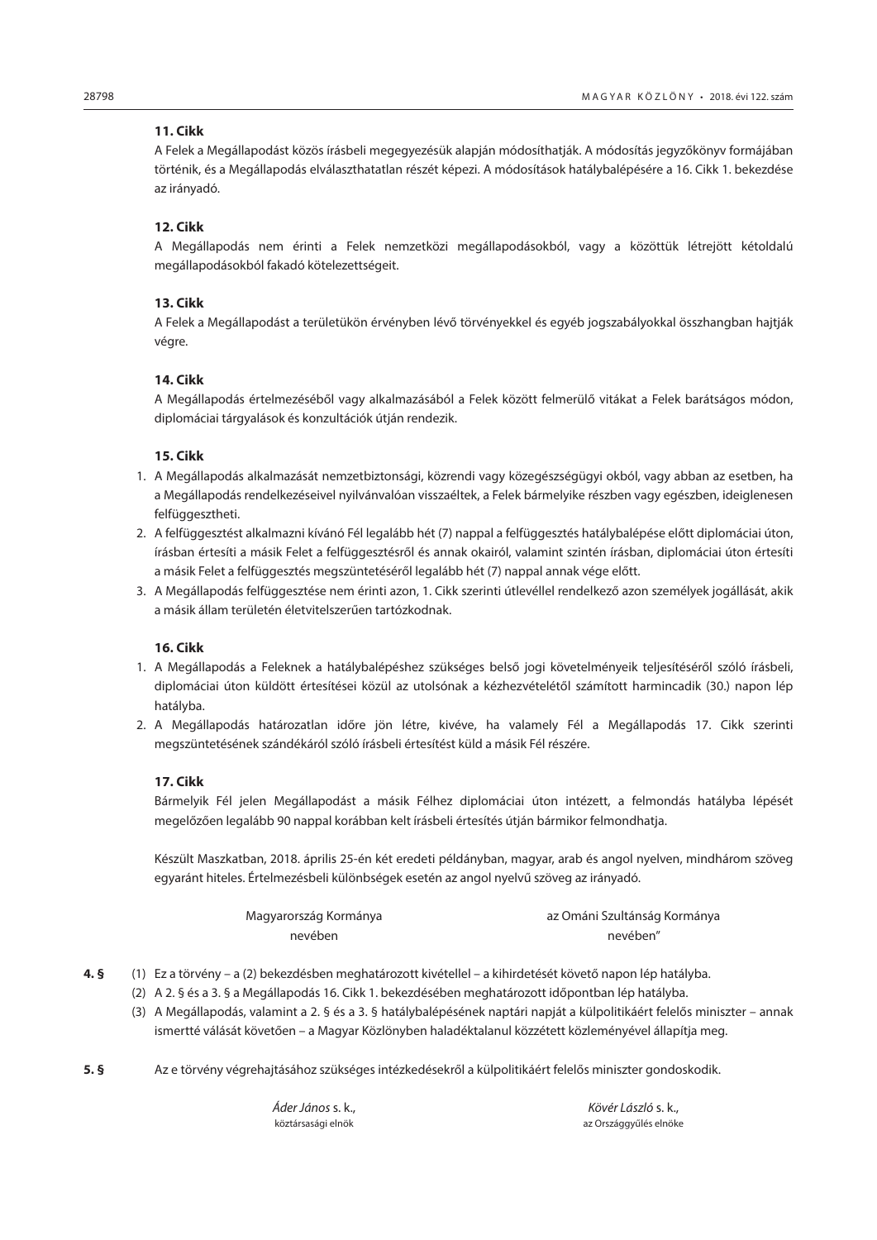## **11. Cikk**

A Felek a Megállapodást közös írásbeli megegyezésük alapján módosíthatják. A módosítás jegyzőkönyv formájában történik, és a Megállapodás elválaszthatatlan részét képezi. A módosítások hatálybalépésére a 16. Cikk 1. bekezdése az irányadó.

## **12. Cikk**

A Megállapodás nem érinti a Felek nemzetközi megállapodásokból, vagy a közöttük létrejött kétoldalú megállapodásokból fakadó kötelezettségeit.

## **13. Cikk**

A Felek a Megállapodást a területükön érvényben lévő törvényekkel és egyéb jogszabályokkal összhangban hajtják végre.

## **14. Cikk**

A Megállapodás értelmezéséből vagy alkalmazásából a Felek között felmerülő vitákat a Felek barátságos módon, diplomáciai tárgyalások és konzultációk útján rendezik.

## **15. Cikk**

- 1. A Megállapodás alkalmazását nemzetbiztonsági, közrendi vagy közegészségügyi okból, vagy abban az esetben, ha a Megállapodás rendelkezéseivel nyilvánvalóan visszaéltek, a Felek bármelyike részben vagy egészben, ideiglenesen felfüggesztheti.
- 2. A felfüggesztést alkalmazni kívánó Fél legalább hét (7) nappal a felfüggesztés hatálybalépése előtt diplomáciai úton, írásban értesíti a másik Felet a felfüggesztésről és annak okairól, valamint szintén írásban, diplomáciai úton értesíti a másik Felet a felfüggesztés megszüntetéséről legalább hét (7) nappal annak vége előtt.
- 3. A Megállapodás felfüggesztése nem érinti azon, 1. Cikk szerinti útlevéllel rendelkező azon személyek jogállását, akik a másik állam területén életvitelszerűen tartózkodnak.

## **16. Cikk**

- 1. A Megállapodás a Feleknek a hatálybalépéshez szükséges belső jogi követelményeik teljesítéséről szóló írásbeli, diplomáciai úton küldött értesítései közül az utolsónak a kézhezvételétől számított harmincadik (30.) napon lép hatályba.
- 2. A Megállapodás határozatlan időre jön létre, kivéve, ha valamely Fél a Megállapodás 17. Cikk szerinti megszüntetésének szándékáról szóló írásbeli értesítést küld a másik Fél részére.

#### **17. Cikk**

Bármelyik Fél jelen Megállapodást a másik Félhez diplomáciai úton intézett, a felmondás hatályba lépését megelőzően legalább 90 nappal korábban kelt írásbeli értesítés útján bármikor felmondhatja.

Készült Maszkatban, 2018. április 25-én két eredeti példányban, magyar, arab és angol nyelven, mindhárom szöveg egyaránt hiteles. Értelmezésbeli különbségek esetén az angol nyelvű szöveg az irányadó.

| Magyarország Kormánya | az Ománi Szultánság Kormánya |
|-----------------------|------------------------------|
| nevében               | nevében"                     |

- **4. §** (1) Ez a törvény a (2) bekezdésben meghatározott kivétellel a kihirdetését követő napon lép hatályba.
	- (2) A 2. § és a 3. § a Megállapodás 16. Cikk 1. bekezdésében meghatározott időpontban lép hatályba.
	- (3) A Megállapodás, valamint a 2. § és a 3. § hatálybalépésének naptári napját a külpolitikáért felelős miniszter annak ismertté válását követően – a Magyar Közlönyben haladéktalanul közzétett közleményével állapítja meg.
- **5. §** Az e törvény végrehajtásához szükséges intézkedésekről a külpolitikáért felelős miniszter gondoskodik.

*Áder János* s. k., *Kövér László* s. k.,

köztársasági elnök az Országgyűlés elnöke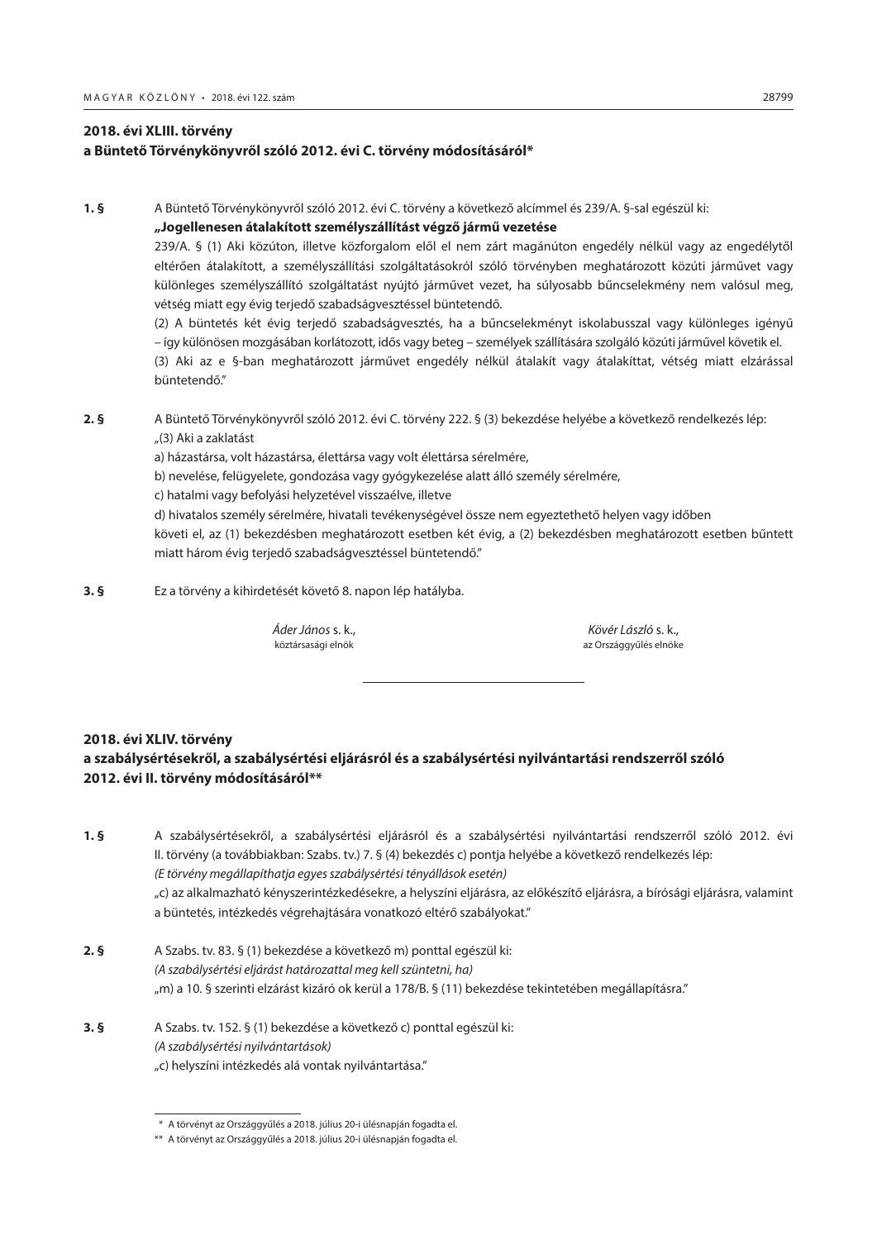## <span id="page-6-0"></span>**2018. évi XLIII. törvény a Büntető Törvénykönyvről szóló 2012. évi C. törvény módosításáról\***

**1. §** A Büntető Törvénykönyvről szóló 2012. évi C. törvény a következő alcímmel és 239/A. §-sal egészül ki: **"Jogellenesen átalakított személyszállítást végző jármű vezetése**

239/A. § (1) Aki közúton, illetve közforgalom elől el nem zárt magánúton engedély nélkül vagy az engedélytől eltérően átalakított, a személyszállítási szolgáltatásokról szóló törvényben meghatározott közúti járművet vagy különleges személyszállító szolgáltatást nyújtó járművet vezet, ha súlyosabb bűncselekmény nem valósul meg, vétség miatt egy évig terjedő szabadságvesztéssel büntetendő.

(2) A büntetés két évig terjedő szabadságvesztés, ha a bűncselekményt iskolabusszal vagy különleges igényű – így különösen mozgásában korlátozott, idős vagy beteg – személyek szállítására szolgáló közúti járművel követik el. (3) Aki az e §-ban meghatározott járművet engedély nélkül átalakít vagy átalakíttat, vétség miatt elzárással büntetendő."

**2. §** A Büntető Törvénykönyvről szóló 2012. évi C. törvény 222. § (3) bekezdése helyébe a következő rendelkezés lép: "(3) Aki a zaklatást

a) házastársa, volt házastársa, élettársa vagy volt élettársa sérelmére,

b) nevelése, felügyelete, gondozása vagy gyógykezelése alatt álló személy sérelmére,

c) hatalmi vagy befolyási helyzetével visszaélve, illetve

d) hivatalos személy sérelmére, hivatali tevékenységével össze nem egyeztethető helyen vagy időben

követi el, az (1) bekezdésben meghatározott esetben két évig, a (2) bekezdésben meghatározott esetben bűntett miatt három évig terjedő szabadságvesztéssel büntetendő."

**3. §** Ez a törvény a kihirdetését követő 8. napon lép hatályba.

*Áder János* s. k., *Kövér László* s. k., köztársasági elnök az Országgyűlés elnökeztése az Országgyűlés elnökez

## **2018. évi XLIV. törvény**

## **a szabálysértésekről, a szabálysértési eljárásról és a szabálysértési nyilvántartási rendszerről szóló 2012. évi II. törvény módosításáról\*\***

- **1. §** A szabálysértésekről, a szabálysértési eljárásról és a szabálysértési nyilvántartási rendszerről szóló 2012. évi II. törvény (a továbbiakban: Szabs. tv.) 7. § (4) bekezdés c) pontja helyébe a következő rendelkezés lép: *(E törvény megállapíthatja egyes szabálysértési tényállások esetén)* "c) az alkalmazható kényszerintézkedésekre, a helyszíni eljárásra, az előkészítő eljárásra, a bírósági eljárásra, valamint a büntetés, intézkedés végrehajtására vonatkozó eltérő szabályokat."
- **2. §** A Szabs. tv. 83. § (1) bekezdése a következő m) ponttal egészül ki: *(A szabálysértési eljárást határozattal meg kell szüntetni, ha)* "m) a 10. § szerinti elzárást kizáró ok kerül a 178/B. § (11) bekezdése tekintetében megállapításra."
- **3. §** A Szabs. tv. 152. § (1) bekezdése a következő c) ponttal egészül ki: *(A szabálysértési nyilvántartások)* "c) helyszíni intézkedés alá vontak nyilvántartása."

 <sup>\*</sup> A törvényt az Országgyűlés a 2018. július 20-i ülésnapján fogadta el.

<sup>\*\*</sup> A törvényt az Országgyűlés a 2018. július 20-i ülésnapján fogadta el.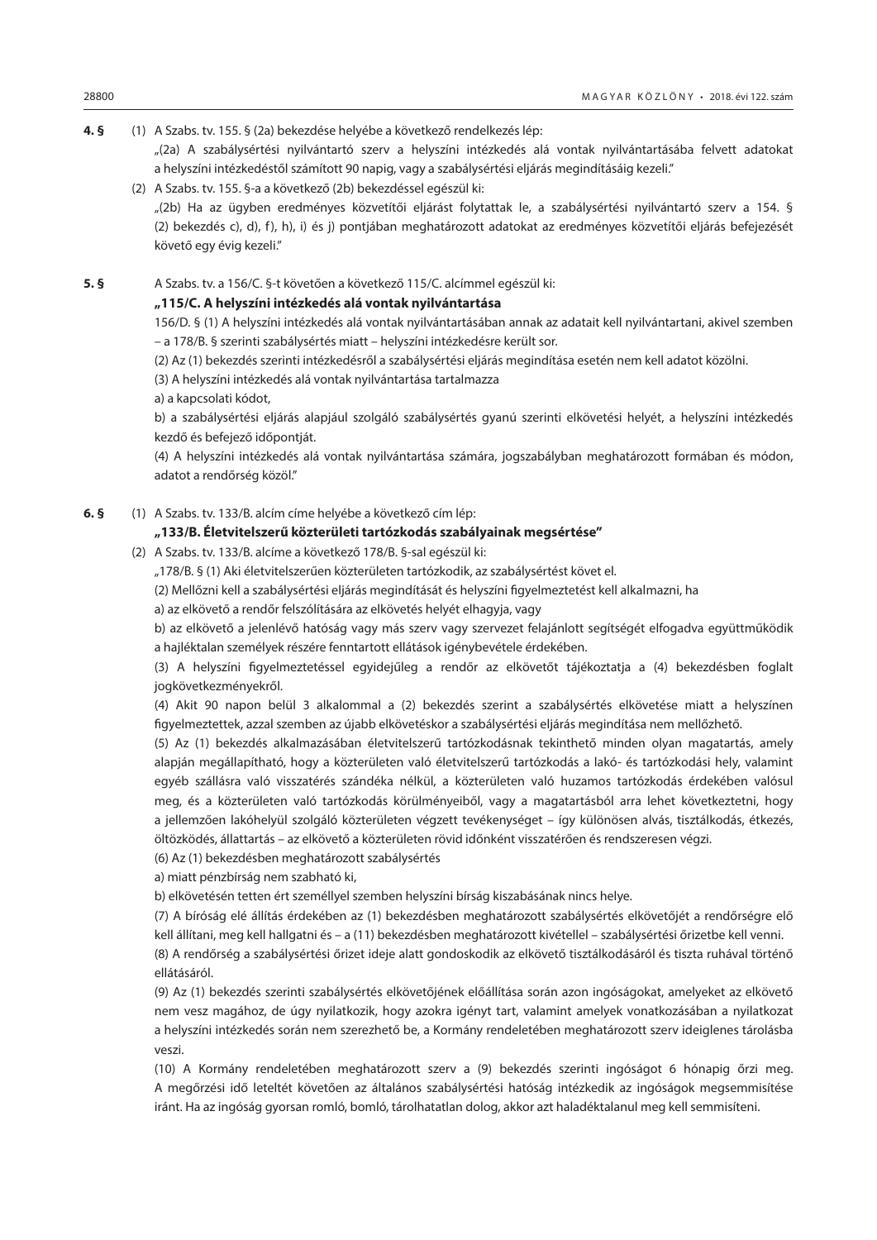**4. §** (1) A Szabs. tv. 155. § (2a) bekezdése helyébe a következő rendelkezés lép: "(2a) A szabálysértési nyilvántartó szerv a helyszíni intézkedés alá vontak nyilvántartásába felvett adatokat a helyszíni intézkedéstől számított 90 napig, vagy a szabálysértési eljárás megindításáig kezeli."

(2) A Szabs. tv. 155. §-a a következő (2b) bekezdéssel egészül ki:

"(2b) Ha az ügyben eredményes közvetítői eljárást folytattak le, a szabálysértési nyilvántartó szerv a 154. § (2) bekezdés c), d), f), h), i) és j) pontjában meghatározott adatokat az eredményes közvetítői eljárás befejezését követő egy évig kezeli."

**5. §** A Szabs. tv. a 156/C. §-t követően a következő 115/C. alcímmel egészül ki:

## **"115/C. A helyszíni intézkedés alá vontak nyilvántartása**

156/D. § (1) A helyszíni intézkedés alá vontak nyilvántartásában annak az adatait kell nyilvántartani, akivel szemben – a 178/B. § szerinti szabálysértés miatt – helyszíni intézkedésre került sor.

(2) Az (1) bekezdés szerinti intézkedésről a szabálysértési eljárás megindítása esetén nem kell adatot közölni.

(3) A helyszíni intézkedés alá vontak nyilvántartása tartalmazza

a) a kapcsolati kódot,

b) a szabálysértési eljárás alapjául szolgáló szabálysértés gyanú szerinti elkövetési helyét, a helyszíni intézkedés kezdő és befejező időpontját.

(4) A helyszíni intézkedés alá vontak nyilvántartása számára, jogszabályban meghatározott formában és módon, adatot a rendőrség közöl."

**6. §** (1) A Szabs. tv. 133/B. alcím címe helyébe a következő cím lép:

## **"133/B. Életvitelszerű közterületi tartózkodás szabályainak megsértése"**

- (2) A Szabs. tv. 133/B. alcíme a következő 178/B. §-sal egészül ki:
	- "178/B. § (1) Aki életvitelszerűen közterületen tartózkodik, az szabálysértést követ el.
	- (2) Mellőzni kell a szabálysértési eljárás megindítását és helyszíni figyelmeztetést kell alkalmazni, ha

a) az elkövető a rendőr felszólítására az elkövetés helyét elhagyja, vagy

b) az elkövető a jelenlévő hatóság vagy más szerv vagy szervezet felajánlott segítségét elfogadva együttműködik a hajléktalan személyek részére fenntartott ellátások igénybevétele érdekében.

(3) A helyszíni figyelmeztetéssel egyidejűleg a rendőr az elkövetőt tájékoztatja a (4) bekezdésben foglalt jogkövetkezményekről.

(4) Akit 90 napon belül 3 alkalommal a (2) bekezdés szerint a szabálysértés elkövetése miatt a helyszínen figyelmeztettek, azzal szemben az újabb elkövetéskor a szabálysértési eljárás megindítása nem mellőzhető.

(5) Az (1) bekezdés alkalmazásában életvitelszerű tartózkodásnak tekinthető minden olyan magatartás, amely alapján megállapítható, hogy a közterületen való életvitelszerű tartózkodás a lakó- és tartózkodási hely, valamint egyéb szállásra való visszatérés szándéka nélkül, a közterületen való huzamos tartózkodás érdekében valósul meg, és a közterületen való tartózkodás körülményeiből, vagy a magatartásból arra lehet következtetni, hogy a jellemzően lakóhelyül szolgáló közterületen végzett tevékenységet – így különösen alvás, tisztálkodás, étkezés, öltözködés, állattartás – az elkövető a közterületen rövid időnként visszatérően és rendszeresen végzi.

(6) Az (1) bekezdésben meghatározott szabálysértés

a) miatt pénzbírság nem szabható ki,

b) elkövetésén tetten ért személlyel szemben helyszíni bírság kiszabásának nincs helye.

(7) A bíróság elé állítás érdekében az (1) bekezdésben meghatározott szabálysértés elkövetőjét a rendőrségre elő kell állítani, meg kell hallgatni és – a (11) bekezdésben meghatározott kivétellel – szabálysértési őrizetbe kell venni.

(8) A rendőrség a szabálysértési őrizet ideje alatt gondoskodik az elkövető tisztálkodásáról és tiszta ruhával történő ellátásáról.

(9) Az (1) bekezdés szerinti szabálysértés elkövetőjének előállítása során azon ingóságokat, amelyeket az elkövető nem vesz magához, de úgy nyilatkozik, hogy azokra igényt tart, valamint amelyek vonatkozásában a nyilatkozat a helyszíni intézkedés során nem szerezhető be, a Kormány rendeletében meghatározott szerv ideiglenes tárolásba veszi.

(10) A Kormány rendeletében meghatározott szerv a (9) bekezdés szerinti ingóságot 6 hónapig őrzi meg. A megőrzési idő leteltét követően az általános szabálysértési hatóság intézkedik az ingóságok megsemmisítése iránt. Ha az ingóság gyorsan romló, bomló, tárolhatatlan dolog, akkor azt haladéktalanul meg kell semmisíteni.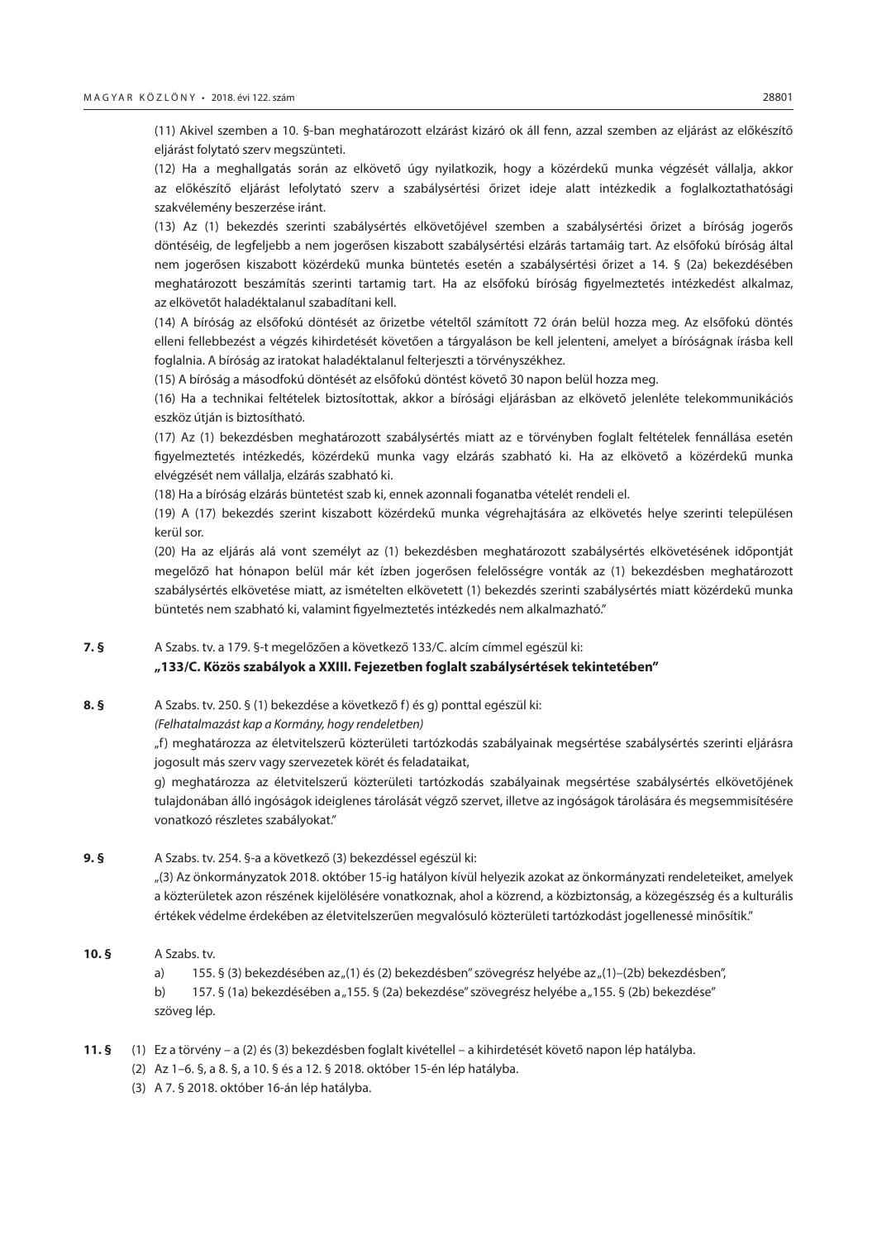(11) Akivel szemben a 10. §-ban meghatározott elzárást kizáró ok áll fenn, azzal szemben az eljárást az előkészítő eljárást folytató szerv megszünteti.

(12) Ha a meghallgatás során az elkövető úgy nyilatkozik, hogy a közérdekű munka végzését vállalja, akkor az előkészítő eljárást lefolytató szerv a szabálysértési őrizet ideje alatt intézkedik a foglalkoztathatósági szakvélemény beszerzése iránt.

(13) Az (1) bekezdés szerinti szabálysértés elkövetőjével szemben a szabálysértési őrizet a bíróság jogerős döntéséig, de legfeljebb a nem jogerősen kiszabott szabálysértési elzárás tartamáig tart. Az elsőfokú bíróság által nem jogerősen kiszabott közérdekű munka büntetés esetén a szabálysértési őrizet a 14. § (2a) bekezdésében meghatározott beszámítás szerinti tartamig tart. Ha az elsőfokú bíróság figyelmeztetés intézkedést alkalmaz, az elkövetőt haladéktalanul szabadítani kell.

(14) A bíróság az elsőfokú döntését az őrizetbe vételtől számított 72 órán belül hozza meg. Az elsőfokú döntés elleni fellebbezést a végzés kihirdetését követően a tárgyaláson be kell jelenteni, amelyet a bíróságnak írásba kell foglalnia. A bíróság az iratokat haladéktalanul felterjeszti a törvényszékhez.

(15) A bíróság a másodfokú döntését az elsőfokú döntést követő 30 napon belül hozza meg.

(16) Ha a technikai feltételek biztosítottak, akkor a bírósági eljárásban az elkövető jelenléte telekommunikációs eszköz útján is biztosítható.

(17) Az (1) bekezdésben meghatározott szabálysértés miatt az e törvényben foglalt feltételek fennállása esetén figyelmeztetés intézkedés, közérdekű munka vagy elzárás szabható ki. Ha az elkövető a közérdekű munka elvégzését nem vállalja, elzárás szabható ki.

(18) Ha a bíróság elzárás büntetést szab ki, ennek azonnali foganatba vételét rendeli el.

(19) A (17) bekezdés szerint kiszabott közérdekű munka végrehajtására az elkövetés helye szerinti településen kerül sor.

(20) Ha az eljárás alá vont személyt az (1) bekezdésben meghatározott szabálysértés elkövetésének időpontját megelőző hat hónapon belül már két ízben jogerősen felelősségre vonták az (1) bekezdésben meghatározott szabálysértés elkövetése miatt, az ismételten elkövetett (1) bekezdés szerinti szabálysértés miatt közérdekű munka büntetés nem szabható ki, valamint figyelmeztetés intézkedés nem alkalmazható."

**7. §** A Szabs. tv. a 179. §-t megelőzően a következő 133/C. alcím címmel egészül ki:

## **"133/C. Közös szabályok a XXIII. Fejezetben foglalt szabálysértések tekintetében"**

**8. §** A Szabs. tv. 250. § (1) bekezdése a következő f) és g) ponttal egészül ki:

*(Felhatalmazást kap a Kormány, hogy rendeletben)*

"f) meghatározza az életvitelszerű közterületi tartózkodás szabályainak megsértése szabálysértés szerinti eljárásra jogosult más szerv vagy szervezetek körét és feladataikat,

g) meghatározza az életvitelszerű közterületi tartózkodás szabályainak megsértése szabálysértés elkövetőjének tulajdonában álló ingóságok ideiglenes tárolását végző szervet, illetve az ingóságok tárolására és megsemmisítésére vonatkozó részletes szabályokat."

#### **9. §** A Szabs. tv. 254. §-a a következő (3) bekezdéssel egészül ki:

"(3) Az önkormányzatok 2018. október 15-ig hatályon kívül helyezik azokat az önkormányzati rendeleteiket, amelyek a közterületek azon részének kijelölésére vonatkoznak, ahol a közrend, a közbiztonság, a közegészség és a kulturális értékek védelme érdekében az életvitelszerűen megvalósuló közterületi tartózkodást jogellenessé minősítik."

**10. §** A Szabs. tv.

a) 155. § (3) bekezdésében az "(1) és (2) bekezdésben" szövegrész helyébe az "(1)–(2b) bekezdésben",

b) 157. § (1a) bekezdésében a "155. § (2a) bekezdése" szövegrész helyébe a "155. § (2b) bekezdése" szöveg lép.

- **11. §** (1) Ez a törvény a (2) és (3) bekezdésben foglalt kivétellel a kihirdetését követő napon lép hatályba.
	- (2) Az 1–6. §, a 8. §, a 10. § és a 12. § 2018. október 15-én lép hatályba.
	- (3) A 7. § 2018. október 16-án lép hatályba.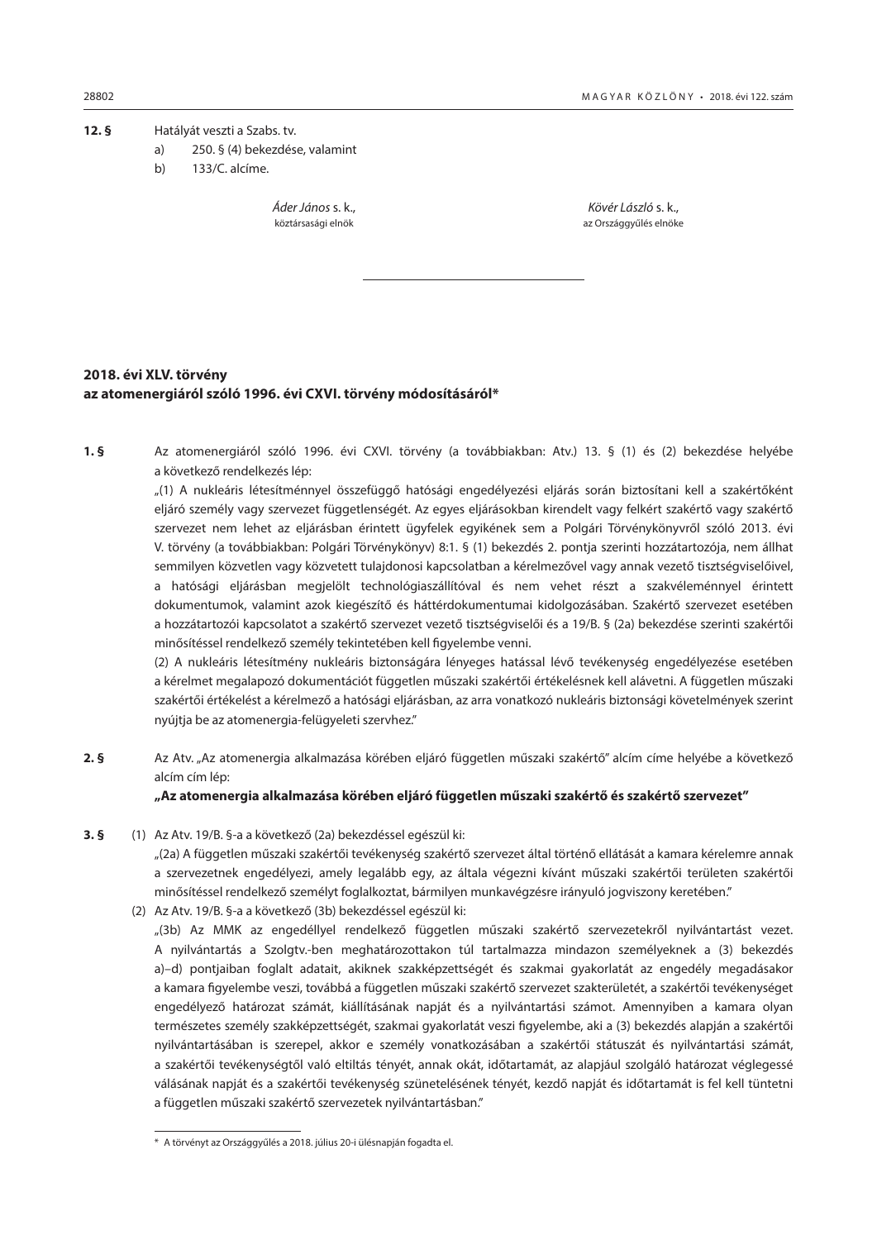<span id="page-9-0"></span>**12. §** Hatályát veszti a Szabs. tv.

- a) 250. § (4) bekezdése, valamint
- b) 133/C. alcíme.

*Áder János* s. k., *Kövér László* s. k.,

köztársasági elnök az Országgyűlés elnökezetett az Országgyűlés elnökezetett az Országgyűlés elnöke

## **2018. évi XLV. törvény az atomenergiáról szóló 1996. évi CXVI. törvény módosításáról\***

**1. §** Az atomenergiáról szóló 1996. évi CXVI. törvény (a továbbiakban: Atv.) 13. § (1) és (2) bekezdése helyébe a következő rendelkezés lép:

"(1) A nukleáris létesítménnyel összefüggő hatósági engedélyezési eljárás során biztosítani kell a szakértőként eljáró személy vagy szervezet függetlenségét. Az egyes eljárásokban kirendelt vagy felkért szakértő vagy szakértő szervezet nem lehet az eljárásban érintett ügyfelek egyikének sem a Polgári Törvénykönyvről szóló 2013. évi V. törvény (a továbbiakban: Polgári Törvénykönyv) 8:1. § (1) bekezdés 2. pontja szerinti hozzátartozója, nem állhat semmilyen közvetlen vagy közvetett tulajdonosi kapcsolatban a kérelmezővel vagy annak vezető tisztségviselőivel, a hatósági eljárásban megjelölt technológiaszállítóval és nem vehet részt a szakvéleménnyel érintett dokumentumok, valamint azok kiegészítő és háttérdokumentumai kidolgozásában. Szakértő szervezet esetében a hozzátartozói kapcsolatot a szakértő szervezet vezető tisztségviselői és a 19/B. § (2a) bekezdése szerinti szakértői minősítéssel rendelkező személy tekintetében kell figyelembe venni.

(2) A nukleáris létesítmény nukleáris biztonságára lényeges hatással lévő tevékenység engedélyezése esetében a kérelmet megalapozó dokumentációt független műszaki szakértői értékelésnek kell alávetni. A független műszaki szakértői értékelést a kérelmező a hatósági eljárásban, az arra vonatkozó nukleáris biztonsági követelmények szerint nyújtja be az atomenergia-felügyeleti szervhez."

**2. §** Az Atv. "Az atomenergia alkalmazása körében eljáró független műszaki szakértő" alcím címe helyébe a következő alcím cím lép:

## **"Az atomenergia alkalmazása körében eljáró független műszaki szakértő és szakértő szervezet"**

**3. §** (1) Az Atv. 19/B. §-a a következő (2a) bekezdéssel egészül ki:

"(2a) A független műszaki szakértői tevékenység szakértő szervezet által történő ellátását a kamara kérelemre annak a szervezetnek engedélyezi, amely legalább egy, az általa végezni kívánt műszaki szakértői területen szakértői minősítéssel rendelkező személyt foglalkoztat, bármilyen munkavégzésre irányuló jogviszony keretében."

(2) Az Atv. 19/B. §-a a következő (3b) bekezdéssel egészül ki:

"(3b) Az MMK az engedéllyel rendelkező független műszaki szakértő szervezetekről nyilvántartást vezet. A nyilvántartás a Szolgtv.-ben meghatározottakon túl tartalmazza mindazon személyeknek a (3) bekezdés a)–d) pontjaiban foglalt adatait, akiknek szakképzettségét és szakmai gyakorlatát az engedély megadásakor a kamara figyelembe veszi, továbbá a független műszaki szakértő szervezet szakterületét, a szakértői tevékenységet engedélyező határozat számát, kiállításának napját és a nyilvántartási számot. Amennyiben a kamara olyan természetes személy szakképzettségét, szakmai gyakorlatát veszi figyelembe, aki a (3) bekezdés alapján a szakértői nyilvántartásában is szerepel, akkor e személy vonatkozásában a szakértői státuszát és nyilvántartási számát, a szakértői tevékenységtől való eltiltás tényét, annak okát, időtartamát, az alapjául szolgáló határozat véglegessé válásának napját és a szakértői tevékenység szünetelésének tényét, kezdő napját és időtartamát is fel kell tüntetni a független műszaki szakértő szervezetek nyilvántartásban."

<sup>\*</sup> A törvényt az Országgyűlés a 2018. július 20-i ülésnapján fogadta el.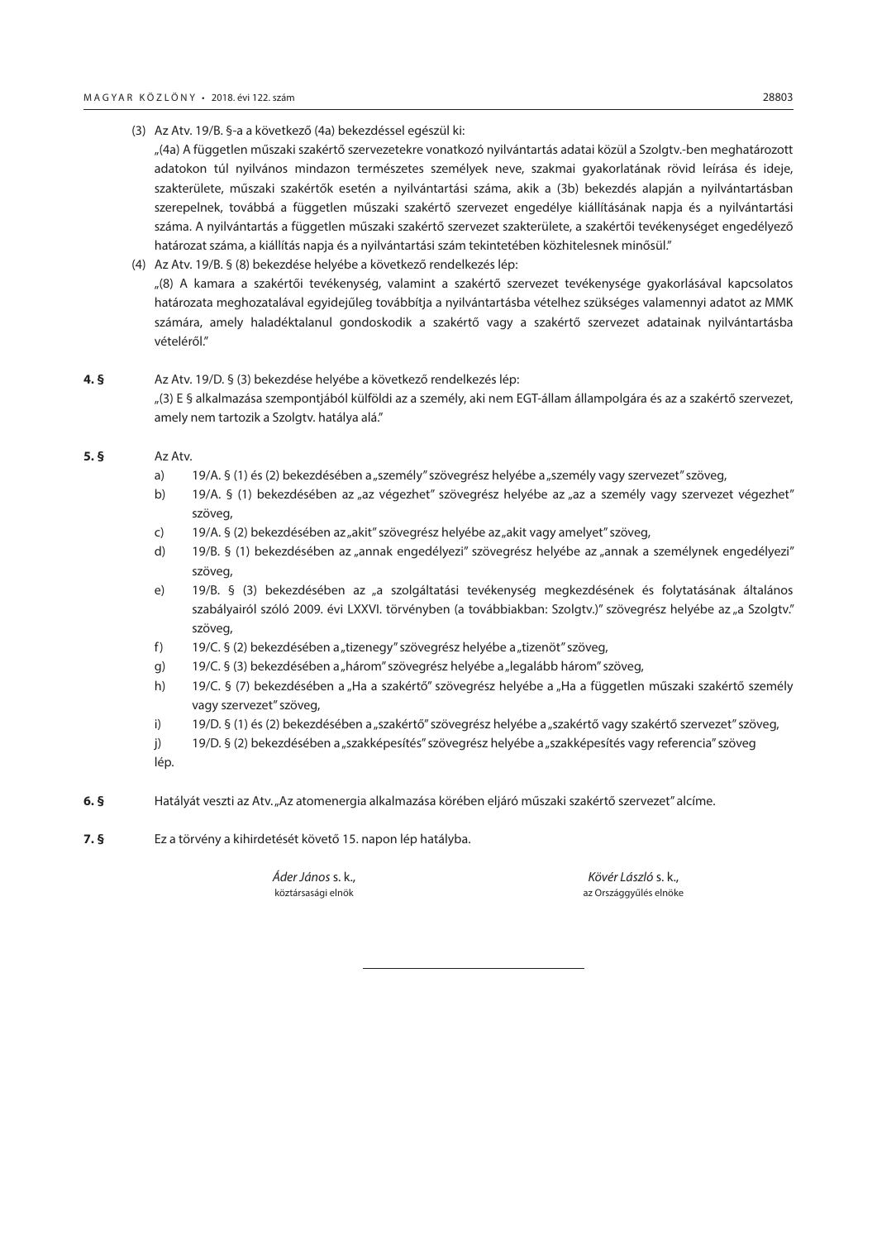(3) Az Atv. 19/B. §-a a következő (4a) bekezdéssel egészül ki:

"(4a) A független műszaki szakértő szervezetekre vonatkozó nyilvántartás adatai közül a Szolgtv.-ben meghatározott adatokon túl nyilvános mindazon természetes személyek neve, szakmai gyakorlatának rövid leírása és ideje, szakterülete, műszaki szakértők esetén a nyilvántartási száma, akik a (3b) bekezdés alapján a nyilvántartásban szerepelnek, továbbá a független műszaki szakértő szervezet engedélye kiállításának napja és a nyilvántartási száma. A nyilvántartás a független műszaki szakértő szervezet szakterülete, a szakértői tevékenységet engedélyező határozat száma, a kiállítás napja és a nyilvántartási szám tekintetében közhitelesnek minősül."

(4) Az Atv. 19/B. § (8) bekezdése helyébe a következő rendelkezés lép: "(8) A kamara a szakértői tevékenység, valamint a szakértő szervezet tevékenysége gyakorlásával kapcsolatos határozata meghozatalával egyidejűleg továbbítja a nyilvántartásba vételhez szükséges valamennyi adatot az MMK számára, amely haladéktalanul gondoskodik a szakértő vagy a szakértő szervezet adatainak nyilvántartásba vételéről."

## **4. §** Az Atv. 19/D. § (3) bekezdése helyébe a következő rendelkezés lép: "(3) E § alkalmazása szempontjából külföldi az a személy, aki nem EGT-állam állampolgára és az a szakértő szervezet, amely nem tartozik a Szolgty, hatálya alá."

#### **5. §** Az Atv.

- a) 19/A. § (1) és (2) bekezdésében a "személy" szövegrész helyébe a "személy vagy szervezet" szöveg,
- b) 19/A. § (1) bekezdésében az "az végezhet" szövegrész helyébe az "az a személy vagy szervezet végezhet" szöveg,
- c) 19/A. § (2) bekezdésében az "akit" szövegrész helyébe az "akit vagy amelyet" szöveg,
- d) 19/B. § (1) bekezdésében az "annak engedélyezi" szövegrész helyébe az "annak a személynek engedélyezi" szöveg,
- e) 19/B. § (3) bekezdésében az "a szolgáltatási tevékenység megkezdésének és folytatásának általános szabályairól szóló 2009. évi LXXVI. törvényben (a továbbiakban: Szolgtv.)" szövegrész helyébe az "a Szolgtv." szöveg,
- f) 19/C. § (2) bekezdésében a "tizenegy" szövegrész helyébe a "tizenöt" szöveg,
- g) 19/C. § (3) bekezdésében a "három" szövegrész helyébe a "legalább három" szöveg,
- h) 19/C. § (7) bekezdésében a "Ha a szakértő" szövegrész helyébe a "Ha a független műszaki szakértő személy vagy szervezet" szöveg,
- i) 19/D. § (1) és (2) bekezdésében a "szakértő" szövegrész helyébe a "szakértő vagy szakértő szervezet" szöveg,
- j) 19/D. § (2) bekezdésében a "szakképesítés" szövegrész helyébe a "szakképesítés vagy referencia" szöveg
- lép.
- **6. §** Hatályát veszti az Atv. "Az atomenergia alkalmazása körében eljáró műszaki szakértő szervezet" alcíme.
- **7. §** Ez a törvény a kihirdetését követő 15. napon lép hatályba.

*Áder János* s. k., *Kövér László* s. k., köztársasági elnök az Országgyűlés elnöke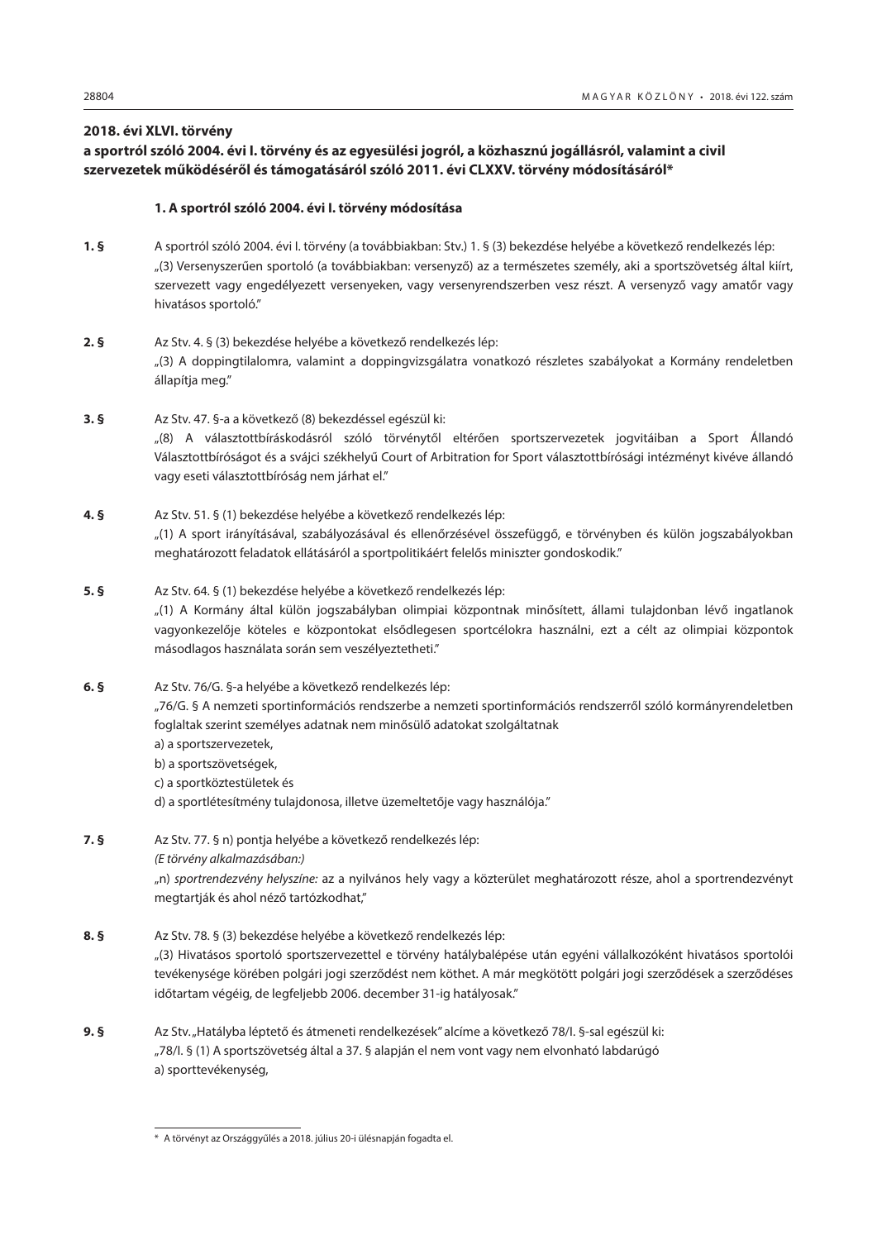## <span id="page-11-0"></span>**2018. évi XLVI. törvény**

## **a sportról szóló 2004. évi I. törvény és az egyesülési jogról, a közhasznú jogállásról, valamint a civil szervezetek működéséről és támogatásáról szóló 2011. évi CLXXV. törvény módosításáról\***

## **1. A sportról szóló 2004. évi I. törvény módosítása**

- **1. §** A sportról szóló 2004. évi I. törvény (a továbbiakban: Stv.) 1. § (3) bekezdése helyébe a következő rendelkezés lép: "(3) Versenyszerűen sportoló (a továbbiakban: versenyző) az a természetes személy, aki a sportszövetség által kiírt, szervezett vagy engedélyezett versenyeken, vagy versenyrendszerben vesz részt. A versenyző vagy amatőr vagy hivatásos sportoló."
- **2. §** Az Stv. 4. § (3) bekezdése helyébe a következő rendelkezés lép: "(3) A doppingtilalomra, valamint a doppingvizsgálatra vonatkozó részletes szabályokat a Kormány rendeletben állapítja meg."
- **3. §** Az Stv. 47. §-a a következő (8) bekezdéssel egészül ki: "(8) A választottbíráskodásról szóló törvénytől eltérően sportszervezetek jogvitáiban a Sport Állandó Választottbíróságot és a svájci székhelyű Court of Arbitration for Sport választottbírósági intézményt kivéve állandó vagy eseti választottbíróság nem járhat el."
- **4. §** Az Stv. 51. § (1) bekezdése helyébe a következő rendelkezés lép: "(1) A sport irányításával, szabályozásával és ellenőrzésével összefüggő, e törvényben és külön jogszabályokban meghatározott feladatok ellátásáról a sportpolitikáért felelős miniszter gondoskodik."
- **5. §** Az Stv. 64. § (1) bekezdése helyébe a következő rendelkezés lép: "(1) A Kormány által külön jogszabályban olimpiai központnak minősített, állami tulajdonban lévő ingatlanok vagyonkezelője köteles e központokat elsődlegesen sportcélokra használni, ezt a célt az olimpiai központok másodlagos használata során sem veszélyeztetheti."
- **6. §** Az Stv. 76/G. §-a helyébe a következő rendelkezés lép: "76/G. § A nemzeti sportinformációs rendszerbe a nemzeti sportinformációs rendszerről szóló kormányrendeletben foglaltak szerint személyes adatnak nem minősülő adatokat szolgáltatnak a) a sportszervezetek,
	- b) a sportszövetségek,
	- c) a sportköztestületek és d) a sportlétesítmény tulajdonosa, illetve üzemeltetője vagy használója."

megtartják és ahol néző tartózkodhat,"

- 
- **7. §** Az Stv. 77. § n) pontja helyébe a következő rendelkezés lép: *(E törvény alkalmazásában:)* "n) *sportrendezvény helyszíne:* az a nyilvános hely vagy a közterület meghatározott része, ahol a sportrendezvényt
- **8. §** Az Stv. 78. § (3) bekezdése helyébe a következő rendelkezés lép: "(3) Hivatásos sportoló sportszervezettel e törvény hatálybalépése után egyéni vállalkozóként hivatásos sportolói tevékenysége körében polgári jogi szerződést nem köthet. A már megkötött polgári jogi szerződések a szerződéses időtartam végéig, de legfeljebb 2006. december 31-ig hatályosak."
- **9. §** Az Stv. "Hatályba léptető és átmeneti rendelkezések" alcíme a következő 78/I. §-sal egészül ki: "78/I. § (1) A sportszövetség által a 37. § alapján el nem vont vagy nem elvonható labdarúgó a) sporttevékenység,

<sup>\*</sup> A törvényt az Országgyűlés a 2018. július 20-i ülésnapján fogadta el.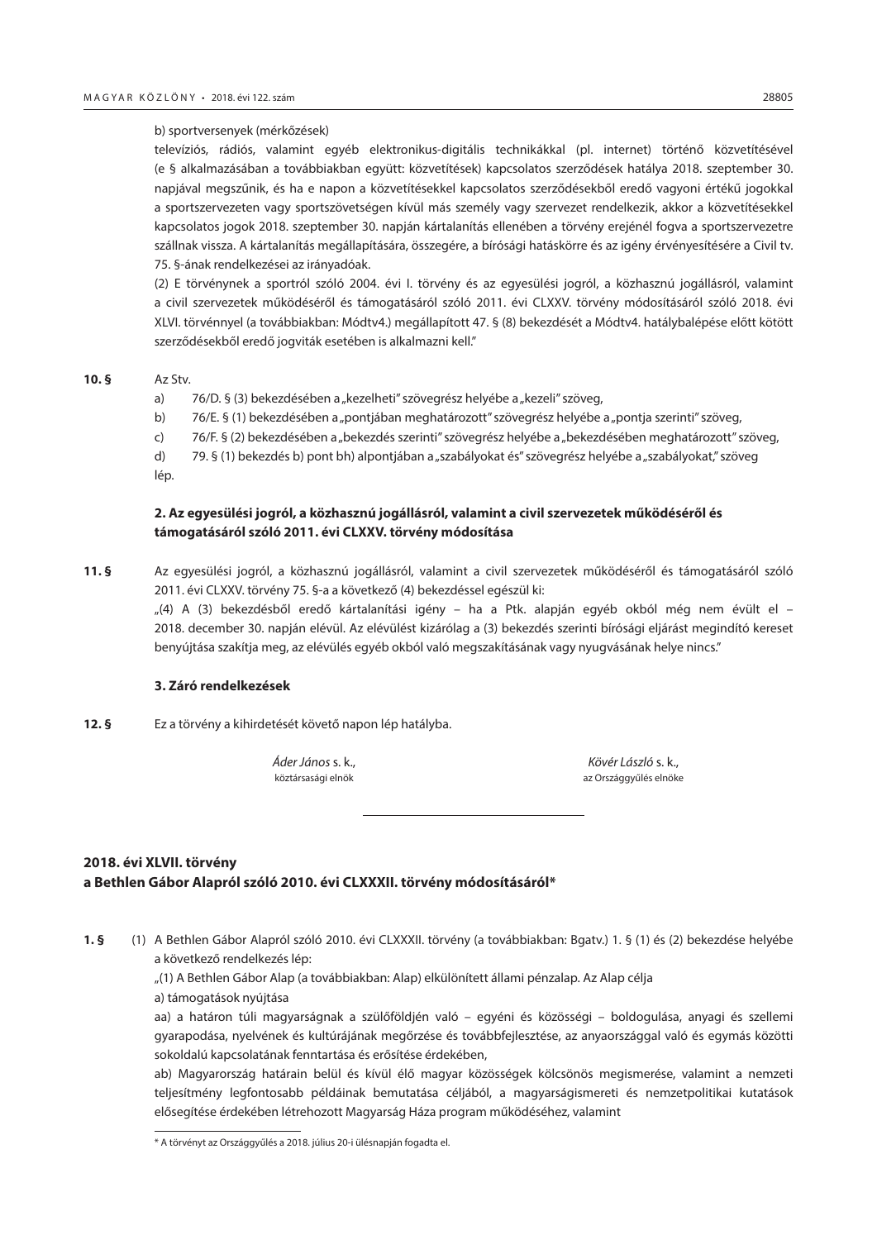#### <span id="page-12-0"></span>b) sportversenyek (mérkőzések)

televíziós, rádiós, valamint egyéb elektronikus-digitális technikákkal (pl. internet) történő közvetítésével (e § alkalmazásában a továbbiakban együtt: közvetítések) kapcsolatos szerződések hatálya 2018. szeptember 30. napjával megszűnik, és ha e napon a közvetítésekkel kapcsolatos szerződésekből eredő vagyoni értékű jogokkal a sportszervezeten vagy sportszövetségen kívül más személy vagy szervezet rendelkezik, akkor a közvetítésekkel kapcsolatos jogok 2018. szeptember 30. napján kártalanítás ellenében a törvény erejénél fogva a sportszervezetre szállnak vissza. A kártalanítás megállapítására, összegére, a bírósági hatáskörre és az igény érvényesítésére a Civil tv. 75. §-ának rendelkezései az irányadóak.

(2) E törvénynek a sportról szóló 2004. évi I. törvény és az egyesülési jogról, a közhasznú jogállásról, valamint a civil szervezetek működéséről és támogatásáról szóló 2011. évi CLXXV. törvény módosításáról szóló 2018. évi XLVI. törvénnyel (a továbbiakban: Módtv4.) megállapított 47. § (8) bekezdését a Módtv4. hatálybalépése előtt kötött szerződésekből eredő jogviták esetében is alkalmazni kell."

## **10. §** Az Stv.

- a) 76/D. § (3) bekezdésében a "kezelheti" szövegrész helyébe a "kezeli" szöveg,
- b) 76/E. § (1) bekezdésében a "pontiában meghatározott" szövegrész helyébe a "pontia szerinti" szöveg.
- c) 76/F. § (2) bekezdésében a "bekezdés szerinti" szövegrész helyébe a "bekezdésében meghatározott" szöveg,
- d) 79. § (1) bekezdés b) pont bh) alpontjában a "szabályokat és" szövegrész helyébe a "szabályokat," szöveg lép.

## **2. Az egyesülési jogról, a közhasznú jogállásról, valamint a civil szervezetek működéséről és támogatásáról szóló 2011. évi CLXXV. törvény módosítása**

**11. §** Az egyesülési jogról, a közhasznú jogállásról, valamint a civil szervezetek működéséről és támogatásáról szóló 2011. évi CLXXV. törvény 75. §-a a következő (4) bekezdéssel egészül ki:

"(4) A (3) bekezdésből eredő kártalanítási igény – ha a Ptk. alapján egyéb okból még nem évült el – 2018. december 30. napján elévül. Az elévülést kizárólag a (3) bekezdés szerinti bírósági eljárást megindító kereset benyújtása szakítja meg, az elévülés egyéb okból való megszakításának vagy nyugvásának helye nincs."

## **3. Záró rendelkezések**

**12. §** Ez a törvény a kihirdetését követő napon lép hatályba.

*Áder János* s. k., *Kövér László* s. k., köztársasági elnök az Országgyűlés elnöke

## **2018. évi XLVII. törvény a Bethlen Gábor Alapról szóló 2010. évi CLXXXII. törvény módosításáról\***

**1. §** (1) A Bethlen Gábor Alapról szóló 2010. évi CLXXXII. törvény (a továbbiakban: Bgatv.) 1. § (1) és (2) bekezdése helyébe a következő rendelkezés lép:

"(1) A Bethlen Gábor Alap (a továbbiakban: Alap) elkülönített állami pénzalap. Az Alap célja

a) támogatások nyújtása

aa) a határon túli magyarságnak a szülőföldjén való – egyéni és közösségi – boldogulása, anyagi és szellemi gyarapodása, nyelvének és kultúrájának megőrzése és továbbfejlesztése, az anyaországgal való és egymás közötti sokoldalú kapcsolatának fenntartása és erősítése érdekében,

ab) Magyarország határain belül és kívül élő magyar közösségek kölcsönös megismerése, valamint a nemzeti teljesítmény legfontosabb példáinak bemutatása céljából, a magyarságismereti és nemzetpolitikai kutatások elősegítése érdekében létrehozott Magyarság Háza program működéséhez, valamint

<sup>\*</sup> A törvényt az Országgyűlés a 2018. július 20-i ülésnapján fogadta el.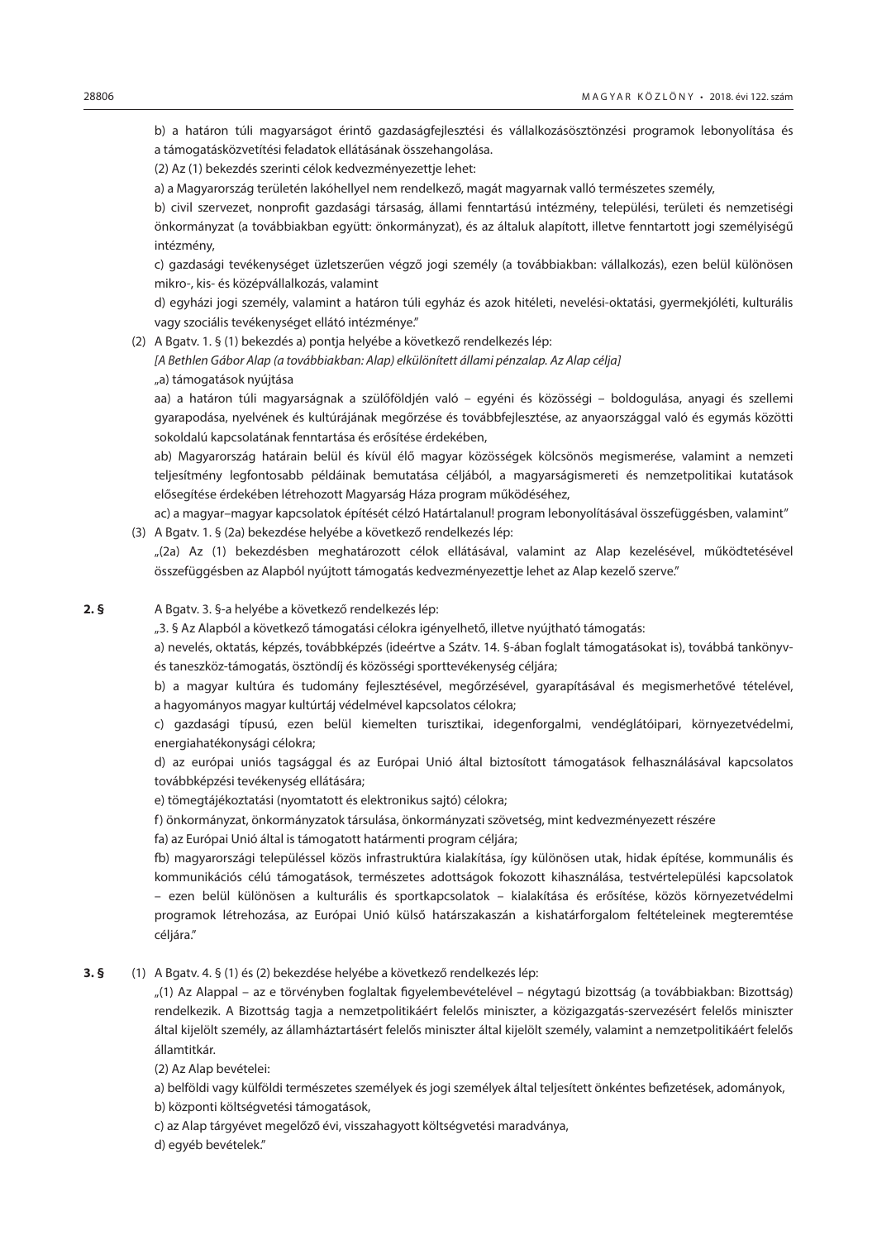b) a határon túli magyarságot érintő gazdaságfejlesztési és vállalkozásösztönzési programok lebonyolítása és a támogatásközvetítési feladatok ellátásának összehangolása.

(2) Az (1) bekezdés szerinti célok kedvezményezettje lehet:

a) a Magyarország területén lakóhellyel nem rendelkező, magát magyarnak valló természetes személy,

b) civil szervezet, nonprofit gazdasági társaság, állami fenntartású intézmény, települési, területi és nemzetiségi önkormányzat (a továbbiakban együtt: önkormányzat), és az általuk alapított, illetve fenntartott jogi személyiségű intézmény,

c) gazdasági tevékenységet üzletszerűen végző jogi személy (a továbbiakban: vállalkozás), ezen belül különösen mikro-, kis- és középvállalkozás, valamint

d) egyházi jogi személy, valamint a határon túli egyház és azok hitéleti, nevelési-oktatási, gyermekjóléti, kulturális vagy szociális tevékenységet ellátó intézménye."

(2) A Bgatv. 1. § (1) bekezdés a) pontja helyébe a következő rendelkezés lép:

*[A Bethlen Gábor Alap (a továbbiakban: Alap) elkülönített állami pénzalap. Az Alap célja]*

"a) támogatások nyújtása

aa) a határon túli magyarságnak a szülőföldjén való – egyéni és közösségi – boldogulása, anyagi és szellemi gyarapodása, nyelvének és kultúrájának megőrzése és továbbfejlesztése, az anyaországgal való és egymás közötti sokoldalú kapcsolatának fenntartása és erősítése érdekében,

ab) Magyarország határain belül és kívül élő magyar közösségek kölcsönös megismerése, valamint a nemzeti teljesítmény legfontosabb példáinak bemutatása céljából, a magyarságismereti és nemzetpolitikai kutatások elősegítése érdekében létrehozott Magyarság Háza program működéséhez,

ac) a magyar–magyar kapcsolatok építését célzó Határtalanul! program lebonyolításával összefüggésben, valamint" (3) A Bgatv. 1. § (2a) bekezdése helyébe a következő rendelkezés lép:

"(2a) Az (1) bekezdésben meghatározott célok ellátásával, valamint az Alap kezelésével, működtetésével összefüggésben az Alapból nyújtott támogatás kedvezményezettje lehet az Alap kezelő szerve."

## **2. §** A Bgatv. 3. §-a helyébe a következő rendelkezés lép:

"3. § Az Alapból a következő támogatási célokra igényelhető, illetve nyújtható támogatás:

a) nevelés, oktatás, képzés, továbbképzés (ideértve a Szátv. 14. §-ában foglalt támogatásokat is), továbbá tankönyvés taneszköz-támogatás, ösztöndíj és közösségi sporttevékenység céljára;

b) a magyar kultúra és tudomány fejlesztésével, megőrzésével, gyarapításával és megismerhetővé tételével, a hagyományos magyar kultúrtáj védelmével kapcsolatos célokra;

c) gazdasági típusú, ezen belül kiemelten turisztikai, idegenforgalmi, vendéglátóipari, környezetvédelmi, energiahatékonysági célokra;

d) az európai uniós tagsággal és az Európai Unió által biztosított támogatások felhasználásával kapcsolatos továbbképzési tevékenység ellátására;

e) tömegtájékoztatási (nyomtatott és elektronikus sajtó) célokra;

f) önkormányzat, önkormányzatok társulása, önkormányzati szövetség, mint kedvezményezett részére

fa) az Európai Unió által is támogatott határmenti program céljára;

fb) magyarországi településsel közös infrastruktúra kialakítása, így különösen utak, hidak építése, kommunális és kommunikációs célú támogatások, természetes adottságok fokozott kihasználása, testvértelepülési kapcsolatok – ezen belül különösen a kulturális és sportkapcsolatok – kialakítása és erősítése, közös környezetvédelmi programok létrehozása, az Európai Unió külső határszakaszán a kishatárforgalom feltételeinek megteremtése céljára."

**3. §** (1) A Bgatv. 4. § (1) és (2) bekezdése helyébe a következő rendelkezés lép:

"(1) Az Alappal – az e törvényben foglaltak figyelembevételével – négytagú bizottság (a továbbiakban: Bizottság) rendelkezik. A Bizottság tagja a nemzetpolitikáért felelős miniszter, a közigazgatás-szervezésért felelős miniszter által kijelölt személy, az államháztartásért felelős miniszter által kijelölt személy, valamint a nemzetpolitikáért felelős államtitkár.

(2) Az Alap bevételei:

a) belföldi vagy külföldi természetes személyek és jogi személyek által teljesített önkéntes befizetések, adományok, b) központi költségvetési támogatások,

c) az Alap tárgyévet megelőző évi, visszahagyott költségvetési maradványa,

d) egyéb bevételek."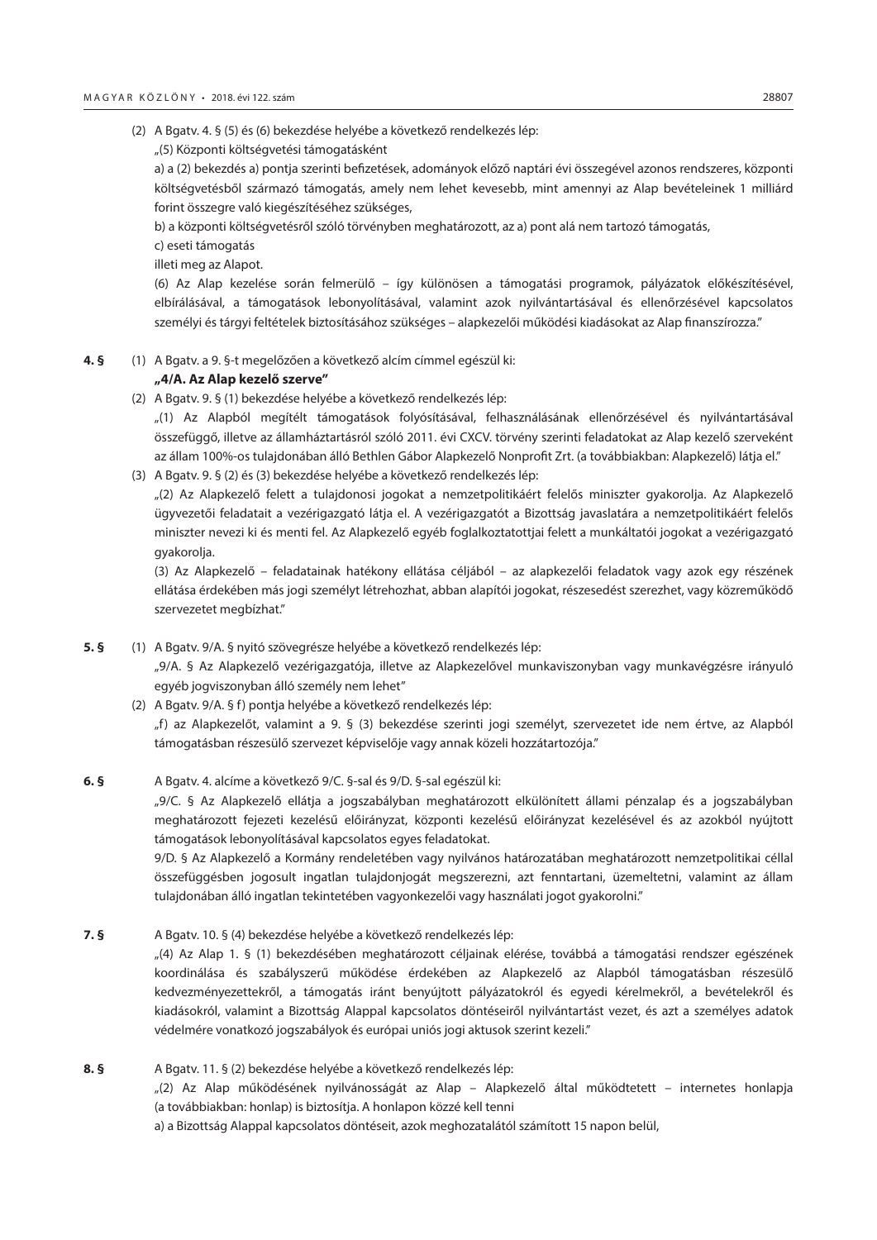- (2) A Bgatv. 4. § (5) és (6) bekezdése helyébe a következő rendelkezés lép:
	- "(5) Központi költségvetési támogatásként

a) a (2) bekezdés a) pontja szerinti befizetések, adományok előző naptári évi összegével azonos rendszeres, központi költségvetésből származó támogatás, amely nem lehet kevesebb, mint amennyi az Alap bevételeinek 1 milliárd forint összegre való kiegészítéséhez szükséges,

b) a központi költségvetésről szóló törvényben meghatározott, az a) pont alá nem tartozó támogatás,

c) eseti támogatás

illeti meg az Alapot.

(6) Az Alap kezelése során felmerülő – így különösen a támogatási programok, pályázatok előkészítésével, elbírálásával, a támogatások lebonyolításával, valamint azok nyilvántartásával és ellenőrzésével kapcsolatos személyi és tárgyi feltételek biztosításához szükséges – alapkezelői működési kiadásokat az Alap finanszírozza."

**4. §** (1) A Bgatv. a 9. §-t megelőzően a következő alcím címmel egészül ki:

## **"4/A. Az Alap kezelő szerve"**

(2) A Bgatv. 9. § (1) bekezdése helyébe a következő rendelkezés lép:

"(1) Az Alapból megítélt támogatások folyósításával, felhasználásának ellenőrzésével és nyilvántartásával összefüggő, illetve az államháztartásról szóló 2011. évi CXCV. törvény szerinti feladatokat az Alap kezelő szerveként az állam 100%-os tulajdonában álló Bethlen Gábor Alapkezelő Nonprofit Zrt. (a továbbiakban: Alapkezelő) látja el."

(3) A Bgatv. 9. § (2) és (3) bekezdése helyébe a következő rendelkezés lép:

"(2) Az Alapkezelő felett a tulajdonosi jogokat a nemzetpolitikáért felelős miniszter gyakorolja. Az Alapkezelő ügyvezetői feladatait a vezérigazgató látja el. A vezérigazgatót a Bizottság javaslatára a nemzetpolitikáért felelős miniszter nevezi ki és menti fel. Az Alapkezelő egyéb foglalkoztatottjai felett a munkáltatói jogokat a vezérigazgató gyakorolja.

(3) Az Alapkezelő – feladatainak hatékony ellátása céljából – az alapkezelői feladatok vagy azok egy részének ellátása érdekében más jogi személyt létrehozhat, abban alapítói jogokat, részesedést szerezhet, vagy közreműködő szervezetet megbízhat."

- **5. §** (1) A Bgatv. 9/A. § nyitó szövegrésze helyébe a következő rendelkezés lép: "9/A. § Az Alapkezelő vezérigazgatója, illetve az Alapkezelővel munkaviszonyban vagy munkavégzésre irányuló egyéb jogviszonyban álló személy nem lehet"
	- (2) A Bgatv. 9/A. § f) pontja helyébe a következő rendelkezés lép: "f) az Alapkezelőt, valamint a 9. § (3) bekezdése szerinti jogi személyt, szervezetet ide nem értve, az Alapból támogatásban részesülő szervezet képviselője vagy annak közeli hozzátartozója."
- **6. §** A Bgatv. 4. alcíme a következő 9/C. §-sal és 9/D. §-sal egészül ki:

"9/C. § Az Alapkezelő ellátja a jogszabályban meghatározott elkülönített állami pénzalap és a jogszabályban meghatározott fejezeti kezelésű előirányzat, központi kezelésű előirányzat kezelésével és az azokból nyújtott támogatások lebonyolításával kapcsolatos egyes feladatokat.

9/D. § Az Alapkezelő a Kormány rendeletében vagy nyilvános határozatában meghatározott nemzetpolitikai céllal összefüggésben jogosult ingatlan tulajdonjogát megszerezni, azt fenntartani, üzemeltetni, valamint az állam tulajdonában álló ingatlan tekintetében vagyonkezelői vagy használati jogot gyakorolni."

**7. §** A Bgatv. 10. § (4) bekezdése helyébe a következő rendelkezés lép:

"(4) Az Alap 1. § (1) bekezdésében meghatározott céljainak elérése, továbbá a támogatási rendszer egészének koordinálása és szabályszerű működése érdekében az Alapkezelő az Alapból támogatásban részesülő kedvezményezettekről, a támogatás iránt benyújtott pályázatokról és egyedi kérelmekről, a bevételekről és kiadásokról, valamint a Bizottság Alappal kapcsolatos döntéseiről nyilvántartást vezet, és azt a személyes adatok védelmére vonatkozó jogszabályok és európai uniós jogi aktusok szerint kezeli."

**8. §** A Bgatv. 11. § (2) bekezdése helyébe a következő rendelkezés lép: "(2) Az Alap működésének nyilvánosságát az Alap – Alapkezelő által működtetett – internetes honlapja (a továbbiakban: honlap) is biztosítja. A honlapon közzé kell tenni a) a Bizottság Alappal kapcsolatos döntéseit, azok meghozatalától számított 15 napon belül,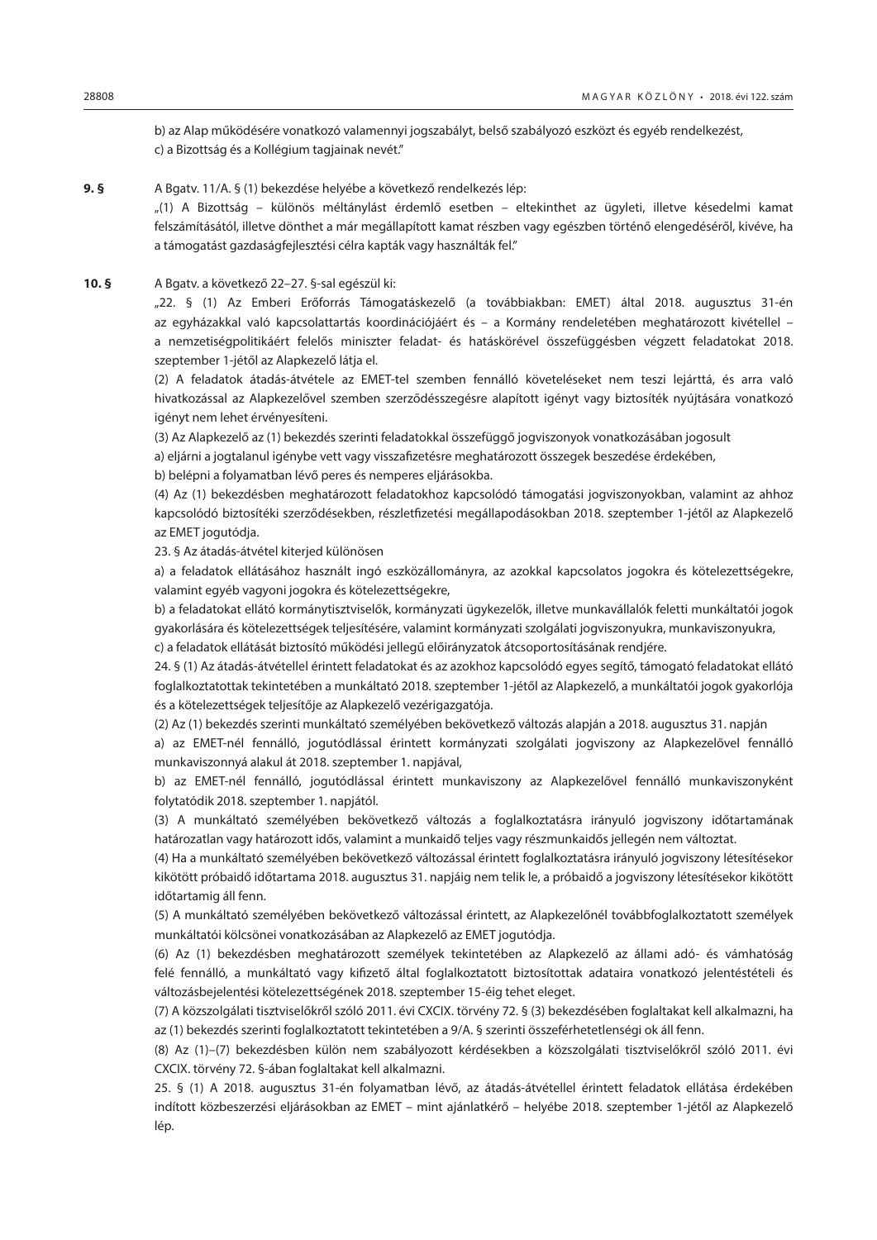b) az Alap működésére vonatkozó valamennyi jogszabályt, belső szabályozó eszközt és egyéb rendelkezést, c) a Bizottság és a Kollégium tagjainak nevét."

**9. §** A Bgatv. 11/A. § (1) bekezdése helyébe a következő rendelkezés lép:

"(1) A Bizottság – különös méltánylást érdemlő esetben – eltekinthet az ügyleti, illetve késedelmi kamat felszámításától, illetve dönthet a már megállapított kamat részben vagy egészben történő elengedéséről, kivéve, ha a támogatást gazdaságfejlesztési célra kapták vagy használták fel."

**10. §** A Bgatv. a következő 22–27. §-sal egészül ki:

"22. § (1) Az Emberi Erőforrás Támogatáskezelő (a továbbiakban: EMET) által 2018. augusztus 31-én az egyházakkal való kapcsolattartás koordinációjáért és – a Kormány rendeletében meghatározott kivétellel – a nemzetiségpolitikáért felelős miniszter feladat- és hatáskörével összefüggésben végzett feladatokat 2018. szeptember 1-jétől az Alapkezelő látja el.

(2) A feladatok átadás-átvétele az EMET-tel szemben fennálló követeléseket nem teszi lejárttá, és arra való hivatkozással az Alapkezelővel szemben szerződésszegésre alapított igényt vagy biztosíték nyújtására vonatkozó igényt nem lehet érvényesíteni.

(3) Az Alapkezelő az (1) bekezdés szerinti feladatokkal összefüggő jogviszonyok vonatkozásában jogosult

a) eljárni a jogtalanul igénybe vett vagy visszafizetésre meghatározott összegek beszedése érdekében,

b) belépni a folyamatban lévő peres és nemperes eljárásokba.

(4) Az (1) bekezdésben meghatározott feladatokhoz kapcsolódó támogatási jogviszonyokban, valamint az ahhoz kapcsolódó biztosítéki szerződésekben, részletfizetési megállapodásokban 2018. szeptember 1-jétől az Alapkezelő az EMET jogutódja.

23. § Az átadás-átvétel kiterjed különösen

a) a feladatok ellátásához használt ingó eszközállományra, az azokkal kapcsolatos jogokra és kötelezettségekre, valamint egyéb vagyoni jogokra és kötelezettségekre,

b) a feladatokat ellátó kormánytisztviselők, kormányzati ügykezelők, illetve munkavállalók feletti munkáltatói jogok gyakorlására és kötelezettségek teljesítésére, valamint kormányzati szolgálati jogviszonyukra, munkaviszonyukra,

c) a feladatok ellátását biztosító működési jellegű előirányzatok átcsoportosításának rendjére.

24. § (1) Az átadás-átvétellel érintett feladatokat és az azokhoz kapcsolódó egyes segítő, támogató feladatokat ellátó foglalkoztatottak tekintetében a munkáltató 2018. szeptember 1-jétől az Alapkezelő, a munkáltatói jogok gyakorlója és a kötelezettségek teljesítője az Alapkezelő vezérigazgatója.

(2) Az (1) bekezdés szerinti munkáltató személyében bekövetkező változás alapján a 2018. augusztus 31. napján

a) az EMET-nél fennálló, jogutódlással érintett kormányzati szolgálati jogviszony az Alapkezelővel fennálló munkaviszonnyá alakul át 2018. szeptember 1. napjával,

b) az EMET-nél fennálló, jogutódlással érintett munkaviszony az Alapkezelővel fennálló munkaviszonyként folytatódik 2018. szeptember 1. napjától.

(3) A munkáltató személyében bekövetkező változás a foglalkoztatásra irányuló jogviszony időtartamának határozatlan vagy határozott idős, valamint a munkaidő teljes vagy részmunkaidős jellegén nem változtat.

(4) Ha a munkáltató személyében bekövetkező változással érintett foglalkoztatásra irányuló jogviszony létesítésekor kikötött próbaidő időtartama 2018. augusztus 31. napjáig nem telik le, a próbaidő a jogviszony létesítésekor kikötött időtartamig áll fenn.

(5) A munkáltató személyében bekövetkező változással érintett, az Alapkezelőnél továbbfoglalkoztatott személyek munkáltatói kölcsönei vonatkozásában az Alapkezelő az EMET jogutódja.

(6) Az (1) bekezdésben meghatározott személyek tekintetében az Alapkezelő az állami adó- és vámhatóság felé fennálló, a munkáltató vagy kifizető által foglalkoztatott biztosítottak adataira vonatkozó jelentéstételi és változásbejelentési kötelezettségének 2018. szeptember 15-éig tehet eleget.

(7) A közszolgálati tisztviselőkről szóló 2011. évi CXCIX. törvény 72. § (3) bekezdésében foglaltakat kell alkalmazni, ha az (1) bekezdés szerinti foglalkoztatott tekintetében a 9/A. § szerinti összeférhetetlenségi ok áll fenn.

(8) Az (1)–(7) bekezdésben külön nem szabályozott kérdésekben a közszolgálati tisztviselőkről szóló 2011. évi CXCIX. törvény 72. §-ában foglaltakat kell alkalmazni.

25. § (1) A 2018. augusztus 31-én folyamatban lévő, az átadás-átvétellel érintett feladatok ellátása érdekében indított közbeszerzési eljárásokban az EMET – mint ajánlatkérő – helyébe 2018. szeptember 1-jétől az Alapkezelő lép.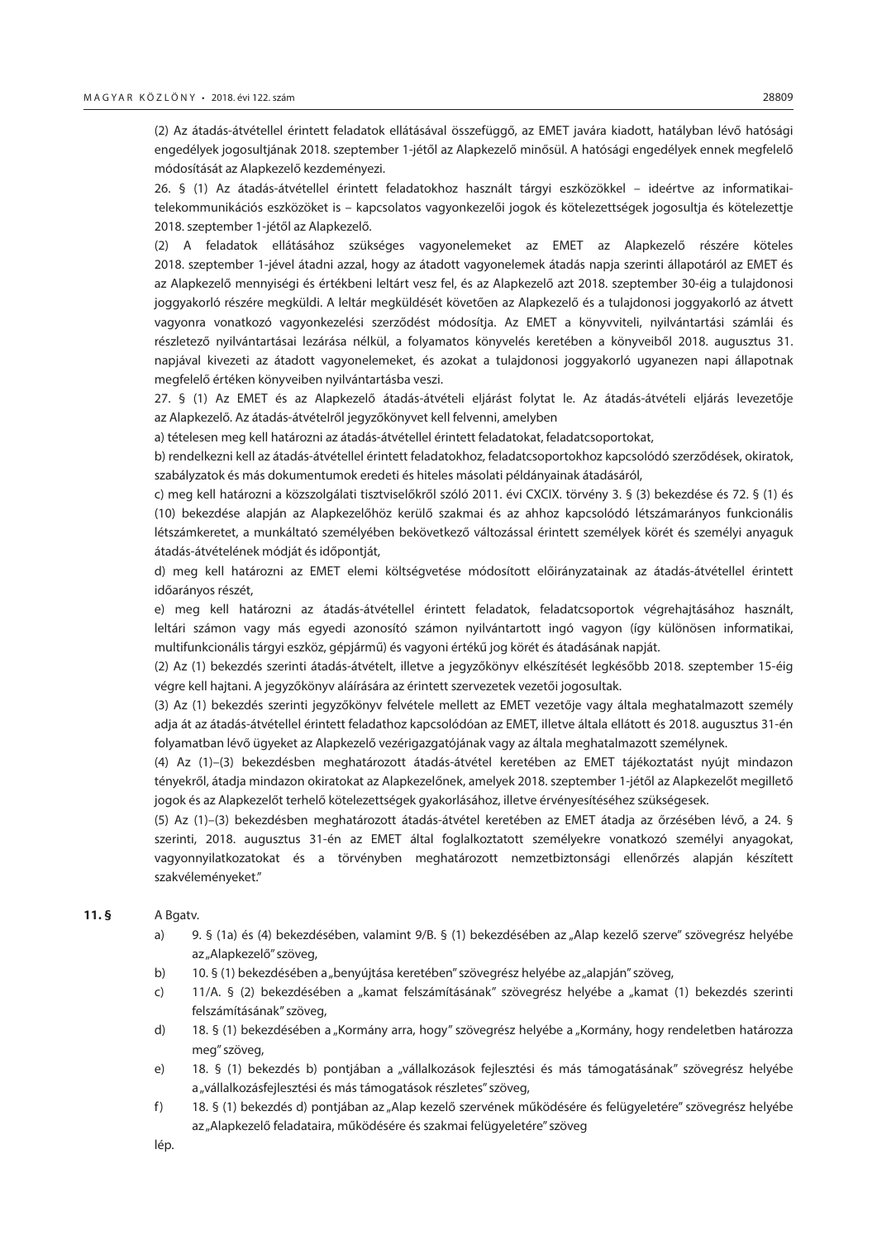(2) Az átadás-átvétellel érintett feladatok ellátásával összefüggő, az EMET javára kiadott, hatályban lévő hatósági engedélyek jogosultjának 2018. szeptember 1-jétől az Alapkezelő minősül. A hatósági engedélyek ennek megfelelő módosítását az Alapkezelő kezdeményezi.

26. § (1) Az átadás-átvétellel érintett feladatokhoz használt tárgyi eszközökkel – ideértve az informatikaitelekommunikációs eszközöket is – kapcsolatos vagyonkezelői jogok és kötelezettségek jogosultja és kötelezettje 2018. szeptember 1-jétől az Alapkezelő.

(2) A feladatok ellátásához szükséges vagyonelemeket az EMET az Alapkezelő részére köteles 2018. szeptember 1-jével átadni azzal, hogy az átadott vagyonelemek átadás napja szerinti állapotáról az EMET és az Alapkezelő mennyiségi és értékbeni leltárt vesz fel, és az Alapkezelő azt 2018. szeptember 30-éig a tulajdonosi joggyakorló részére megküldi. A leltár megküldését követően az Alapkezelő és a tulajdonosi joggyakorló az átvett vagyonra vonatkozó vagyonkezelési szerződést módosítja. Az EMET a könyvviteli, nyilvántartási számlái és részletező nyilvántartásai lezárása nélkül, a folyamatos könyvelés keretében a könyveiből 2018. augusztus 31. napjával kivezeti az átadott vagyonelemeket, és azokat a tulajdonosi joggyakorló ugyanezen napi állapotnak megfelelő értéken könyveiben nyilvántartásba veszi.

27. § (1) Az EMET és az Alapkezelő átadás-átvételi eljárást folytat le. Az átadás-átvételi eljárás levezetője az Alapkezelő. Az átadás-átvételről jegyzőkönyvet kell felvenni, amelyben

a) tételesen meg kell határozni az átadás-átvétellel érintett feladatokat, feladatcsoportokat,

b) rendelkezni kell az átadás-átvétellel érintett feladatokhoz, feladatcsoportokhoz kapcsolódó szerződések, okiratok, szabályzatok és más dokumentumok eredeti és hiteles másolati példányainak átadásáról,

c) meg kell határozni a közszolgálati tisztviselőkről szóló 2011. évi CXCIX. törvény 3. § (3) bekezdése és 72. § (1) és (10) bekezdése alapján az Alapkezelőhöz kerülő szakmai és az ahhoz kapcsolódó létszámarányos funkcionális létszámkeretet, a munkáltató személyében bekövetkező változással érintett személyek körét és személyi anyaguk átadás-átvételének módját és időpontját,

d) meg kell határozni az EMET elemi költségvetése módosított előirányzatainak az átadás-átvétellel érintett időarányos részét,

e) meg kell határozni az átadás-átvétellel érintett feladatok, feladatcsoportok végrehajtásához használt, leltári számon vagy más egyedi azonosító számon nyilvántartott ingó vagyon (így különösen informatikai, multifunkcionális tárgyi eszköz, gépjármű) és vagyoni értékű jog körét és átadásának napját.

(2) Az (1) bekezdés szerinti átadás-átvételt, illetve a jegyzőkönyv elkészítését legkésőbb 2018. szeptember 15-éig végre kell hajtani. A jegyzőkönyv aláírására az érintett szervezetek vezetői jogosultak.

(3) Az (1) bekezdés szerinti jegyzőkönyv felvétele mellett az EMET vezetője vagy általa meghatalmazott személy adja át az átadás-átvétellel érintett feladathoz kapcsolódóan az EMET, illetve általa ellátott és 2018. augusztus 31-én folyamatban lévő ügyeket az Alapkezelő vezérigazgatójának vagy az általa meghatalmazott személynek.

(4) Az (1)–(3) bekezdésben meghatározott átadás-átvétel keretében az EMET tájékoztatást nyújt mindazon tényekről, átadja mindazon okiratokat az Alapkezelőnek, amelyek 2018. szeptember 1-jétől az Alapkezelőt megillető jogok és az Alapkezelőt terhelő kötelezettségek gyakorlásához, illetve érvényesítéséhez szükségesek.

(5) Az (1)–(3) bekezdésben meghatározott átadás-átvétel keretében az EMET átadja az őrzésében lévő, a 24. § szerinti, 2018. augusztus 31-én az EMET által foglalkoztatott személyekre vonatkozó személyi anyagokat, vagyonnyilatkozatokat és a törvényben meghatározott nemzetbiztonsági ellenőrzés alapján készített szakvéleményeket."

## **11. §** A Bgatv.

- a) 9. § (1a) és (4) bekezdésében, valamint 9/B. § (1) bekezdésében az "Alap kezelő szerve" szövegrész helyébe az "Alapkezelő" szöveg,
- b) 10. § (1) bekezdésében a "benyújtása keretében" szövegrész helyébe az "alapján" szöveg,
- c) 11/A. § (2) bekezdésében a "kamat felszámításának" szövegrész helyébe a "kamat (1) bekezdés szerinti felszámításának" szöveg,
- d) 18. § (1) bekezdésében a "Kormány arra, hogy" szövegrész helyébe a "Kormány, hogy rendeletben határozza meg" szöveg,
- e) 18. § (1) bekezdés b) pontjában a "vállalkozások fejlesztési és más támogatásának" szövegrész helyébe a "vállalkozásfejlesztési és más támogatások részletes" szöveg,
- f) 18. § (1) bekezdés d) pontjában az "Alap kezelő szervének működésére és felügyeletére" szövegrész helyébe az "Alapkezelő feladataira, működésére és szakmai felügyeletére" szöveg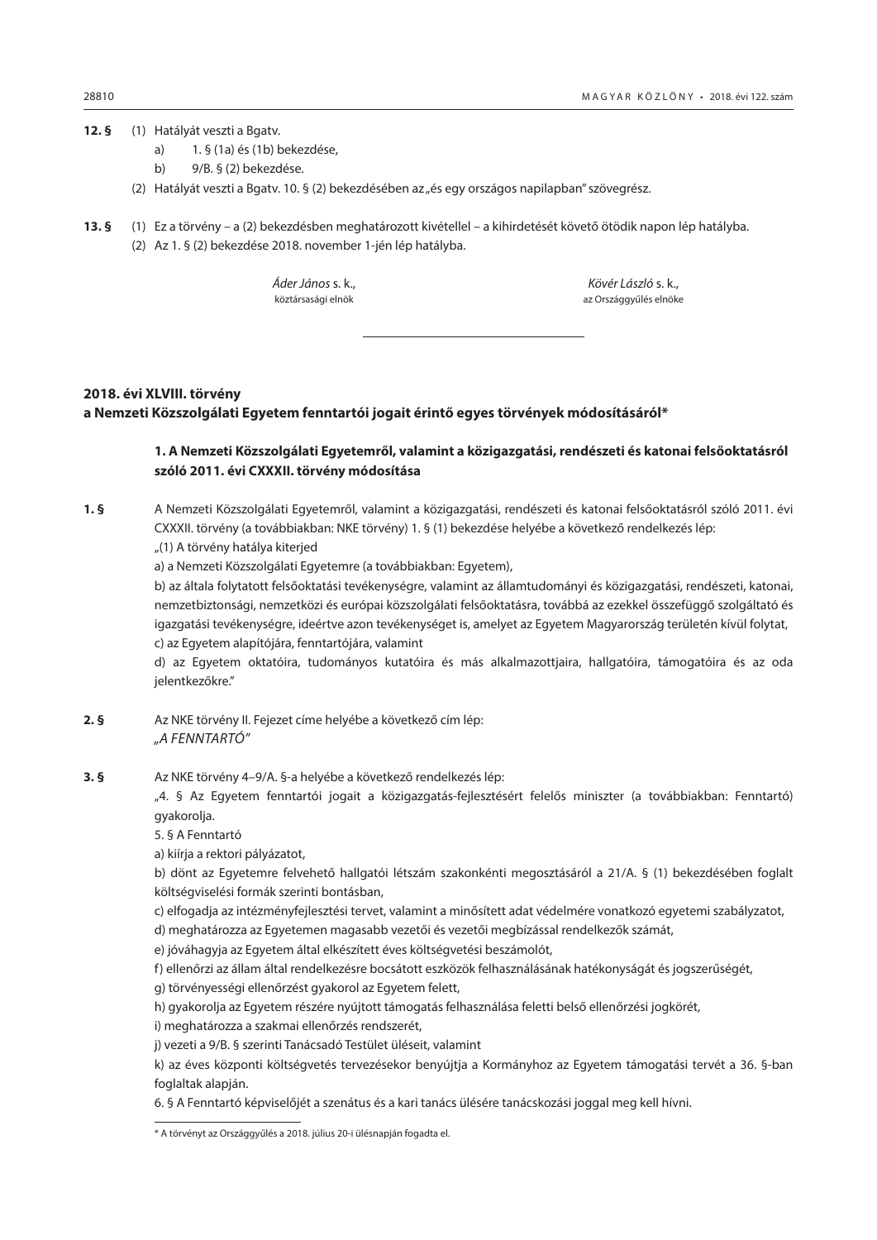#### <span id="page-17-0"></span>**12. §** (1) Hatályát veszti a Bgatv.

- a) 1. § (1a) és (1b) bekezdése,
- b) 9/B. § (2) bekezdése.
- (2) Hatályát veszti a Bgatv. 10. § (2) bekezdésében az "és egy országos napilapban" szövegrész.
- **13. §** (1) Ez a törvény a (2) bekezdésben meghatározott kivétellel a kihirdetését követő ötödik napon lép hatályba.
	- (2) Az 1. § (2) bekezdése 2018. november 1-jén lép hatályba.

*Áder János* s. k., *Kövér László* s. k.,

köztársasági elnök az Országgyűlés elnöke

## **2018. évi XLVIII. törvény a Nemzeti Közszolgálati Egyetem fenntartói jogait érintő egyes törvények módosításáról\***

## **1. A Nemzeti Közszolgálati Egyetemről, valamint a közigazgatási, rendészeti és katonai felsőoktatásról szóló 2011. évi CXXXII. törvény módosítása**

**1. §** A Nemzeti Közszolgálati Egyetemről, valamint a közigazgatási, rendészeti és katonai felsőoktatásról szóló 2011. évi CXXXII. törvény (a továbbiakban: NKE törvény) 1. § (1) bekezdése helyébe a következő rendelkezés lép:

"(1) A törvény hatálya kiterjed

a) a Nemzeti Közszolgálati Egyetemre (a továbbiakban: Egyetem),

b) az általa folytatott felsőoktatási tevékenységre, valamint az államtudományi és közigazgatási, rendészeti, katonai, nemzetbiztonsági, nemzetközi és európai közszolgálati felsőoktatásra, továbbá az ezekkel összefüggő szolgáltató és igazgatási tevékenységre, ideértve azon tevékenységet is, amelyet az Egyetem Magyarország területén kívül folytat, c) az Egyetem alapítójára, fenntartójára, valamint

d) az Egyetem oktatóira, tudományos kutatóira és más alkalmazottjaira, hallgatóira, támogatóira és az oda jelentkezőkre."

- **2. §** Az NKE törvény II. Fejezet címe helyébe a következő cím lép: *"A FENNTARTÓ"*
- **3. §** Az NKE törvény 4–9/A. §-a helyébe a következő rendelkezés lép:

"4. § Az Egyetem fenntartói jogait a közigazgatás-fejlesztésért felelős miniszter (a továbbiakban: Fenntartó) gyakorolja.

5. § A Fenntartó

a) kiírja a rektori pályázatot,

b) dönt az Egyetemre felvehető hallgatói létszám szakonkénti megosztásáról a 21/A. § (1) bekezdésében foglalt költségviselési formák szerinti bontásban,

c) elfogadja az intézményfejlesztési tervet, valamint a minősített adat védelmére vonatkozó egyetemi szabályzatot,

d) meghatározza az Egyetemen magasabb vezetői és vezetői megbízással rendelkezők számát,

e) jóváhagyja az Egyetem által elkészített éves költségvetési beszámolót,

f) ellenőrzi az állam által rendelkezésre bocsátott eszközök felhasználásának hatékonyságát és jogszerűségét,

g) törvényességi ellenőrzést gyakorol az Egyetem felett,

h) gyakorolja az Egyetem részére nyújtott támogatás felhasználása feletti belső ellenőrzési jogkörét,

i) meghatározza a szakmai ellenőrzés rendszerét,

j) vezeti a 9/B. § szerinti Tanácsadó Testület üléseit, valamint

k) az éves központi költségvetés tervezésekor benyújtja a Kormányhoz az Egyetem támogatási tervét a 36. §-ban foglaltak alapján.

6. § A Fenntartó képviselőjét a szenátus és a kari tanács ülésére tanácskozási joggal meg kell hívni.

<sup>\*</sup> A törvényt az Országgyűlés a 2018. július 20-i ülésnapján fogadta el.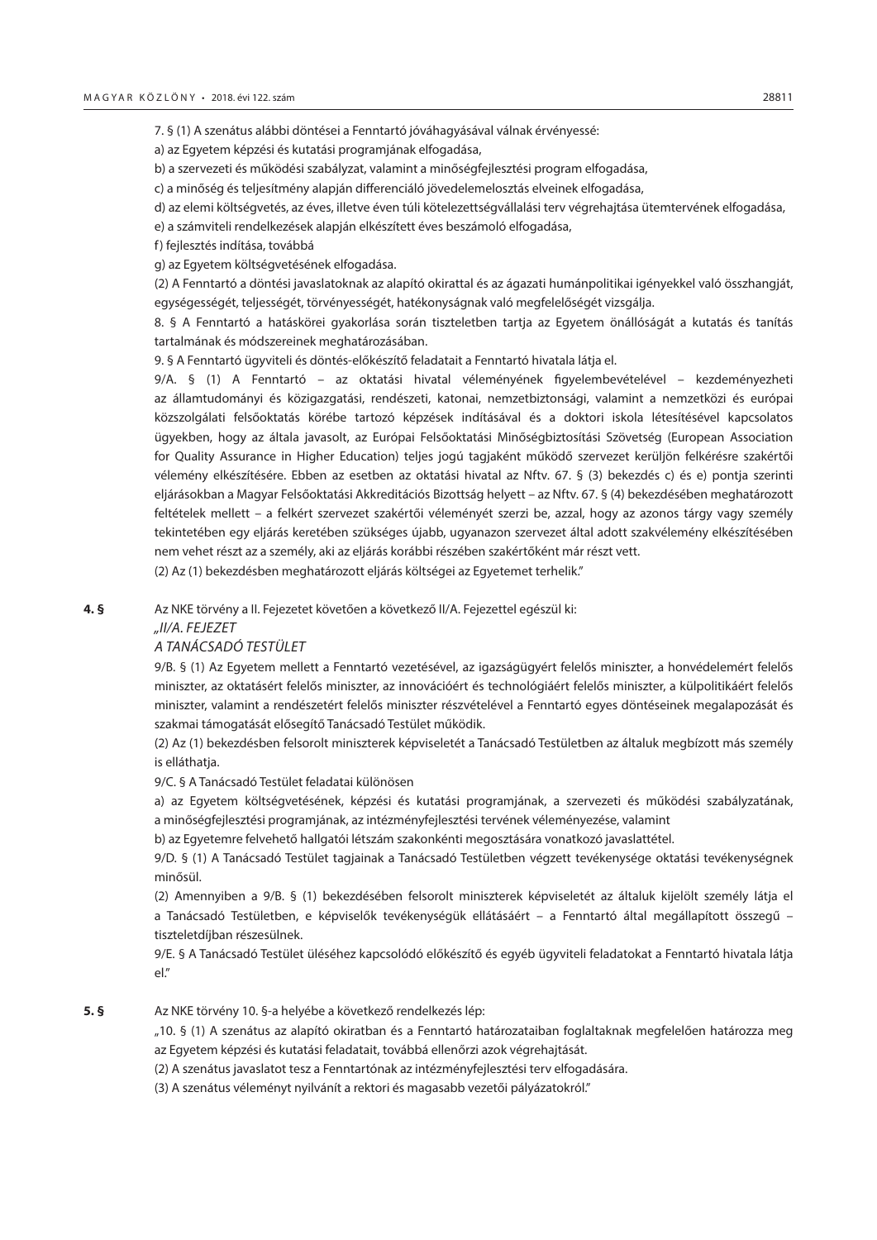7. § (1) A szenátus alábbi döntései a Fenntartó jóváhagyásával válnak érvényessé:

a) az Egyetem képzési és kutatási programjának elfogadása,

b) a szervezeti és működési szabályzat, valamint a minőségfejlesztési program elfogadása,

c) a minőség és teljesítmény alapján differenciáló jövedelemelosztás elveinek elfogadása,

d) az elemi költségvetés, az éves, illetve éven túli kötelezettségvállalási terv végrehajtása ütemtervének elfogadása,

e) a számviteli rendelkezések alapján elkészített éves beszámoló elfogadása,

f) fejlesztés indítása, továbbá

g) az Egyetem költségvetésének elfogadása.

(2) A Fenntartó a döntési javaslatoknak az alapító okirattal és az ágazati humánpolitikai igényekkel való összhangját, egységességét, teljességét, törvényességét, hatékonyságnak való megfelelőségét vizsgálja.

8. § A Fenntartó a hatáskörei gyakorlása során tiszteletben tartja az Egyetem önállóságát a kutatás és tanítás tartalmának és módszereinek meghatározásában.

9. § A Fenntartó ügyviteli és döntés-előkészítő feladatait a Fenntartó hivatala látja el.

9/A. § (1) A Fenntartó – az oktatási hivatal véleményének figyelembevételével – kezdeményezheti az államtudományi és közigazgatási, rendészeti, katonai, nemzetbiztonsági, valamint a nemzetközi és európai közszolgálati felsőoktatás körébe tartozó képzések indításával és a doktori iskola létesítésével kapcsolatos ügyekben, hogy az általa javasolt, az Európai Felsőoktatási Minőségbiztosítási Szövetség (European Association for Quality Assurance in Higher Education) teljes jogú tagjaként működő szervezet kerüljön felkérésre szakértői vélemény elkészítésére. Ebben az esetben az oktatási hivatal az Nftv. 67. § (3) bekezdés c) és e) pontja szerinti eljárásokban a Magyar Felsőoktatási Akkreditációs Bizottság helyett – az Nftv. 67. § (4) bekezdésében meghatározott feltételek mellett – a felkért szervezet szakértői véleményét szerzi be, azzal, hogy az azonos tárgy vagy személy tekintetében egy eljárás keretében szükséges újabb, ugyanazon szervezet által adott szakvélemény elkészítésében nem vehet részt az a személy, aki az eljárás korábbi részében szakértőként már részt vett.

(2) Az (1) bekezdésben meghatározott eljárás költségei az Egyetemet terhelik."

**4. §** Az NKE törvény a II. Fejezetet követően a következő II/A. Fejezettel egészül ki:

## *"II/A. FEJEZET*

#### *A TANÁCSADÓ TESTÜLET*

9/B. § (1) Az Egyetem mellett a Fenntartó vezetésével, az igazságügyért felelős miniszter, a honvédelemért felelős miniszter, az oktatásért felelős miniszter, az innovációért és technológiáért felelős miniszter, a külpolitikáért felelős miniszter, valamint a rendészetért felelős miniszter részvételével a Fenntartó egyes döntéseinek megalapozását és szakmai támogatását elősegítő Tanácsadó Testület működik.

(2) Az (1) bekezdésben felsorolt miniszterek képviseletét a Tanácsadó Testületben az általuk megbízott más személy is elláthatja.

9/C. § A Tanácsadó Testület feladatai különösen

a) az Egyetem költségvetésének, képzési és kutatási programjának, a szervezeti és működési szabályzatának, a minőségfejlesztési programjának, az intézményfejlesztési tervének véleményezése, valamint

b) az Egyetemre felvehető hallgatói létszám szakonkénti megosztására vonatkozó javaslattétel.

9/D. § (1) A Tanácsadó Testület tagjainak a Tanácsadó Testületben végzett tevékenysége oktatási tevékenységnek minősül.

(2) Amennyiben a 9/B. § (1) bekezdésében felsorolt miniszterek képviseletét az általuk kijelölt személy látja el a Tanácsadó Testületben, e képviselők tevékenységük ellátásáért – a Fenntartó által megállapított összegű – tiszteletdíjban részesülnek.

9/E. § A Tanácsadó Testület üléséhez kapcsolódó előkészítő és egyéb ügyviteli feladatokat a Fenntartó hivatala látja el."

**5. §** Az NKE törvény 10. §-a helyébe a következő rendelkezés lép:

"10. § (1) A szenátus az alapító okiratban és a Fenntartó határozataiban foglaltaknak megfelelően határozza meg az Egyetem képzési és kutatási feladatait, továbbá ellenőrzi azok végrehajtását.

(2) A szenátus javaslatot tesz a Fenntartónak az intézményfejlesztési terv elfogadására.

(3) A szenátus véleményt nyilvánít a rektori és magasabb vezetői pályázatokról."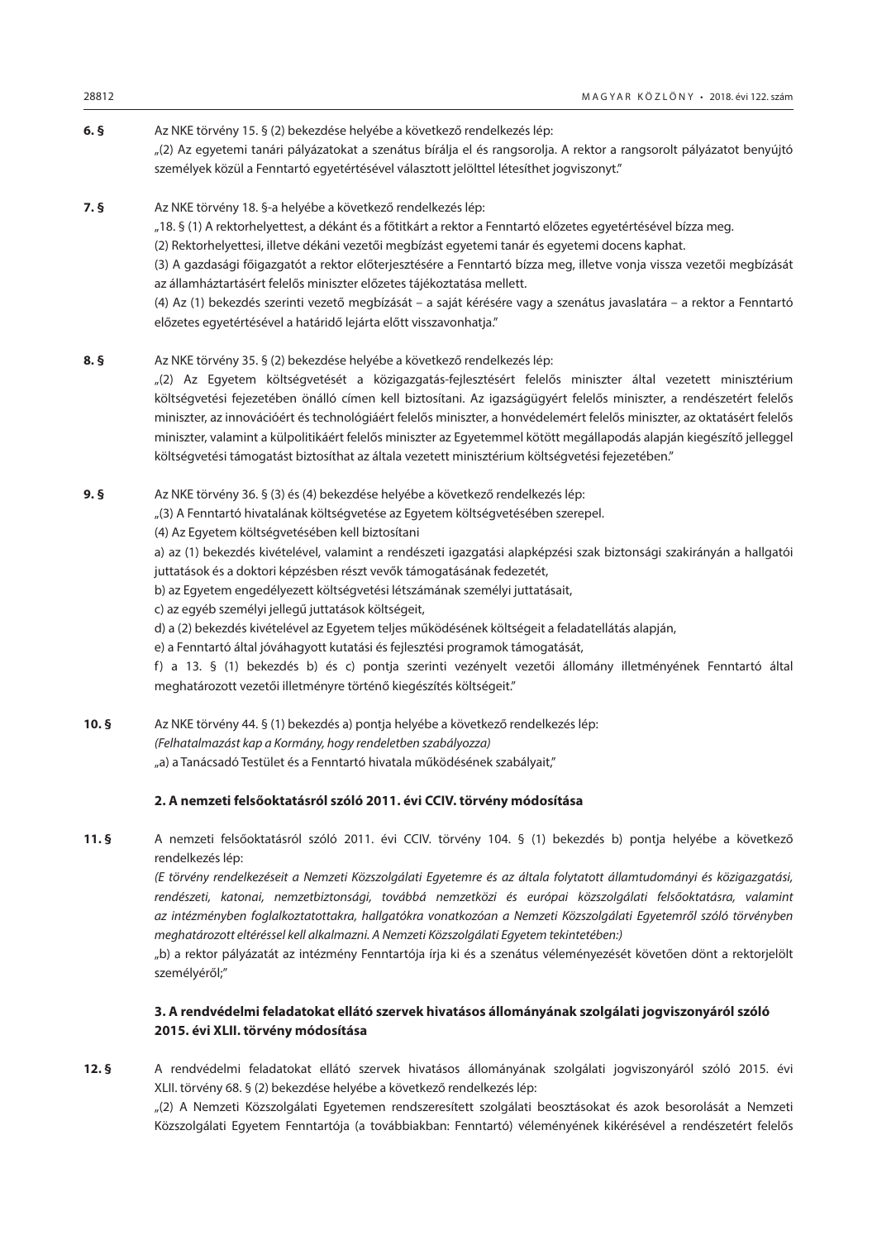## **6. §** Az NKE törvény 15. § (2) bekezdése helyébe a következő rendelkezés lép: "(2) Az egyetemi tanári pályázatokat a szenátus bírálja el és rangsorolja. A rektor a rangsorolt pályázatot benyújtó személyek közül a Fenntartó egyetértésével választott jelölttel létesíthet jogviszonyt."

**7. §** Az NKE törvény 18. §-a helyébe a következő rendelkezés lép: "18. § (1) A rektorhelyettest, a dékánt és a főtitkárt a rektor a Fenntartó előzetes egyetértésével bízza meg. (2) Rektorhelyettesi, illetve dékáni vezetői megbízást egyetemi tanár és egyetemi docens kaphat. (3) A gazdasági főigazgatót a rektor előterjesztésére a Fenntartó bízza meg, illetve vonja vissza vezetői megbízását az államháztartásért felelős miniszter előzetes tájékoztatása mellett. (4) Az (1) bekezdés szerinti vezető megbízását – a saját kérésére vagy a szenátus javaslatára – a rektor a Fenntartó előzetes egyetértésével a határidő lejárta előtt visszavonhatja."

## **8. §** Az NKE törvény 35. § (2) bekezdése helyébe a következő rendelkezés lép:

"(2) Az Egyetem költségvetését a közigazgatás-fejlesztésért felelős miniszter által vezetett minisztérium költségvetési fejezetében önálló címen kell biztosítani. Az igazságügyért felelős miniszter, a rendészetért felelős miniszter, az innovációért és technológiáért felelős miniszter, a honvédelemért felelős miniszter, az oktatásért felelős miniszter, valamint a külpolitikáért felelős miniszter az Egyetemmel kötött megállapodás alapján kiegészítő jelleggel költségvetési támogatást biztosíthat az általa vezetett minisztérium költségvetési fejezetében."

**9. §** Az NKE törvény 36. § (3) és (4) bekezdése helyébe a következő rendelkezés lép:

"(3) A Fenntartó hivatalának költségvetése az Egyetem költségvetésében szerepel.

(4) Az Egyetem költségvetésében kell biztosítani

a) az (1) bekezdés kivételével, valamint a rendészeti igazgatási alapképzési szak biztonsági szakirányán a hallgatói juttatások és a doktori képzésben részt vevők támogatásának fedezetét,

- b) az Egyetem engedélyezett költségvetési létszámának személyi juttatásait,
- c) az egyéb személyi jellegű juttatások költségeit,
- d) a (2) bekezdés kivételével az Egyetem teljes működésének költségeit a feladatellátás alapján,
- e) a Fenntartó által jóváhagyott kutatási és fejlesztési programok támogatását,

f) a 13. § (1) bekezdés b) és c) pontja szerinti vezényelt vezetői állomány illetményének Fenntartó által meghatározott vezetői illetményre történő kiegészítés költségeit."

**10. §** Az NKE törvény 44. § (1) bekezdés a) pontja helyébe a következő rendelkezés lép: *(Felhatalmazást kap a Kormány, hogy rendeletben szabályozza)*

"a) a Tanácsadó Testület és a Fenntartó hivatala működésének szabályait,"

## **2. A nemzeti felsőoktatásról szóló 2011. évi CCIV. törvény módosítása**

**11. §** A nemzeti felsőoktatásról szóló 2011. évi CCIV. törvény 104. § (1) bekezdés b) pontja helyébe a következő rendelkezés lép:

*(E törvény rendelkezéseit a Nemzeti Közszolgálati Egyetemre és az általa folytatott államtudományi és közigazgatási, rendészeti, katonai, nemzetbiztonsági, továbbá nemzetközi és európai közszolgálati felsőoktatásra, valamint az intézményben foglalkoztatottakra, hallgatókra vonatkozóan a Nemzeti Közszolgálati Egyetemről szóló törvényben meghatározott eltéréssel kell alkalmazni. A Nemzeti Közszolgálati Egyetem tekintetében:)*

"b) a rektor pályázatát az intézmény Fenntartója írja ki és a szenátus véleményezését követően dönt a rektorjelölt személyéről;"

## **3. A rendvédelmi feladatokat ellátó szervek hivatásos állományának szolgálati jogviszonyáról szóló 2015. évi XLII. törvény módosítása**

**12. §** A rendvédelmi feladatokat ellátó szervek hivatásos állományának szolgálati jogviszonyáról szóló 2015. évi XLII. törvény 68. § (2) bekezdése helyébe a következő rendelkezés lép:

"(2) A Nemzeti Közszolgálati Egyetemen rendszeresített szolgálati beosztásokat és azok besorolását a Nemzeti Közszolgálati Egyetem Fenntartója (a továbbiakban: Fenntartó) véleményének kikérésével a rendészetért felelős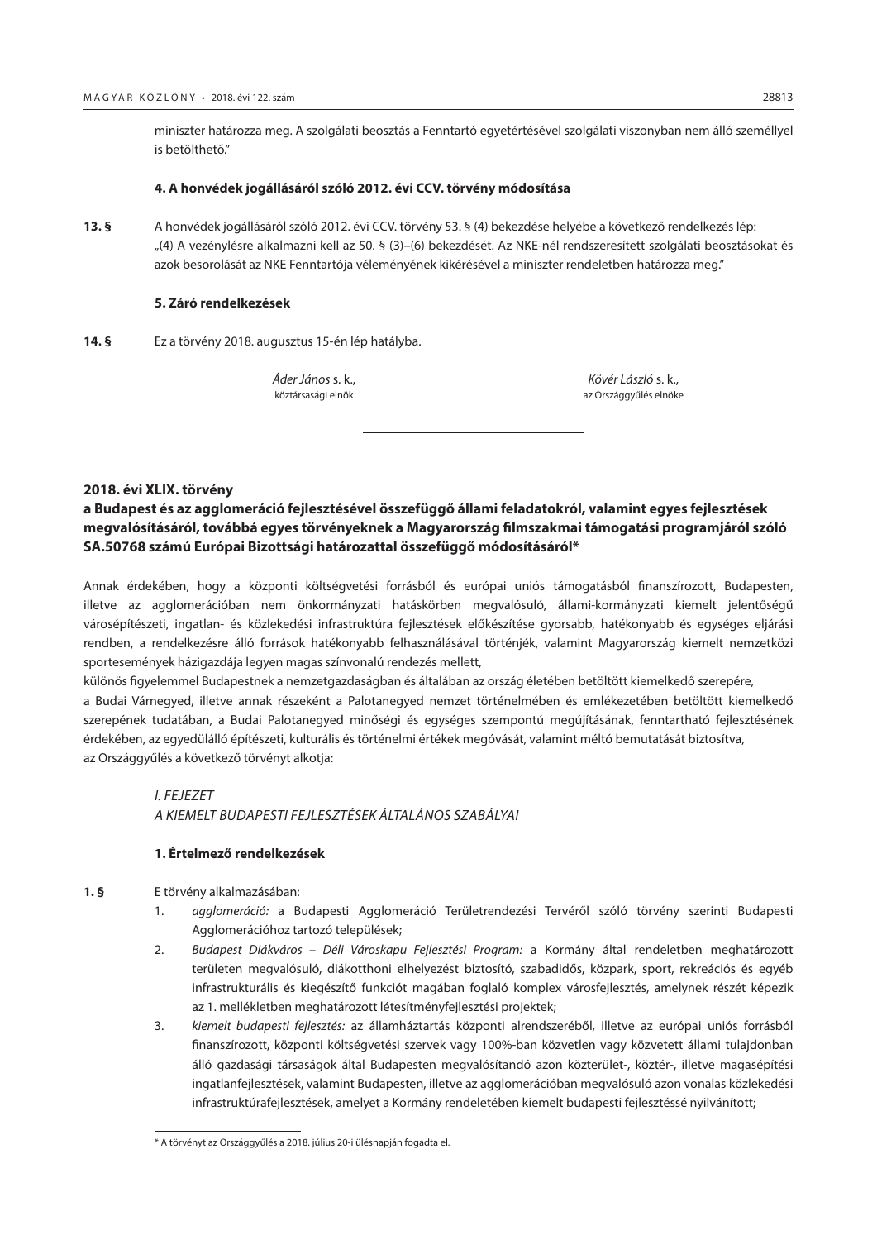<span id="page-20-0"></span>miniszter határozza meg. A szolgálati beosztás a Fenntartó egyetértésével szolgálati viszonyban nem álló személlyel is betölthető."

## **4. A honvédek jogállásáról szóló 2012. évi CCV. törvény módosítása**

**13. §** A honvédek jogállásáról szóló 2012. évi CCV. törvény 53. § (4) bekezdése helyébe a következő rendelkezés lép: "(4) A vezénylésre alkalmazni kell az 50. § (3)–(6) bekezdését. Az NKE-nél rendszeresített szolgálati beosztásokat és azok besorolását az NKE Fenntartója véleményének kikérésével a miniszter rendeletben határozza meg."

## **5. Záró rendelkezések**

**14. §** Ez a törvény 2018. augusztus 15-én lép hatályba.

*Áder János* s. k., *Kövér László* s. k., köztársasági elnök az Országgyűlés elnökezett az Országgyűlés elnökezett az Országgyűlés elnökezett az Országgyűlés elnökezett az Országgyűlés elnökezett az Országgyűlés elnökezett az Országgyűlés elnökezett az Országgyűlé

## **2018. évi XLIX. törvény**

## **a Budapest és az agglomeráció fejlesztésével összefüggő állami feladatokról, valamint egyes fejlesztések megvalósításáról, továbbá egyes törvényeknek a Magyarország filmszakmai támogatási programjáról szóló SA.50768 számú Európai Bizottsági határozattal összefüggő módosításáról\***

Annak érdekében, hogy a központi költségvetési forrásból és európai uniós támogatásból finanszírozott, Budapesten, illetve az agglomerációban nem önkormányzati hatáskörben megvalósuló, állami-kormányzati kiemelt jelentőségű városépítészeti, ingatlan- és közlekedési infrastruktúra fejlesztések előkészítése gyorsabb, hatékonyabb és egységes eljárási rendben, a rendelkezésre álló források hatékonyabb felhasználásával történjék, valamint Magyarország kiemelt nemzetközi sportesemények házigazdája legyen magas színvonalú rendezés mellett,

különös figyelemmel Budapestnek a nemzetgazdaságban és általában az ország életében betöltött kiemelkedő szerepére, a Budai Várnegyed, illetve annak részeként a Palotanegyed nemzet történelmében és emlékezetében betöltött kiemelkedő szerepének tudatában, a Budai Palotanegyed minőségi és egységes szempontú megújításának, fenntartható fejlesztésének

érdekében, az egyedülálló építészeti, kulturális és történelmi értékek megóvását, valamint méltó bemutatását biztosítva, az Országgyűlés a következő törvényt alkotja:

## *I. FEJEZET*

*A KIEMELT BUDAPESTI FEJLESZTÉSEK ÁLTALÁNOS SZABÁLYAI*

## **1. Értelmező rendelkezések**

## **1. §** E törvény alkalmazásában:

- 1. *agglomeráció:* a Budapesti Agglomeráció Területrendezési Tervéről szóló törvény szerinti Budapesti Agglomerációhoz tartozó települések;
- 2. *Budapest Diákváros Déli Városkapu Fejlesztési Program:* a Kormány által rendeletben meghatározott területen megvalósuló, diákotthoni elhelyezést biztosító, szabadidős, közpark, sport, rekreációs és egyéb infrastrukturális és kiegészítő funkciót magában foglaló komplex városfejlesztés, amelynek részét képezik az 1. mellékletben meghatározott létesítményfejlesztési projektek;
- 3. *kiemelt budapesti fejlesztés:* az államháztartás központi alrendszeréből, illetve az európai uniós forrásból finanszírozott, központi költségvetési szervek vagy 100%-ban közvetlen vagy közvetett állami tulajdonban álló gazdasági társaságok által Budapesten megvalósítandó azon közterület-, köztér-, illetve magasépítési ingatlanfejlesztések, valamint Budapesten, illetve az agglomerációban megvalósuló azon vonalas közlekedési infrastruktúrafejlesztések, amelyet a Kormány rendeletében kiemelt budapesti fejlesztéssé nyilvánított;

<sup>\*</sup> A törvényt az Országgyűlés a 2018. július 20-i ülésnapján fogadta el.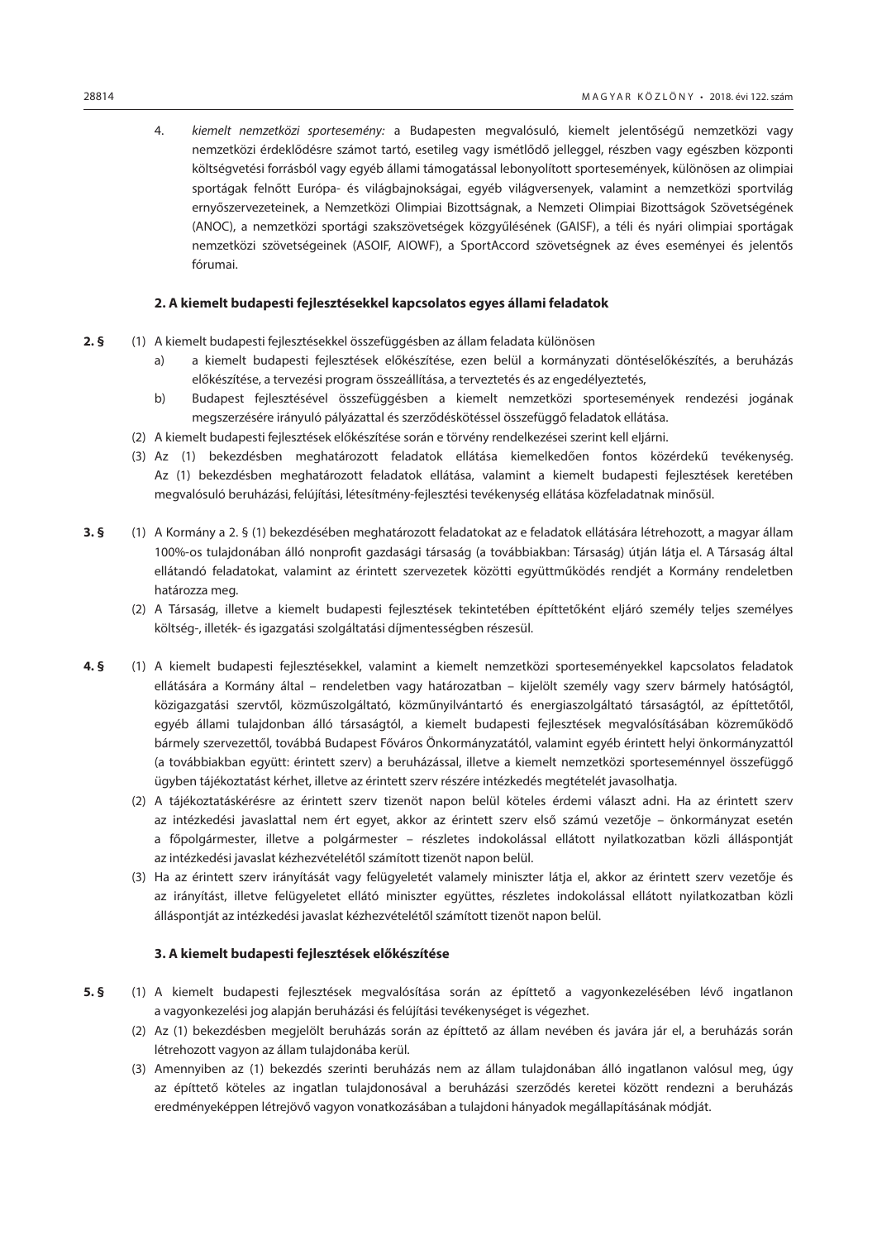4. *kiemelt nemzetközi sportesemény:* a Budapesten megvalósuló, kiemelt jelentőségű nemzetközi vagy nemzetközi érdeklődésre számot tartó, esetileg vagy ismétlődő jelleggel, részben vagy egészben központi költségvetési forrásból vagy egyéb állami támogatással lebonyolított sportesemények, különösen az olimpiai sportágak felnőtt Európa- és világbajnokságai, egyéb világversenyek, valamint a nemzetközi sportvilág ernyőszervezeteinek, a Nemzetközi Olimpiai Bizottságnak, a Nemzeti Olimpiai Bizottságok Szövetségének (ANOC), a nemzetközi sportági szakszövetségek közgyűlésének (GAISF), a téli és nyári olimpiai sportágak nemzetközi szövetségeinek (ASOIF, AIOWF), a SportAccord szövetségnek az éves eseményei és jelentős fórumai.

## **2. A kiemelt budapesti fejlesztésekkel kapcsolatos egyes állami feladatok**

- **2. §** (1) A kiemelt budapesti fejlesztésekkel összefüggésben az állam feladata különösen
	- a) a kiemelt budapesti fejlesztések előkészítése, ezen belül a kormányzati döntéselőkészítés, a beruházás előkészítése, a tervezési program összeállítása, a terveztetés és az engedélyeztetés,
	- b) Budapest fejlesztésével összefüggésben a kiemelt nemzetközi sportesemények rendezési jogának megszerzésére irányuló pályázattal és szerződéskötéssel összefüggő feladatok ellátása.
	- (2) A kiemelt budapesti fejlesztések előkészítése során e törvény rendelkezései szerint kell eljárni.
	- (3) Az (1) bekezdésben meghatározott feladatok ellátása kiemelkedően fontos közérdekű tevékenység. Az (1) bekezdésben meghatározott feladatok ellátása, valamint a kiemelt budapesti fejlesztések keretében megvalósuló beruházási, felújítási, létesítmény-fejlesztési tevékenység ellátása közfeladatnak minősül.
- **3. §** (1) A Kormány a 2. § (1) bekezdésében meghatározott feladatokat az e feladatok ellátására létrehozott, a magyar állam 100%-os tulajdonában álló nonprofit gazdasági társaság (a továbbiakban: Társaság) útján látja el. A Társaság által ellátandó feladatokat, valamint az érintett szervezetek közötti együttműködés rendjét a Kormány rendeletben határozza meg.
	- (2) A Társaság, illetve a kiemelt budapesti fejlesztések tekintetében építtetőként eljáró személy teljes személyes költség-, illeték- és igazgatási szolgáltatási díjmentességben részesül.
- **4. §** (1) A kiemelt budapesti fejlesztésekkel, valamint a kiemelt nemzetközi sporteseményekkel kapcsolatos feladatok ellátására a Kormány által – rendeletben vagy határozatban – kijelölt személy vagy szerv bármely hatóságtól, közigazgatási szervtől, közműszolgáltató, közműnyilvántartó és energiaszolgáltató társaságtól, az építtetőtől, egyéb állami tulajdonban álló társaságtól, a kiemelt budapesti fejlesztések megvalósításában közreműködő bármely szervezettől, továbbá Budapest Főváros Önkormányzatától, valamint egyéb érintett helyi önkormányzattól (a továbbiakban együtt: érintett szerv) a beruházással, illetve a kiemelt nemzetközi sporteseménnyel összefüggő ügyben tájékoztatást kérhet, illetve az érintett szerv részére intézkedés megtételét javasolhatja.
	- (2) A tájékoztatáskérésre az érintett szerv tizenöt napon belül köteles érdemi választ adni. Ha az érintett szerv az intézkedési javaslattal nem ért egyet, akkor az érintett szerv első számú vezetője – önkormányzat esetén a főpolgármester, illetve a polgármester – részletes indokolással ellátott nyilatkozatban közli álláspontját az intézkedési javaslat kézhezvételétől számított tizenöt napon belül.
	- (3) Ha az érintett szerv irányítását vagy felügyeletét valamely miniszter látja el, akkor az érintett szerv vezetője és az irányítást, illetve felügyeletet ellátó miniszter együttes, részletes indokolással ellátott nyilatkozatban közli álláspontját az intézkedési javaslat kézhezvételétől számított tizenöt napon belül.

## **3. A kiemelt budapesti fejlesztések előkészítése**

- **5. §** (1) A kiemelt budapesti fejlesztések megvalósítása során az építtető a vagyonkezelésében lévő ingatlanon a vagyonkezelési jog alapján beruházási és felújítási tevékenységet is végezhet.
	- (2) Az (1) bekezdésben megjelölt beruházás során az építtető az állam nevében és javára jár el, a beruházás során létrehozott vagyon az állam tulajdonába kerül.
	- (3) Amennyiben az (1) bekezdés szerinti beruházás nem az állam tulajdonában álló ingatlanon valósul meg, úgy az építtető köteles az ingatlan tulajdonosával a beruházási szerződés keretei között rendezni a beruházás eredményeképpen létrejövő vagyon vonatkozásában a tulajdoni hányadok megállapításának módját.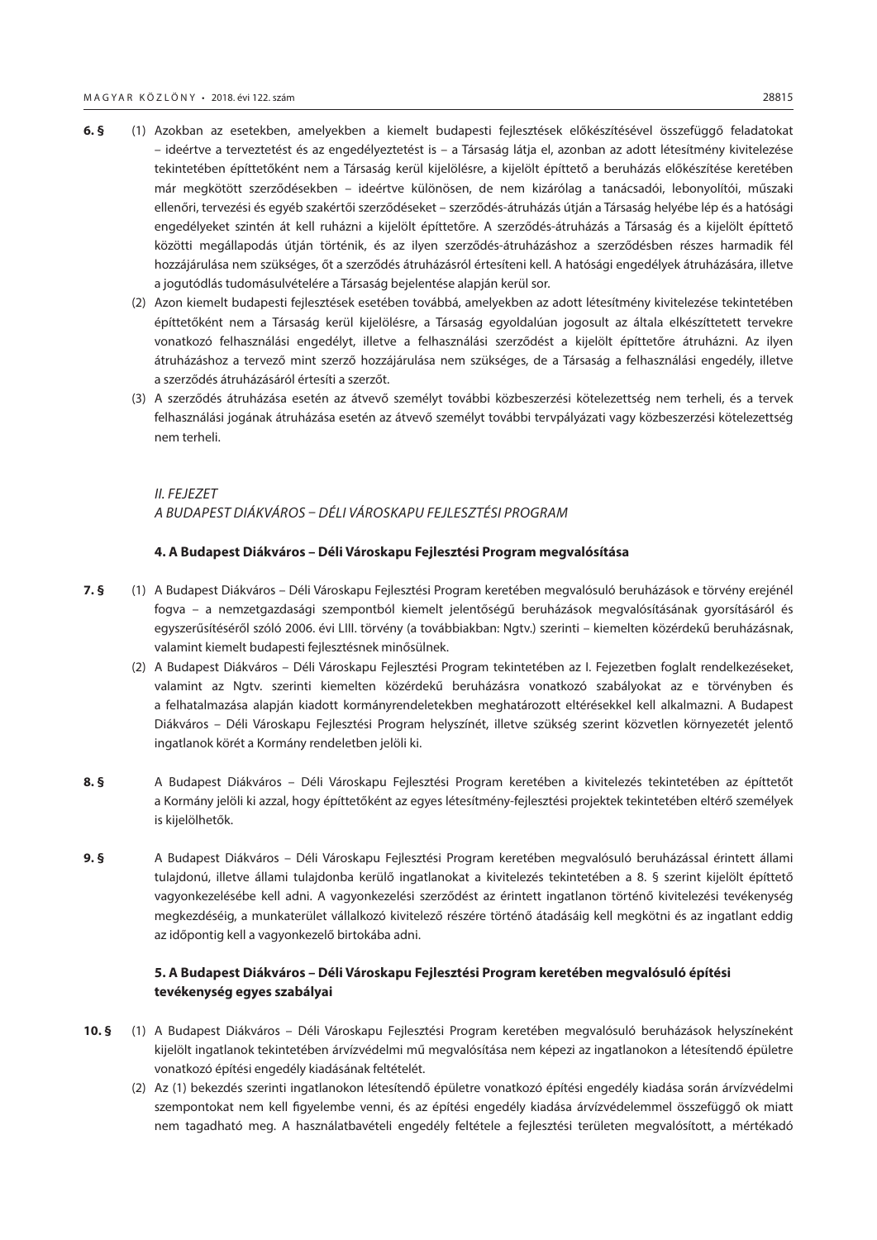- **6. §** (1) Azokban az esetekben, amelyekben a kiemelt budapesti fejlesztések előkészítésével összefüggő feladatokat – ideértve a terveztetést és az engedélyeztetést is – a Társaság látja el, azonban az adott létesítmény kivitelezése tekintetében építtetőként nem a Társaság kerül kijelölésre, a kijelölt építtető a beruházás előkészítése keretében már megkötött szerződésekben – ideértve különösen, de nem kizárólag a tanácsadói, lebonyolítói, műszaki ellenőri, tervezési és egyéb szakértői szerződéseket – szerződés-átruházás útján a Társaság helyébe lép és a hatósági engedélyeket szintén át kell ruházni a kijelölt építtetőre. A szerződés-átruházás a Társaság és a kijelölt építtető közötti megállapodás útján történik, és az ilyen szerződés-átruházáshoz a szerződésben részes harmadik fél hozzájárulása nem szükséges, őt a szerződés átruházásról értesíteni kell. A hatósági engedélyek átruházására, illetve a jogutódlás tudomásulvételére a Társaság bejelentése alapján kerül sor.
	- (2) Azon kiemelt budapesti fejlesztések esetében továbbá, amelyekben az adott létesítmény kivitelezése tekintetében építtetőként nem a Társaság kerül kijelölésre, a Társaság egyoldalúan jogosult az általa elkészíttetett tervekre vonatkozó felhasználási engedélyt, illetve a felhasználási szerződést a kijelölt építtetőre átruházni. Az ilyen átruházáshoz a tervező mint szerző hozzájárulása nem szükséges, de a Társaság a felhasználási engedély, illetve a szerződés átruházásáról értesíti a szerzőt.
	- (3) A szerződés átruházása esetén az átvevő személyt további közbeszerzési kötelezettség nem terheli, és a tervek felhasználási jogának átruházása esetén az átvevő személyt további tervpályázati vagy közbeszerzési kötelezettség nem terheli.

## *II. FEJEZET A BUDAPEST DIÁKVÁROS – DÉLI VÁROSKAPU FEJLESZTÉSI PROGRAM*

#### **4. A Budapest Diákváros – Déli Városkapu Fejlesztési Program megvalósítása**

- **7. §** (1) A Budapest Diákváros Déli Városkapu Fejlesztési Program keretében megvalósuló beruházások e törvény erejénél fogva – a nemzetgazdasági szempontból kiemelt jelentőségű beruházások megvalósításának gyorsításáról és egyszerűsítéséről szóló 2006. évi LIII. törvény (a továbbiakban: Ngtv.) szerinti – kiemelten közérdekű beruházásnak, valamint kiemelt budapesti fejlesztésnek minősülnek.
	- (2) A Budapest Diákváros Déli Városkapu Fejlesztési Program tekintetében az I. Fejezetben foglalt rendelkezéseket, valamint az Ngtv. szerinti kiemelten közérdekű beruházásra vonatkozó szabályokat az e törvényben és a felhatalmazása alapján kiadott kormányrendeletekben meghatározott eltérésekkel kell alkalmazni. A Budapest Diákváros – Déli Városkapu Fejlesztési Program helyszínét, illetve szükség szerint közvetlen környezetét jelentő ingatlanok körét a Kormány rendeletben jelöli ki.
- **8. §** A Budapest Diákváros Déli Városkapu Fejlesztési Program keretében a kivitelezés tekintetében az építtetőt a Kormány jelöli ki azzal, hogy építtetőként az egyes létesítmény-fejlesztési projektek tekintetében eltérő személyek is kijelölhetők.
- **9. §** A Budapest Diákváros Déli Városkapu Fejlesztési Program keretében megvalósuló beruházással érintett állami tulajdonú, illetve állami tulajdonba kerülő ingatlanokat a kivitelezés tekintetében a 8. § szerint kijelölt építtető vagyonkezelésébe kell adni. A vagyonkezelési szerződést az érintett ingatlanon történő kivitelezési tevékenység megkezdéséig, a munkaterület vállalkozó kivitelező részére történő átadásáig kell megkötni és az ingatlant eddig az időpontig kell a vagyonkezelő birtokába adni.

## **5. A Budapest Diákváros – Déli Városkapu Fejlesztési Program keretében megvalósuló építési tevékenység egyes szabályai**

- **10. §** (1) A Budapest Diákváros Déli Városkapu Fejlesztési Program keretében megvalósuló beruházások helyszíneként kijelölt ingatlanok tekintetében árvízvédelmi mű megvalósítása nem képezi az ingatlanokon a létesítendő épületre vonatkozó építési engedély kiadásának feltételét.
	- (2) Az (1) bekezdés szerinti ingatlanokon létesítendő épületre vonatkozó építési engedély kiadása során árvízvédelmi szempontokat nem kell figyelembe venni, és az építési engedély kiadása árvízvédelemmel összefüggő ok miatt nem tagadható meg. A használatbavételi engedély feltétele a fejlesztési területen megvalósított, a mértékadó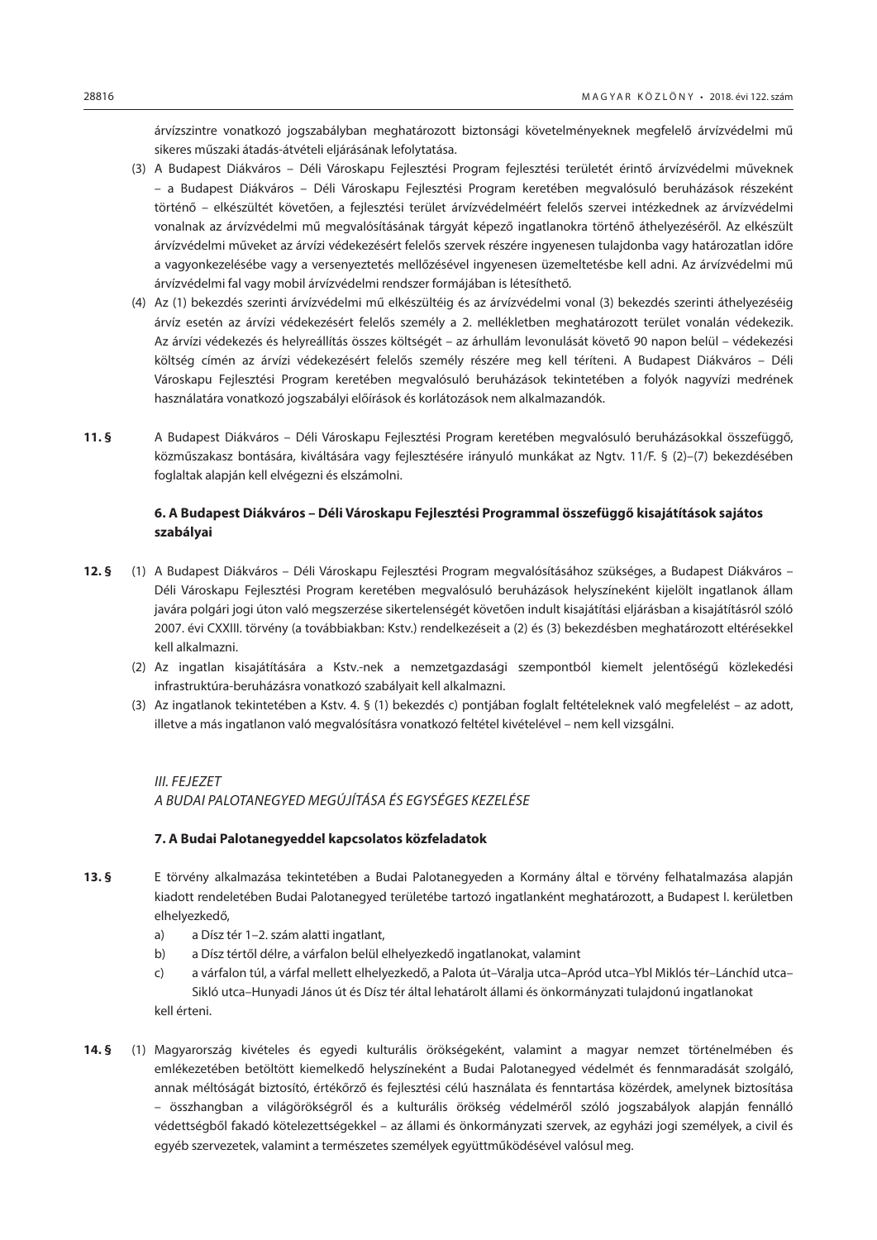árvízszintre vonatkozó jogszabályban meghatározott biztonsági követelményeknek megfelelő árvízvédelmi mű sikeres műszaki átadás-átvételi eljárásának lefolytatása.

- (3) A Budapest Diákváros Déli Városkapu Fejlesztési Program fejlesztési területét érintő árvízvédelmi műveknek – a Budapest Diákváros – Déli Városkapu Fejlesztési Program keretében megvalósuló beruházások részeként történő – elkészültét követően, a fejlesztési terület árvízvédelméért felelős szervei intézkednek az árvízvédelmi vonalnak az árvízvédelmi mű megvalósításának tárgyát képező ingatlanokra történő áthelyezéséről. Az elkészült árvízvédelmi műveket az árvízi védekezésért felelős szervek részére ingyenesen tulajdonba vagy határozatlan időre a vagyonkezelésébe vagy a versenyeztetés mellőzésével ingyenesen üzemeltetésbe kell adni. Az árvízvédelmi mű árvízvédelmi fal vagy mobil árvízvédelmi rendszer formájában is létesíthető.
- (4) Az (1) bekezdés szerinti árvízvédelmi mű elkészültéig és az árvízvédelmi vonal (3) bekezdés szerinti áthelyezéséig árvíz esetén az árvízi védekezésért felelős személy a 2. mellékletben meghatározott terület vonalán védekezik. Az árvízi védekezés és helyreállítás összes költségét – az árhullám levonulását követő 90 napon belül – védekezési költség címén az árvízi védekezésért felelős személy részére meg kell téríteni. A Budapest Diákváros – Déli Városkapu Fejlesztési Program keretében megvalósuló beruházások tekintetében a folyók nagyvízi medrének használatára vonatkozó jogszabályi előírások és korlátozások nem alkalmazandók.
- **11. §** A Budapest Diákváros Déli Városkapu Fejlesztési Program keretében megvalósuló beruházásokkal összefüggő, közműszakasz bontására, kiváltására vagy fejlesztésére irányuló munkákat az Ngtv. 11/F. § (2)–(7) bekezdésében foglaltak alapján kell elvégezni és elszámolni.

## **6. A Budapest Diákváros – Déli Városkapu Fejlesztési Programmal összefüggő kisajátítások sajátos szabályai**

- **12. §** (1) A Budapest Diákváros Déli Városkapu Fejlesztési Program megvalósításához szükséges, a Budapest Diákváros Déli Városkapu Fejlesztési Program keretében megvalósuló beruházások helyszíneként kijelölt ingatlanok állam javára polgári jogi úton való megszerzése sikertelenségét követően indult kisajátítási eljárásban a kisajátításról szóló 2007. évi CXXIII. törvény (a továbbiakban: Kstv.) rendelkezéseit a (2) és (3) bekezdésben meghatározott eltérésekkel kell alkalmazni.
	- (2) Az ingatlan kisajátítására a Kstv.-nek a nemzetgazdasági szempontból kiemelt jelentőségű közlekedési infrastruktúra-beruházásra vonatkozó szabályait kell alkalmazni.
	- (3) Az ingatlanok tekintetében a Kstv. 4. § (1) bekezdés c) pontjában foglalt feltételeknek való megfelelést az adott, illetve a más ingatlanon való megvalósításra vonatkozó feltétel kivételével – nem kell vizsgálni.

## *III. FEJEZET A BUDAI PALOTANEGYED MEGÚJÍTÁSA ÉS EGYSÉGES KEZELÉSE*

## **7. A Budai Palotanegyeddel kapcsolatos közfeladatok**

- **13. §** E törvény alkalmazása tekintetében a Budai Palotanegyeden a Kormány által e törvény felhatalmazása alapján kiadott rendeletében Budai Palotanegyed területébe tartozó ingatlanként meghatározott, a Budapest I. kerületben elhelyezkedő,
	- a) a Dísz tér 1–2. szám alatti ingatlant,
	- b) a Dísz tértől délre, a várfalon belül elhelyezkedő ingatlanokat, valamint
	- c) a várfalon túl, a várfal mellett elhelyezkedő, a Palota út–Váralja utca–Apród utca–Ybl Miklós tér–Lánchíd utca– Sikló utca–Hunyadi János út és Dísz tér által lehatárolt állami és önkormányzati tulajdonú ingatlanokat kell érteni.
- **14. §** (1) Magyarország kivételes és egyedi kulturális örökségeként, valamint a magyar nemzet történelmében és emlékezetében betöltött kiemelkedő helyszíneként a Budai Palotanegyed védelmét és fennmaradását szolgáló, annak méltóságát biztosító, értékőrző és fejlesztési célú használata és fenntartása közérdek, amelynek biztosítása – összhangban a világörökségről és a kulturális örökség védelméről szóló jogszabályok alapján fennálló védettségből fakadó kötelezettségekkel – az állami és önkormányzati szervek, az egyházi jogi személyek, a civil és egyéb szervezetek, valamint a természetes személyek együttműködésével valósul meg.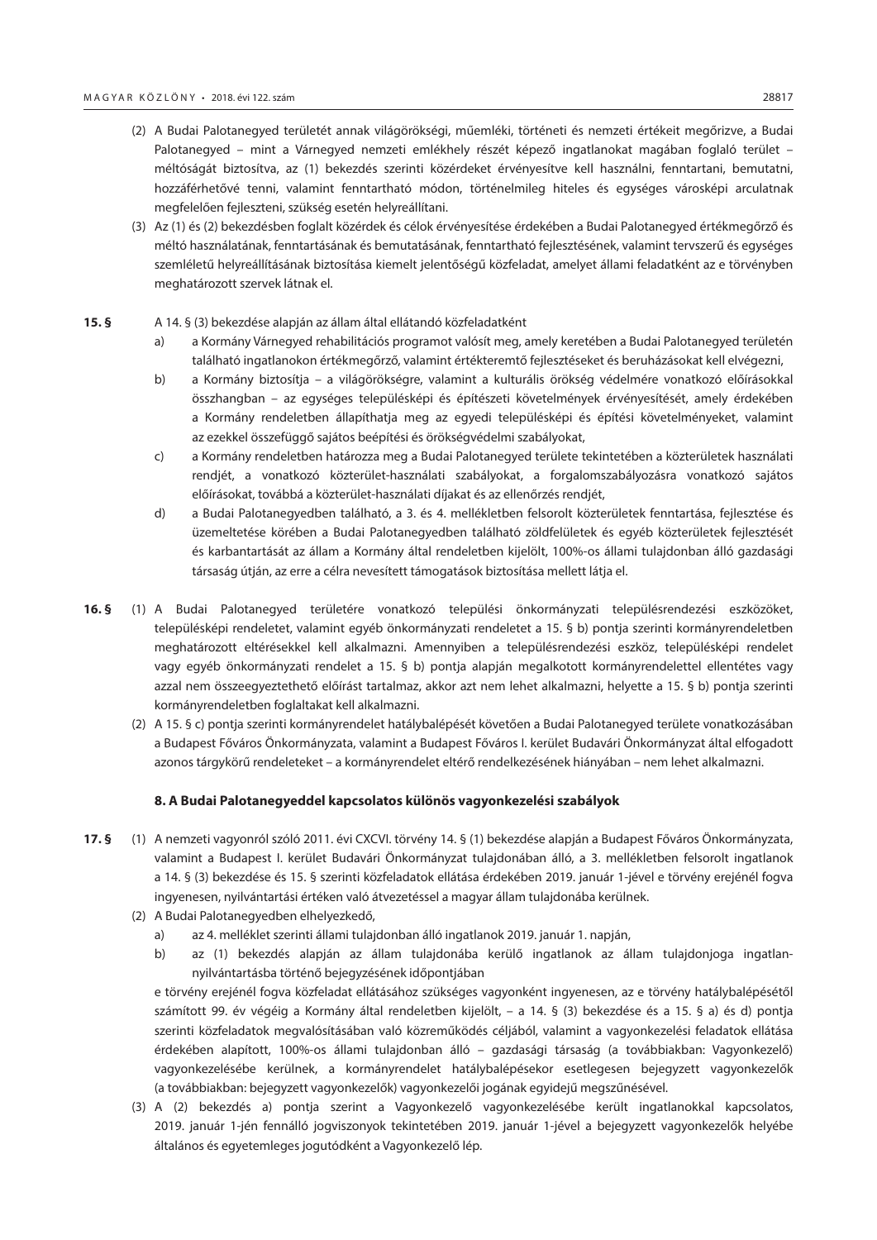- (2) A Budai Palotanegyed területét annak világörökségi, műemléki, történeti és nemzeti értékeit megőrizve, a Budai Palotanegyed – mint a Várnegyed nemzeti emlékhely részét képező ingatlanokat magában foglaló terület – méltóságát biztosítva, az (1) bekezdés szerinti közérdeket érvényesítve kell használni, fenntartani, bemutatni, hozzáférhetővé tenni, valamint fenntartható módon, történelmileg hiteles és egységes városképi arculatnak megfelelően fejleszteni, szükség esetén helyreállítani.
- (3) Az (1) és (2) bekezdésben foglalt közérdek és célok érvényesítése érdekében a Budai Palotanegyed értékmegőrző és méltó használatának, fenntartásának és bemutatásának, fenntartható fejlesztésének, valamint tervszerű és egységes szemléletű helyreállításának biztosítása kiemelt jelentőségű közfeladat, amelyet állami feladatként az e törvényben meghatározott szervek látnak el.

#### **15. §** A 14. § (3) bekezdése alapján az állam által ellátandó közfeladatként

- a) a Kormány Várnegyed rehabilitációs programot valósít meg, amely keretében a Budai Palotanegyed területén található ingatlanokon értékmegőrző, valamint értékteremtő fejlesztéseket és beruházásokat kell elvégezni,
- b) a Kormány biztosítja a világörökségre, valamint a kulturális örökség védelmére vonatkozó előírásokkal összhangban – az egységes településképi és építészeti követelmények érvényesítését, amely érdekében a Kormány rendeletben állapíthatia meg az egyedi településképi és építési követelményeket, valamint az ezekkel összefüggő sajátos beépítési és örökségvédelmi szabályokat,
- c) a Kormány rendeletben határozza meg a Budai Palotanegyed területe tekintetében a közterületek használati rendjét, a vonatkozó közterület-használati szabályokat, a forgalomszabályozásra vonatkozó sajátos előírásokat, továbbá a közterület-használati díjakat és az ellenőrzés rendjét,
- d) a Budai Palotanegyedben található, a 3. és 4. mellékletben felsorolt közterületek fenntartása, fejlesztése és üzemeltetése körében a Budai Palotanegyedben található zöldfelületek és egyéb közterületek fejlesztését és karbantartását az állam a Kormány által rendeletben kijelölt, 100%-os állami tulajdonban álló gazdasági társaság útján, az erre a célra nevesített támogatások biztosítása mellett látja el.
- **16. §** (1) A Budai Palotanegyed területére vonatkozó települési önkormányzati településrendezési eszközöket, településképi rendeletet, valamint egyéb önkormányzati rendeletet a 15. § b) pontja szerinti kormányrendeletben meghatározott eltérésekkel kell alkalmazni. Amennyiben a településrendezési eszköz, településképi rendelet vagy egyéb önkormányzati rendelet a 15. § b) pontja alapján megalkotott kormányrendelettel ellentétes vagy azzal nem összeegyeztethető előírást tartalmaz, akkor azt nem lehet alkalmazni, helyette a 15. § b) pontja szerinti kormányrendeletben foglaltakat kell alkalmazni.
	- (2) A 15. § c) pontja szerinti kormányrendelet hatálybalépését követően a Budai Palotanegyed területe vonatkozásában a Budapest Főváros Önkormányzata, valamint a Budapest Főváros I. kerület Budavári Önkormányzat által elfogadott azonos tárgykörű rendeleteket – a kormányrendelet eltérő rendelkezésének hiányában – nem lehet alkalmazni.

#### **8. A Budai Palotanegyeddel kapcsolatos különös vagyonkezelési szabályok**

- **17. §** (1) A nemzeti vagyonról szóló 2011. évi CXCVI. törvény 14. § (1) bekezdése alapján a Budapest Főváros Önkormányzata, valamint a Budapest I. kerület Budavári Önkormányzat tulajdonában álló, a 3. mellékletben felsorolt ingatlanok a 14. § (3) bekezdése és 15. § szerinti közfeladatok ellátása érdekében 2019. január 1-jével e törvény erejénél fogva ingyenesen, nyilvántartási értéken való átvezetéssel a magyar állam tulajdonába kerülnek.
	- (2) A Budai Palotanegyedben elhelyezkedő,
		- a) az 4. melléklet szerinti állami tulajdonban álló ingatlanok 2019. január 1. napján,
		- b) az (1) bekezdés alapján az állam tulajdonába kerülő ingatlanok az állam tulajdonjoga ingatlannyilvántartásba történő bejegyzésének időpontjában

e törvény erejénél fogva közfeladat ellátásához szükséges vagyonként ingyenesen, az e törvény hatálybalépésétől számított 99. év végéig a Kormány által rendeletben kijelölt, – a 14. § (3) bekezdése és a 15. § a) és d) pontja szerinti közfeladatok megvalósításában való közreműködés céljából, valamint a vagyonkezelési feladatok ellátása érdekében alapított, 100%-os állami tulajdonban álló – gazdasági társaság (a továbbiakban: Vagyonkezelő) vagyonkezelésébe kerülnek, a kormányrendelet hatálybalépésekor esetlegesen bejegyzett vagyonkezelők (a továbbiakban: bejegyzett vagyonkezelők) vagyonkezelői jogának egyidejű megszűnésével.

(3) A (2) bekezdés a) pontja szerint a Vagyonkezelő vagyonkezelésébe került ingatlanokkal kapcsolatos, 2019. január 1-jén fennálló jogviszonyok tekintetében 2019. január 1-jével a bejegyzett vagyonkezelők helyébe általános és egyetemleges jogutódként a Vagyonkezelő lép.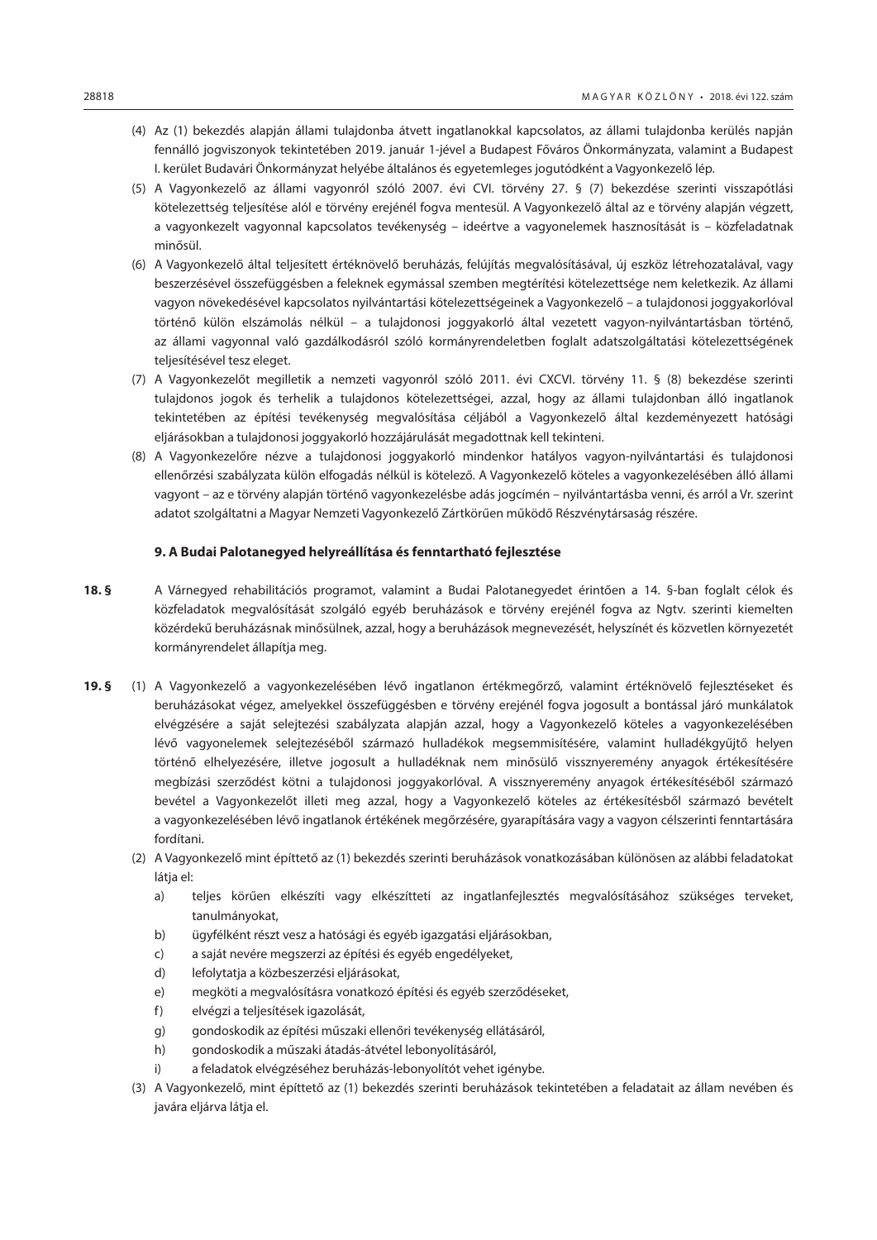- (4) Az (1) bekezdés alapján állami tulajdonba átvett ingatlanokkal kapcsolatos, az állami tulajdonba kerülés napján fennálló jogviszonyok tekintetében 2019. január 1-jével a Budapest Főváros Önkormányzata, valamint a Budapest I. kerület Budavári Önkormányzat helyébe általános és egyetemleges jogutódként a Vagyonkezelő lép.
- (5) A Vagyonkezelő az állami vagyonról szóló 2007. évi CVI. törvény 27. § (7) bekezdése szerinti visszapótlási kötelezettség teljesítése alól e törvény erejénél fogva mentesül. A Vagyonkezelő által az e törvény alapján végzett, a vagyonkezelt vagyonnal kapcsolatos tevékenység – ideértve a vagyonelemek hasznosítását is – közfeladatnak minősül.
- (6) A Vagyonkezelő által teljesített értéknövelő beruházás, felújítás megvalósításával, új eszköz létrehozatalával, vagy beszerzésével összefüggésben a feleknek egymással szemben megtérítési kötelezettsége nem keletkezik. Az állami vagyon növekedésével kapcsolatos nyilvántartási kötelezettségeinek a Vagyonkezelő – a tulajdonosi joggyakorlóval történő külön elszámolás nélkül – a tulajdonosi joggyakorló által vezetett vagyon-nyilvántartásban történő, az állami vagyonnal való gazdálkodásról szóló kormányrendeletben foglalt adatszolgáltatási kötelezettségének teljesítésével tesz eleget.
- (7) A Vagyonkezelőt megilletik a nemzeti vagyonról szóló 2011. évi CXCVI. törvény 11. § (8) bekezdése szerinti tulajdonos jogok és terhelik a tulajdonos kötelezettségei, azzal, hogy az állami tulajdonban álló ingatlanok tekintetében az építési tevékenység megvalósítása céljából a Vagyonkezelő által kezdeményezett hatósági eljárásokban a tulajdonosi joggyakorló hozzájárulását megadottnak kell tekinteni.
- (8) A Vagyonkezelőre nézve a tulajdonosi joggyakorló mindenkor hatályos vagyon-nyilvántartási és tulajdonosi ellenőrzési szabályzata külön elfogadás nélkül is kötelező. A Vagyonkezelő köteles a vagyonkezelésében álló állami vagyont – az e törvény alapján történő vagyonkezelésbe adás jogcímén – nyilvántartásba venni, és arról a Vr. szerint adatot szolgáltatni a Magyar Nemzeti Vagyonkezelő Zártkörűen működő Részvénytársaság részére.

## **9. A Budai Palotanegyed helyreállítása és fenntartható fejlesztése**

- **18. §** A Várnegyed rehabilitációs programot, valamint a Budai Palotanegyedet érintően a 14. §-ban foglalt célok és közfeladatok megvalósítását szolgáló egyéb beruházások e törvény erejénél fogva az Ngtv. szerinti kiemelten közérdekű beruházásnak minősülnek, azzal, hogy a beruházások megnevezését, helyszínét és közvetlen környezetét kormányrendelet állapítja meg.
- **19. §** (1) A Vagyonkezelő a vagyonkezelésében lévő ingatlanon értékmegőrző, valamint értéknövelő fejlesztéseket és beruházásokat végez, amelyekkel összefüggésben e törvény erejénél fogva jogosult a bontással járó munkálatok elvégzésére a saját selejtezési szabályzata alapján azzal, hogy a Vagyonkezelő köteles a vagyonkezelésében lévő vagyonelemek selejtezéséből származó hulladékok megsemmisítésére, valamint hulladékgyűjtő helyen történő elhelyezésére, illetve jogosult a hulladéknak nem minősülő vissznyeremény anyagok értékesítésére megbízási szerződést kötni a tulajdonosi joggyakorlóval. A vissznyeremény anyagok értékesítéséből származó bevétel a Vagyonkezelőt illeti meg azzal, hogy a Vagyonkezelő köteles az értékesítésből származó bevételt a vagyonkezelésében lévő ingatlanok értékének megőrzésére, gyarapítására vagy a vagyon célszerinti fenntartására fordítani.
	- (2) A Vagyonkezelő mint építtető az (1) bekezdés szerinti beruházások vonatkozásában különösen az alábbi feladatokat látja el:
		- a) teljes körűen elkészíti vagy elkészítteti az ingatlanfejlesztés megvalósításához szükséges terveket, tanulmányokat,
		- b) ügyfélként részt vesz a hatósági és egyéb igazgatási eljárásokban,
		- c) a saját nevére megszerzi az építési és egyéb engedélyeket,
		- d) lefolytatja a közbeszerzési eljárásokat,
		- e) megköti a megvalósításra vonatkozó építési és egyéb szerződéseket,
		- f) elvégzi a teljesítések igazolását,
		- g) gondoskodik az építési műszaki ellenőri tevékenység ellátásáról,
		- h) gondoskodik a műszaki átadás-átvétel lebonyolításáról,
		- i) a feladatok elvégzéséhez beruházás-lebonyolítót vehet igénybe.
	- (3) A Vagyonkezelő, mint építtető az (1) bekezdés szerinti beruházások tekintetében a feladatait az állam nevében és javára eljárva látja el.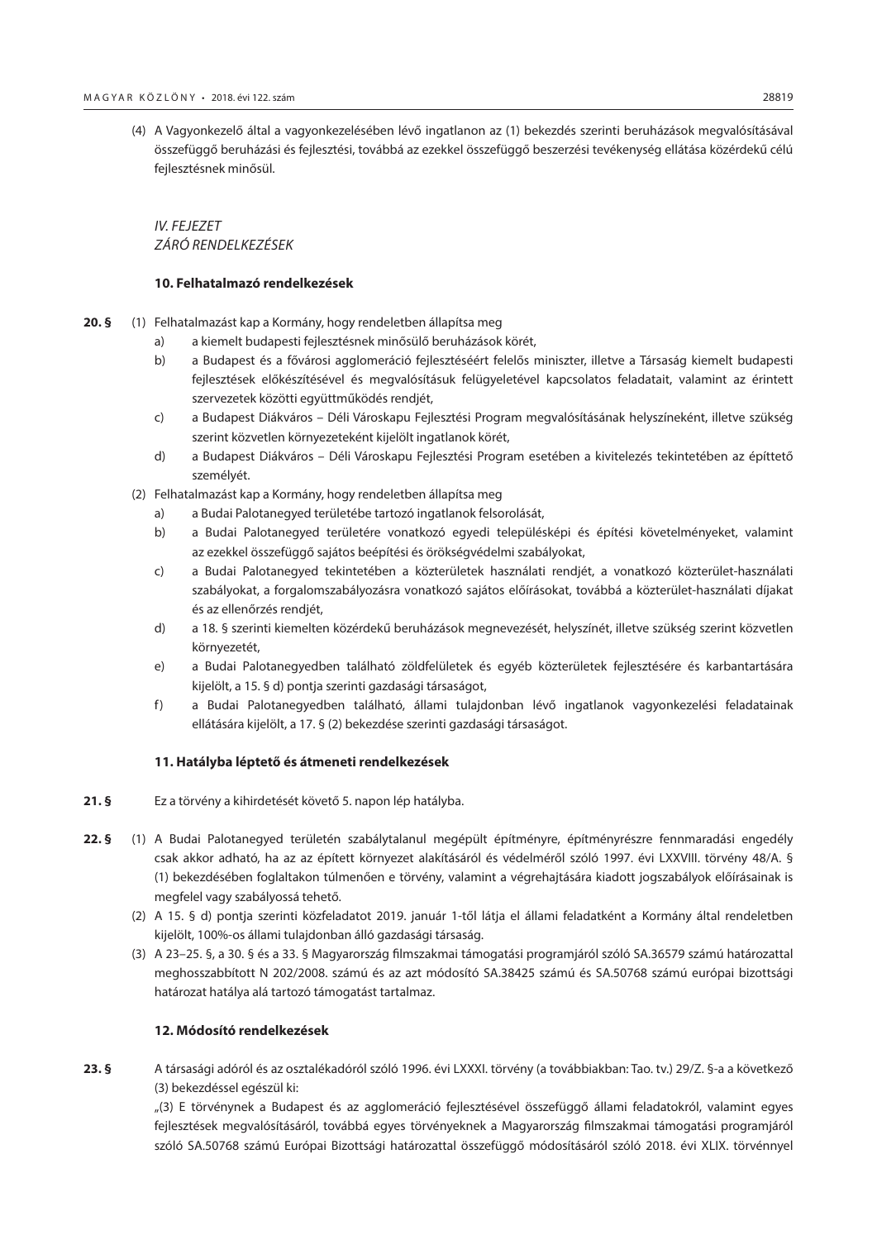(4) A Vagyonkezelő által a vagyonkezelésében lévő ingatlanon az (1) bekezdés szerinti beruházások megvalósításával összefüggő beruházási és fejlesztési, továbbá az ezekkel összefüggő beszerzési tevékenység ellátása közérdekű célú fejlesztésnek minősül.

*IV. FEJEZET ZÁRÓ RENDELKEZÉSEK*

## **10. Felhatalmazó rendelkezések**

- **20. §** (1) Felhatalmazást kap a Kormány, hogy rendeletben állapítsa meg
	- a) a kiemelt budapesti fejlesztésnek minősülő beruházások körét,
	- b) a Budapest és a fővárosi agglomeráció fejlesztéséért felelős miniszter, illetve a Társaság kiemelt budapesti fejlesztések előkészítésével és megvalósításuk felügyeletével kapcsolatos feladatait, valamint az érintett szervezetek közötti együttműködés rendjét,
	- c) a Budapest Diákváros Déli Városkapu Fejlesztési Program megvalósításának helyszíneként, illetve szükség szerint közvetlen környezeteként kijelölt ingatlanok körét,
	- d) a Budapest Diákváros Déli Városkapu Fejlesztési Program esetében a kivitelezés tekintetében az építtető személyét.
	- (2) Felhatalmazást kap a Kormány, hogy rendeletben állapítsa meg
		- a) a Budai Palotanegyed területébe tartozó ingatlanok felsorolását,
		- b) a Budai Palotanegyed területére vonatkozó egyedi településképi és építési követelményeket, valamint az ezekkel összefüggő sajátos beépítési és örökségvédelmi szabályokat,
		- c) a Budai Palotanegyed tekintetében a közterületek használati rendjét, a vonatkozó közterület-használati szabályokat, a forgalomszabályozásra vonatkozó sajátos előírásokat, továbbá a közterület-használati díjakat és az ellenőrzés rendjét,
		- d) a 18. § szerinti kiemelten közérdekű beruházások megnevezését, helyszínét, illetve szükség szerint közvetlen környezetét,
		- e) a Budai Palotanegyedben található zöldfelületek és egyéb közterületek fejlesztésére és karbantartására kijelölt, a 15. § d) pontja szerinti gazdasági társaságot,
		- f) a Budai Palotanegyedben található, állami tulajdonban lévő ingatlanok vagyonkezelési feladatainak ellátására kijelölt, a 17. § (2) bekezdése szerinti gazdasági társaságot.

#### **11. Hatályba léptető és átmeneti rendelkezések**

- **21. §** Ez a törvény a kihirdetését követő 5. napon lép hatályba.
- **22. §** (1) A Budai Palotanegyed területén szabálytalanul megépült építményre, építményrészre fennmaradási engedély csak akkor adható, ha az az épített környezet alakításáról és védelméről szóló 1997. évi LXXVIII. törvény 48/A. § (1) bekezdésében foglaltakon túlmenően e törvény, valamint a végrehajtására kiadott jogszabályok előírásainak is megfelel vagy szabályossá tehető.
	- (2) A 15. § d) pontja szerinti közfeladatot 2019. január 1-től látja el állami feladatként a Kormány által rendeletben kijelölt, 100%-os állami tulajdonban álló gazdasági társaság.
	- (3) A 23–25. §, a 30. § és a 33. § Magyarország filmszakmai támogatási programjáról szóló SA.36579 számú határozattal meghosszabbított N 202/2008. számú és az azt módosító SA.38425 számú és SA.50768 számú európai bizottsági határozat hatálya alá tartozó támogatást tartalmaz.

## **12. Módosító rendelkezések**

**23. §** A társasági adóról és az osztalékadóról szóló 1996. évi LXXXI. törvény (a továbbiakban: Tao. tv.) 29/Z. §-a a következő (3) bekezdéssel egészül ki:

"(3) E törvénynek a Budapest és az agglomeráció fejlesztésével összefüggő állami feladatokról, valamint egyes fejlesztések megvalósításáról, továbbá egyes törvényeknek a Magyarország filmszakmai támogatási programjáról szóló SA.50768 számú Európai Bizottsági határozattal összefüggő módosításáról szóló 2018. évi XLIX. törvénnyel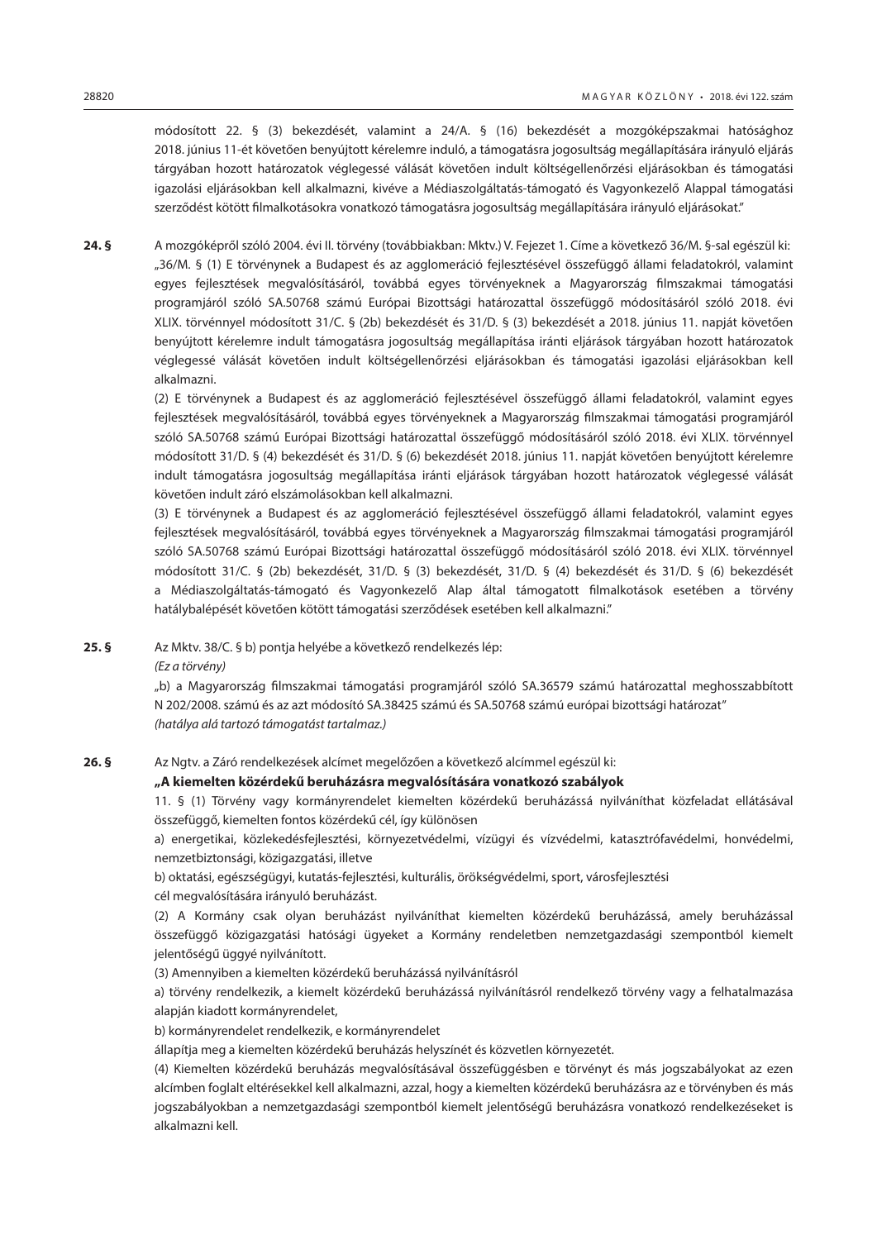módosított 22. § (3) bekezdését, valamint a 24/A. § (16) bekezdését a mozgóképszakmai hatósághoz 2018. június 11-ét követően benyújtott kérelemre induló, a támogatásra jogosultság megállapítására irányuló eljárás tárgyában hozott határozatok véglegessé válását követően indult költségellenőrzési eljárásokban és támogatási igazolási eljárásokban kell alkalmazni, kivéve a Médiaszolgáltatás-támogató és Vagyonkezelő Alappal támogatási szerződést kötött filmalkotásokra vonatkozó támogatásra jogosultság megállapítására irányuló eljárásokat."

**24. §** A mozgóképről szóló 2004. évi II. törvény (továbbiakban: Mktv.) V. Fejezet 1. Címe a következő 36/M. §-sal egészül ki: "36/M. § (1) E törvénynek a Budapest és az agglomeráció fejlesztésével összefüggő állami feladatokról, valamint egyes fejlesztések megvalósításáról, továbbá egyes törvényeknek a Magyarország filmszakmai támogatási programjáról szóló SA.50768 számú Európai Bizottsági határozattal összefüggő módosításáról szóló 2018. évi XLIX. törvénnyel módosított 31/C. § (2b) bekezdését és 31/D. § (3) bekezdését a 2018. június 11. napját követően benyújtott kérelemre indult támogatásra jogosultság megállapítása iránti eljárások tárgyában hozott határozatok véglegessé válását követően indult költségellenőrzési eljárásokban és támogatási igazolási eljárásokban kell alkalmazni.

> (2) E törvénynek a Budapest és az agglomeráció fejlesztésével összefüggő állami feladatokról, valamint egyes fejlesztések megvalósításáról, továbbá egyes törvényeknek a Magyarország filmszakmai támogatási programjáról szóló SA.50768 számú Európai Bizottsági határozattal összefüggő módosításáról szóló 2018. évi XLIX. törvénnyel módosított 31/D. § (4) bekezdését és 31/D. § (6) bekezdését 2018. június 11. napját követően benyújtott kérelemre indult támogatásra jogosultság megállapítása iránti eljárások tárgyában hozott határozatok véglegessé válását követően indult záró elszámolásokban kell alkalmazni.

> (3) E törvénynek a Budapest és az agglomeráció fejlesztésével összefüggő állami feladatokról, valamint egyes fejlesztések megvalósításáról, továbbá egyes törvényeknek a Magyarország filmszakmai támogatási programjáról szóló SA.50768 számú Európai Bizottsági határozattal összefüggő módosításáról szóló 2018. évi XLIX. törvénnyel módosított 31/C. § (2b) bekezdését, 31/D. § (3) bekezdését, 31/D. § (4) bekezdését és 31/D. § (6) bekezdését a Médiaszolgáltatás-támogató és Vagyonkezelő Alap által támogatott filmalkotások esetében a törvény hatálybalépését követően kötött támogatási szerződések esetében kell alkalmazni."

**25. §** Az Mktv. 38/C. § b) pontja helyébe a következő rendelkezés lép:

*(Ez a törvény)*

"b) a Magyarország filmszakmai támogatási programjáról szóló SA.36579 számú határozattal meghosszabbított N 202/2008. számú és az azt módosító SA.38425 számú és SA.50768 számú európai bizottsági határozat" *(hatálya alá tartozó támogatást tartalmaz.)*

**26. §** Az Ngtv. a Záró rendelkezések alcímet megelőzően a következő alcímmel egészül ki:

## **"A kiemelten közérdekű beruházásra megvalósítására vonatkozó szabályok**

11. § (1) Törvény vagy kormányrendelet kiemelten közérdekű beruházássá nyilváníthat közfeladat ellátásával összefüggő, kiemelten fontos közérdekű cél, így különösen

a) energetikai, közlekedésfejlesztési, környezetvédelmi, vízügyi és vízvédelmi, katasztrófavédelmi, honvédelmi, nemzetbiztonsági, közigazgatási, illetve

b) oktatási, egészségügyi, kutatás-fejlesztési, kulturális, örökségvédelmi, sport, városfejlesztési

cél megvalósítására irányuló beruházást.

(2) A Kormány csak olyan beruházást nyilváníthat kiemelten közérdekű beruházássá, amely beruházással összefüggő közigazgatási hatósági ügyeket a Kormány rendeletben nemzetgazdasági szempontból kiemelt jelentőségű üggyé nyilvánított.

(3) Amennyiben a kiemelten közérdekű beruházássá nyilvánításról

a) törvény rendelkezik, a kiemelt közérdekű beruházássá nyilvánításról rendelkező törvény vagy a felhatalmazása alapján kiadott kormányrendelet,

b) kormányrendelet rendelkezik, e kormányrendelet

állapítja meg a kiemelten közérdekű beruházás helyszínét és közvetlen környezetét.

(4) Kiemelten közérdekű beruházás megvalósításával összefüggésben e törvényt és más jogszabályokat az ezen alcímben foglalt eltérésekkel kell alkalmazni, azzal, hogy a kiemelten közérdekű beruházásra az e törvényben és más jogszabályokban a nemzetgazdasági szempontból kiemelt jelentőségű beruházásra vonatkozó rendelkezéseket is alkalmazni kell.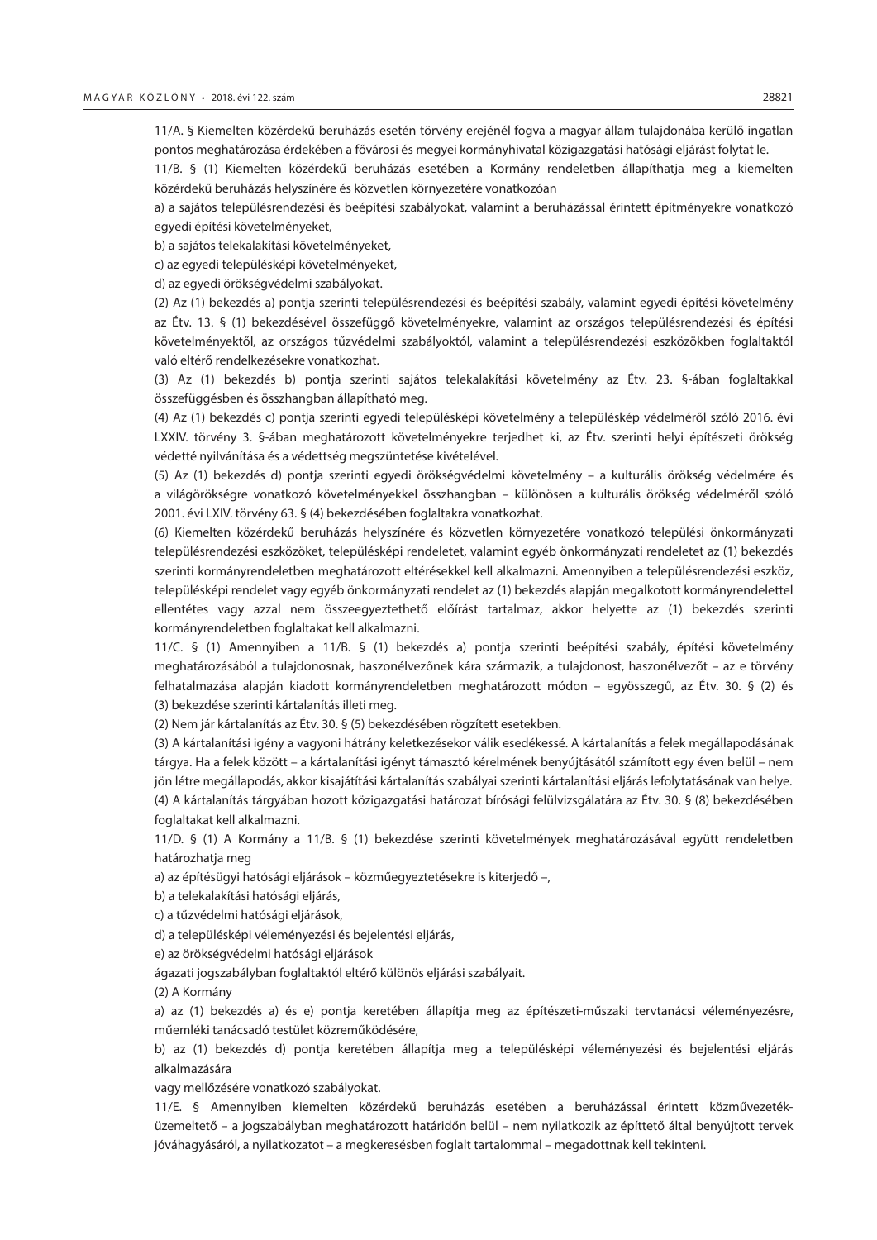11/A. § Kiemelten közérdekű beruházás esetén törvény erejénél fogva a magyar állam tulajdonába kerülő ingatlan pontos meghatározása érdekében a fővárosi és megyei kormányhivatal közigazgatási hatósági eljárást folytat le.

11/B. § (1) Kiemelten közérdekű beruházás esetében a Kormány rendeletben állapíthatja meg a kiemelten közérdekű beruházás helyszínére és közvetlen környezetére vonatkozóan

a) a sajátos településrendezési és beépítési szabályokat, valamint a beruházással érintett építményekre vonatkozó egyedi építési követelményeket,

b) a sajátos telekalakítási követelményeket,

c) az egyedi településképi követelményeket,

d) az egyedi örökségvédelmi szabályokat.

(2) Az (1) bekezdés a) pontja szerinti településrendezési és beépítési szabály, valamint egyedi építési követelmény az Étv. 13. § (1) bekezdésével összefüggő követelményekre, valamint az országos településrendezési és építési követelményektől, az országos tűzvédelmi szabályoktól, valamint a településrendezési eszközökben foglaltaktól való eltérő rendelkezésekre vonatkozhat.

(3) Az (1) bekezdés b) pontja szerinti sajátos telekalakítási követelmény az Étv. 23. §-ában foglaltakkal összefüggésben és összhangban állapítható meg.

(4) Az (1) bekezdés c) pontja szerinti egyedi településképi követelmény a településkép védelméről szóló 2016. évi LXXIV. törvény 3. §-ában meghatározott követelményekre terjedhet ki, az Étv. szerinti helyi építészeti örökség védetté nyilvánítása és a védettség megszüntetése kivételével.

(5) Az (1) bekezdés d) pontja szerinti egyedi örökségvédelmi követelmény – a kulturális örökség védelmére és a világörökségre vonatkozó követelményekkel összhangban – különösen a kulturális örökség védelméről szóló 2001. évi LXIV. törvény 63. § (4) bekezdésében foglaltakra vonatkozhat.

(6) Kiemelten közérdekű beruházás helyszínére és közvetlen környezetére vonatkozó települési önkormányzati településrendezési eszközöket, településképi rendeletet, valamint egyéb önkormányzati rendeletet az (1) bekezdés szerinti kormányrendeletben meghatározott eltérésekkel kell alkalmazni. Amennyiben a településrendezési eszköz, településképi rendelet vagy egyéb önkormányzati rendelet az (1) bekezdés alapján megalkotott kormányrendelettel ellentétes vagy azzal nem összeegyeztethető előírást tartalmaz, akkor helyette az (1) bekezdés szerinti kormányrendeletben foglaltakat kell alkalmazni.

11/C. § (1) Amennyiben a 11/B. § (1) bekezdés a) pontja szerinti beépítési szabály, építési követelmény meghatározásából a tulajdonosnak, haszonélvezőnek kára származik, a tulajdonost, haszonélvezőt – az e törvény felhatalmazása alapján kiadott kormányrendeletben meghatározott módon – egyösszegű, az Étv. 30. § (2) és (3) bekezdése szerinti kártalanítás illeti meg.

(2) Nem jár kártalanítás az Étv. 30. § (5) bekezdésében rögzített esetekben.

(3) A kártalanítási igény a vagyoni hátrány keletkezésekor válik esedékessé. A kártalanítás a felek megállapodásának tárgya. Ha a felek között – a kártalanítási igényt támasztó kérelmének benyújtásától számított egy éven belül – nem jön létre megállapodás, akkor kisajátítási kártalanítás szabályai szerinti kártalanítási eljárás lefolytatásának van helye. (4) A kártalanítás tárgyában hozott közigazgatási határozat bírósági felülvizsgálatára az Étv. 30. § (8) bekezdésében foglaltakat kell alkalmazni.

11/D. § (1) A Kormány a 11/B. § (1) bekezdése szerinti követelmények meghatározásával együtt rendeletben határozhatja meg

a) az építésügyi hatósági eljárások – közműegyeztetésekre is kiterjedő –,

b) a telekalakítási hatósági eljárás,

c) a tűzvédelmi hatósági eljárások,

d) a településképi véleményezési és bejelentési eljárás,

e) az örökségvédelmi hatósági eljárások

ágazati jogszabályban foglaltaktól eltérő különös eljárási szabályait.

(2) A Kormány

a) az (1) bekezdés a) és e) pontja keretében állapítja meg az építészeti-műszaki tervtanácsi véleményezésre, műemléki tanácsadó testület közreműködésére,

b) az (1) bekezdés d) pontja keretében állapítja meg a településképi véleményezési és bejelentési eljárás alkalmazására

vagy mellőzésére vonatkozó szabályokat.

11/E. § Amennyiben kiemelten közérdekű beruházás esetében a beruházással érintett közművezetéküzemeltető – a jogszabályban meghatározott határidőn belül – nem nyilatkozik az építtető által benyújtott tervek jóváhagyásáról, a nyilatkozatot – a megkeresésben foglalt tartalommal – megadottnak kell tekinteni.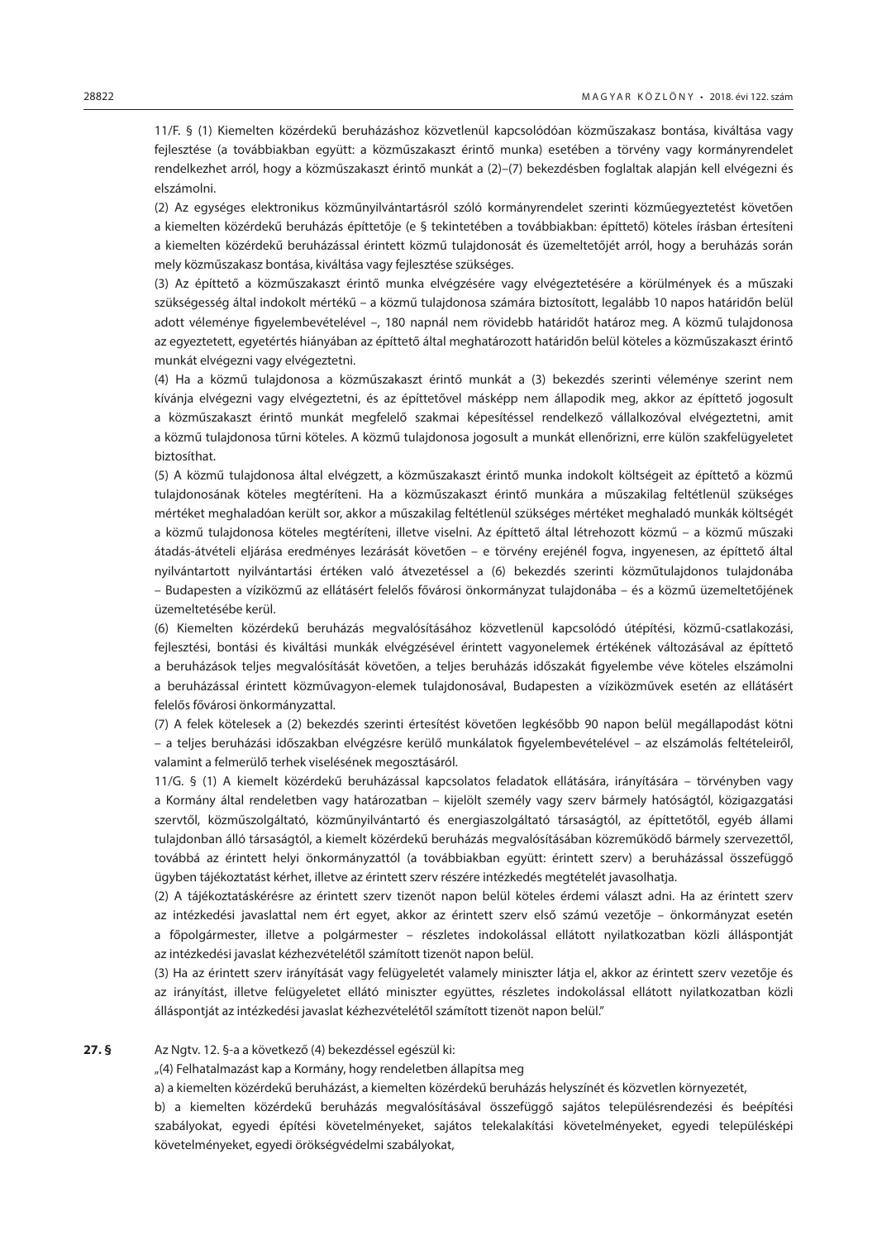11/F. § (1) Kiemelten közérdekű beruházáshoz közvetlenül kapcsolódóan közműszakasz bontása, kiváltása vagy fejlesztése (a továbbiakban együtt: a közműszakaszt érintő munka) esetében a törvény vagy kormányrendelet rendelkezhet arról, hogy a közműszakaszt érintő munkát a (2)–(7) bekezdésben foglaltak alapján kell elvégezni és elszámolni.

(2) Az egységes elektronikus közműnyilvántartásról szóló kormányrendelet szerinti közműegyeztetést követően a kiemelten közérdekű beruházás építtetője (e § tekintetében a továbbiakban: építtető) köteles írásban értesíteni a kiemelten közérdekű beruházással érintett közmű tulajdonosát és üzemeltetőjét arról, hogy a beruházás során mely közműszakasz bontása, kiváltása vagy fejlesztése szükséges.

(3) Az építtető a közműszakaszt érintő munka elvégzésére vagy elvégeztetésére a körülmények és a műszaki szükségesség által indokolt mértékű – a közmű tulajdonosa számára biztosított, legalább 10 napos határidőn belül adott véleménye figyelembevételével –, 180 napnál nem rövidebb határidőt határoz meg. A közmű tulajdonosa az egyeztetett, egyetértés hiányában az építtető által meghatározott határidőn belül köteles a közműszakaszt érintő munkát elvégezni vagy elvégeztetni.

(4) Ha a közmű tulajdonosa a közműszakaszt érintő munkát a (3) bekezdés szerinti véleménye szerint nem kívánja elvégezni vagy elvégeztetni, és az építtetővel másképp nem állapodik meg, akkor az építtető jogosult a közműszakaszt érintő munkát megfelelő szakmai képesítéssel rendelkező vállalkozóval elvégeztetni, amit a közmű tulajdonosa tűrni köteles. A közmű tulajdonosa jogosult a munkát ellenőrizni, erre külön szakfelügyeletet biztosíthat.

(5) A közmű tulajdonosa által elvégzett, a közműszakaszt érintő munka indokolt költségeit az építtető a közmű tulajdonosának köteles megtéríteni. Ha a közműszakaszt érintő munkára a műszakilag feltétlenül szükséges mértéket meghaladóan került sor, akkor a műszakilag feltétlenül szükséges mértéket meghaladó munkák költségét a közmű tulajdonosa köteles megtéríteni, illetve viselni. Az építtető által létrehozott közmű – a közmű műszaki átadás-átvételi eljárása eredményes lezárását követően – e törvény erejénél fogva, ingyenesen, az építtető által nyilvántartott nyilvántartási értéken való átvezetéssel a (6) bekezdés szerinti közműtulajdonos tulajdonába – Budapesten a víziközmű az ellátásért felelős fővárosi önkormányzat tulajdonába – és a közmű üzemeltetőjének üzemeltetésébe kerül.

(6) Kiemelten közérdekű beruházás megvalósításához közvetlenül kapcsolódó útépítési, közmű-csatlakozási, fejlesztési, bontási és kiváltási munkák elvégzésével érintett vagyonelemek értékének változásával az építtető a beruházások teljes megvalósítását követően, a teljes beruházás időszakát figyelembe véve köteles elszámolni a beruházással érintett közművagyon-elemek tulajdonosával, Budapesten a víziközművek esetén az ellátásért felelős fővárosi önkormányzattal.

(7) A felek kötelesek a (2) bekezdés szerinti értesítést követően legkésőbb 90 napon belül megállapodást kötni – a teljes beruházási időszakban elvégzésre kerülő munkálatok figyelembevételével – az elszámolás feltételeiről, valamint a felmerülő terhek viselésének megosztásáról.

11/G. § (1) A kiemelt közérdekű beruházással kapcsolatos feladatok ellátására, irányítására – törvényben vagy a Kormány által rendeletben vagy határozatban – kijelölt személy vagy szerv bármely hatóságtól, közigazgatási szervtől, közműszolgáltató, közműnyilvántartó és energiaszolgáltató társaságtól, az építtetőtől, egyéb állami tulajdonban álló társaságtól, a kiemelt közérdekű beruházás megvalósításában közreműködő bármely szervezettől, továbbá az érintett helyi önkormányzattól (a továbbiakban együtt: érintett szerv) a beruházással összefüggő ügyben tájékoztatást kérhet, illetve az érintett szerv részére intézkedés megtételét javasolhatja.

(2) A tájékoztatáskérésre az érintett szerv tizenöt napon belül köteles érdemi választ adni. Ha az érintett szerv az intézkedési javaslattal nem ért egyet, akkor az érintett szerv első számú vezetője – önkormányzat esetén a főpolgármester, illetve a polgármester – részletes indokolással ellátott nyilatkozatban közli álláspontját az intézkedési javaslat kézhezvételétől számított tizenöt napon belül.

(3) Ha az érintett szerv irányítását vagy felügyeletét valamely miniszter látja el, akkor az érintett szerv vezetője és az irányítást, illetve felügyeletet ellátó miniszter együttes, részletes indokolással ellátott nyilatkozatban közli álláspontját az intézkedési javaslat kézhezvételétől számított tizenöt napon belül."

#### **27. §** Az Ngtv. 12. §-a a következő (4) bekezdéssel egészül ki:

"(4) Felhatalmazást kap a Kormány, hogy rendeletben állapítsa meg

a) a kiemelten közérdekű beruházást, a kiemelten közérdekű beruházás helyszínét és közvetlen környezetét,

b) a kiemelten közérdekű beruházás megvalósításával összefüggő sajátos településrendezési és beépítési szabályokat, egyedi építési követelményeket, sajátos telekalakítási követelményeket, egyedi településképi követelményeket, egyedi örökségvédelmi szabályokat,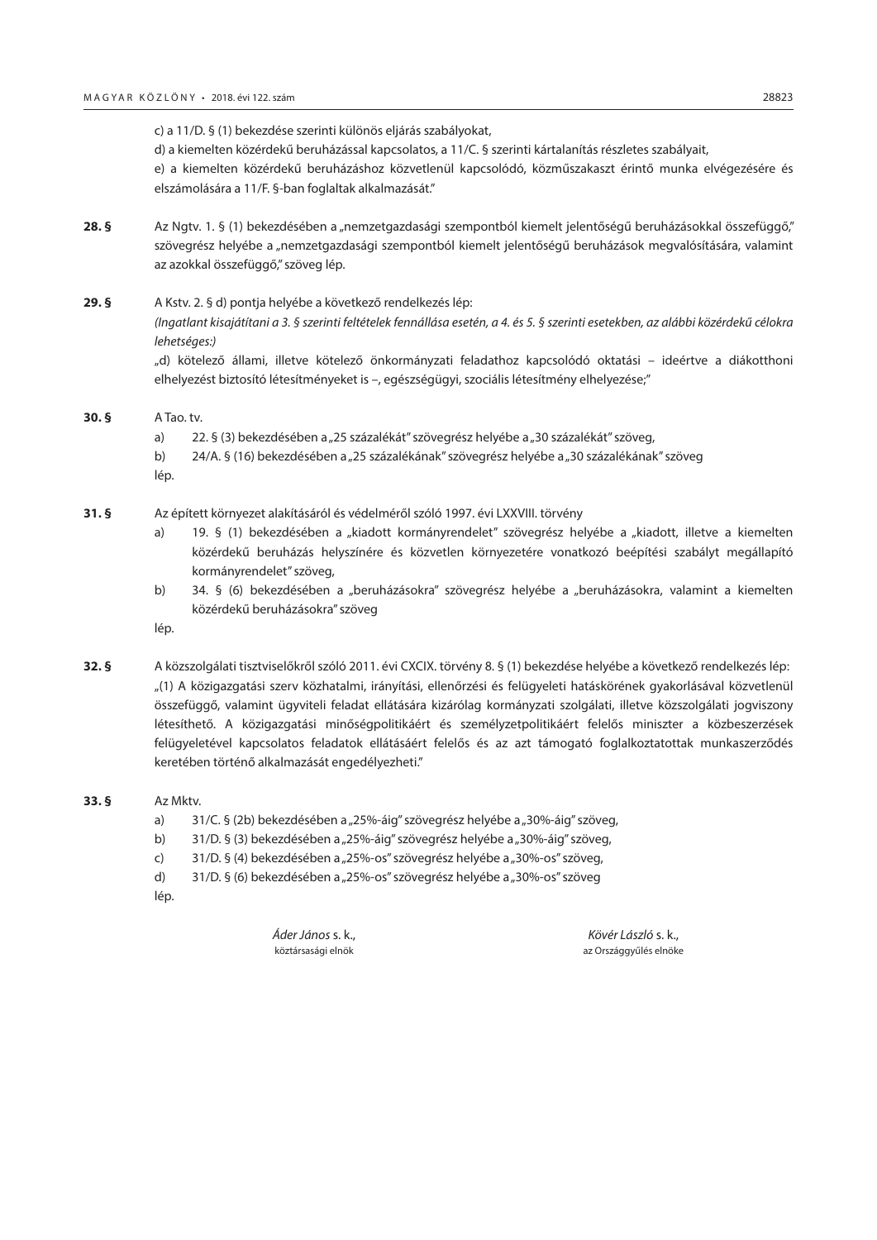c) a 11/D. § (1) bekezdése szerinti különös eljárás szabályokat,

d) a kiemelten közérdekű beruházással kapcsolatos, a 11/C. § szerinti kártalanítás részletes szabályait,

e) a kiemelten közérdekű beruházáshoz közvetlenül kapcsolódó, közműszakaszt érintő munka elvégezésére és elszámolására a 11/F. §-ban foglaltak alkalmazását."

**28. §** Az Ngtv. 1. § (1) bekezdésében a "nemzetgazdasági szempontból kiemelt jelentőségű beruházásokkal összefüggő," szövegrész helyébe a "nemzetgazdasági szempontból kiemelt jelentőségű beruházások megvalósítására, valamint az azokkal összefüggő," szöveg lép.

#### **29. §** A Kstv. 2. § d) pontja helyébe a következő rendelkezés lép:

*(Ingatlant kisajátítani a 3. § szerinti feltételek fennállása esetén, a 4. és 5. § szerinti esetekben, az alábbi közérdekű célokra lehetséges:)*

"d) kötelező állami, illetve kötelező önkormányzati feladathoz kapcsolódó oktatási – ideértve a diákotthoni elhelyezést biztosító létesítményeket is –, egészségügyi, szociális létesítmény elhelyezése;"

## **30. §** A Tao. tv.

- a) 22. § (3) bekezdésében a "25 százalékát" szövegrész helyébe a "30 százalékát" szöveg,
- b) 24/A. § (16) bekezdésében a "25 százalékának" szövegrész helyébe a "30 százalékának" szöveg
- lép.
- **31. §** Az épített környezet alakításáról és védelméről szóló 1997. évi LXXVIII. törvény
	- a) 19. § (1) bekezdésében a "kiadott kormányrendelet" szövegrész helyébe a "kiadott, illetve a kiemelten közérdekű beruházás helyszínére és közvetlen környezetére vonatkozó beépítési szabályt megállapító kormányrendelet" szöveg,
	- b) 34. § (6) bekezdésében a "beruházásokra" szövegrész helyébe a "beruházásokra, valamint a kiemelten közérdekű beruházásokra" szöveg
	- lép.
- **32. §** A közszolgálati tisztviselőkről szóló 2011. évi CXCIX. törvény 8. § (1) bekezdése helyébe a következő rendelkezés lép: "(1) A közigazgatási szerv közhatalmi, irányítási, ellenőrzési és felügyeleti hatáskörének gyakorlásával közvetlenül összefüggő, valamint ügyviteli feladat ellátására kizárólag kormányzati szolgálati, illetve közszolgálati jogviszony létesíthető. A közigazgatási minőségpolitikáért és személyzetpolitikáért felelős miniszter a közbeszerzések felügyeletével kapcsolatos feladatok ellátásáért felelős és az azt támogató foglalkoztatottak munkaszerződés keretében történő alkalmazását engedélyezheti."

## **33. §** Az Mktv.

- a) 31/C. § (2b) bekezdésében a "25%-áig" szövegrész helyébe a "30%-áig" szöveg,
- b) 31/D. § (3) bekezdésében a "25%-áig" szövegrész helyébe a "30%-áig" szöveg,
- c) 31/D. § (4) bekezdésében a "25%-os" szövegrész helyébe a "30%-os" szöveg,
- d) 31/D. § (6) bekezdésében a "25%-os" szövegrész helyébe a "30%-os" szöveg
- lép.

*Áder János* s. k., *Kövér László* s. k., köztársasági elnök az Országgyűlés elnöke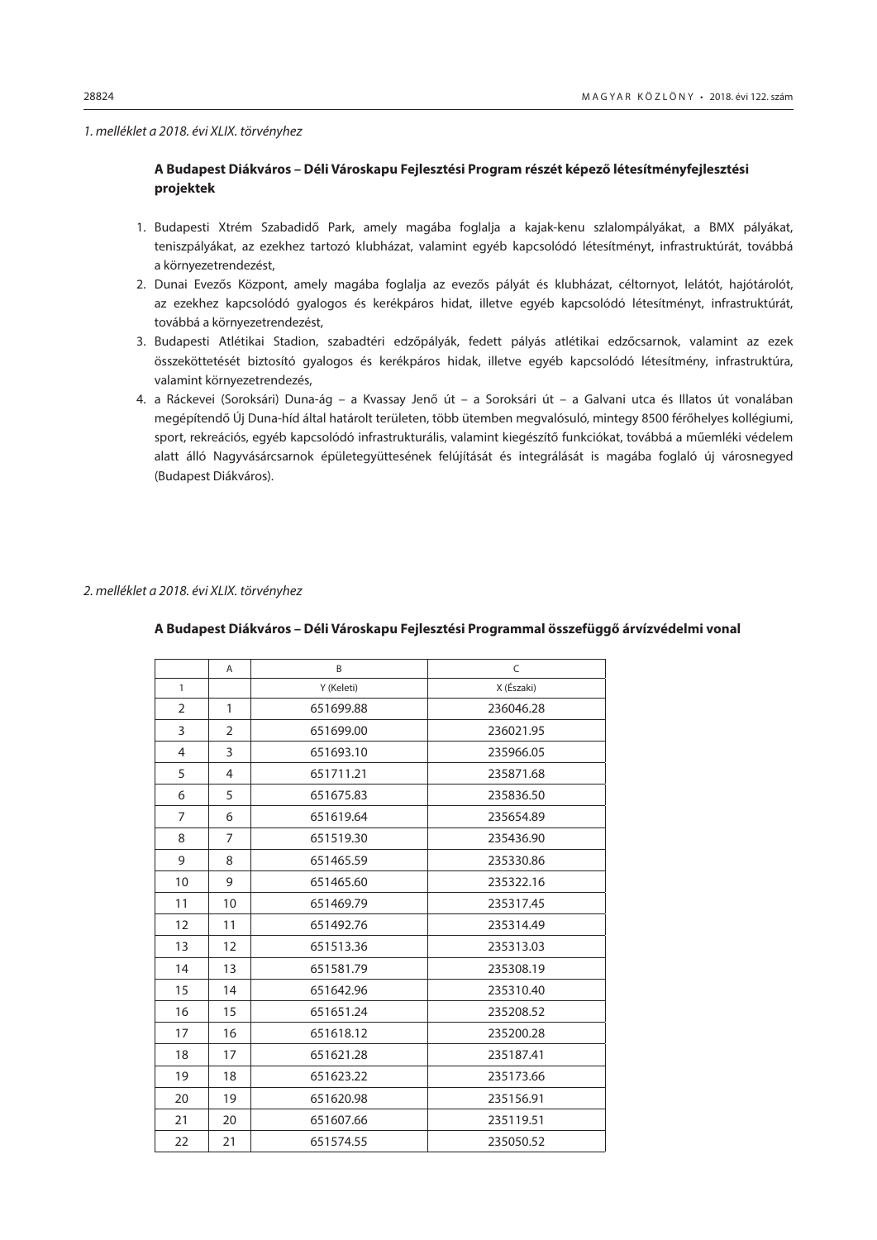#### *1. melléklet a 2018. évi XLIX. törvényhez*

## **A Budapest Diákváros – Déli Városkapu Fejlesztési Program részét képező létesítményfejlesztési projektek**

- 1. Budapesti Xtrém Szabadidő Park, amely magába foglalja a kajak-kenu szlalompályákat, a BMX pályákat, teniszpályákat, az ezekhez tartozó klubházat, valamint egyéb kapcsolódó létesítményt, infrastruktúrát, továbbá a környezetrendezést,
- 2. Dunai Evezős Központ, amely magába foglalja az evezős pályát és klubházat, céltornyot, lelátót, hajótárolót, az ezekhez kapcsolódó gyalogos és kerékpáros hidat, illetve egyéb kapcsolódó létesítményt, infrastruktúrát, továbbá a környezetrendezést,
- 3. Budapesti Atlétikai Stadion, szabadtéri edzőpályák, fedett pályás atlétikai edzőcsarnok, valamint az ezek összeköttetését biztosító gyalogos és kerékpáros hidak, illetve egyéb kapcsolódó létesítmény, infrastruktúra, valamint környezetrendezés,
- 4. a Ráckevei (Soroksári) Duna-ág a Kvassay Jenő út a Soroksári út a Galvani utca és Illatos út vonalában megépítendő Új Duna-híd által határolt területen, több ütemben megvalósuló, mintegy 8500 férőhelyes kollégiumi, sport, rekreációs, egyéb kapcsolódó infrastrukturális, valamint kiegészítő funkciókat, továbbá a műemléki védelem alatt álló Nagyvásárcsarnok épületegyüttesének felújítását és integrálását is magába foglaló új városnegyed (Budapest Diákváros).

#### *2. melléklet a 2018. évi XLIX. törvényhez*

|                | A              | B          | C          |
|----------------|----------------|------------|------------|
| $\mathbf{1}$   |                | Y (Keleti) | X (Északi) |
| $\overline{2}$ | 1              | 651699.88  | 236046.28  |
| 3              | 2              | 651699.00  | 236021.95  |
| 4              | 3              | 651693.10  | 235966.05  |
| 5              | 4              | 651711.21  | 235871.68  |
| 6              | 5              | 651675.83  | 235836.50  |
| $\overline{7}$ | 6              | 651619.64  | 235654.89  |
| 8              | $\overline{7}$ | 651519.30  | 235436.90  |
| 9              | 8              | 651465.59  | 235330.86  |
| 10             | 9              | 651465.60  | 235322.16  |
| 11             | 10             | 651469.79  | 235317.45  |
| 12             | 11             | 651492.76  | 235314.49  |
| 13             | 12             | 651513.36  | 235313.03  |
| 14             | 13             | 651581.79  | 235308.19  |
| 15             | 14             | 651642.96  | 235310.40  |
| 16             | 15             | 651651.24  | 235208.52  |
| 17             | 16             | 651618.12  | 235200.28  |
| 18             | 17             | 651621.28  | 235187.41  |
| 19             | 18             | 651623.22  | 235173.66  |
| 20             | 19             | 651620.98  | 235156.91  |
| 21             | 20             | 651607.66  | 235119.51  |
| 22             | 21             | 651574.55  | 235050.52  |

## **A Budapest Diákváros – Déli Városkapu Fejlesztési Programmal összefüggő árvízvédelmi vonal**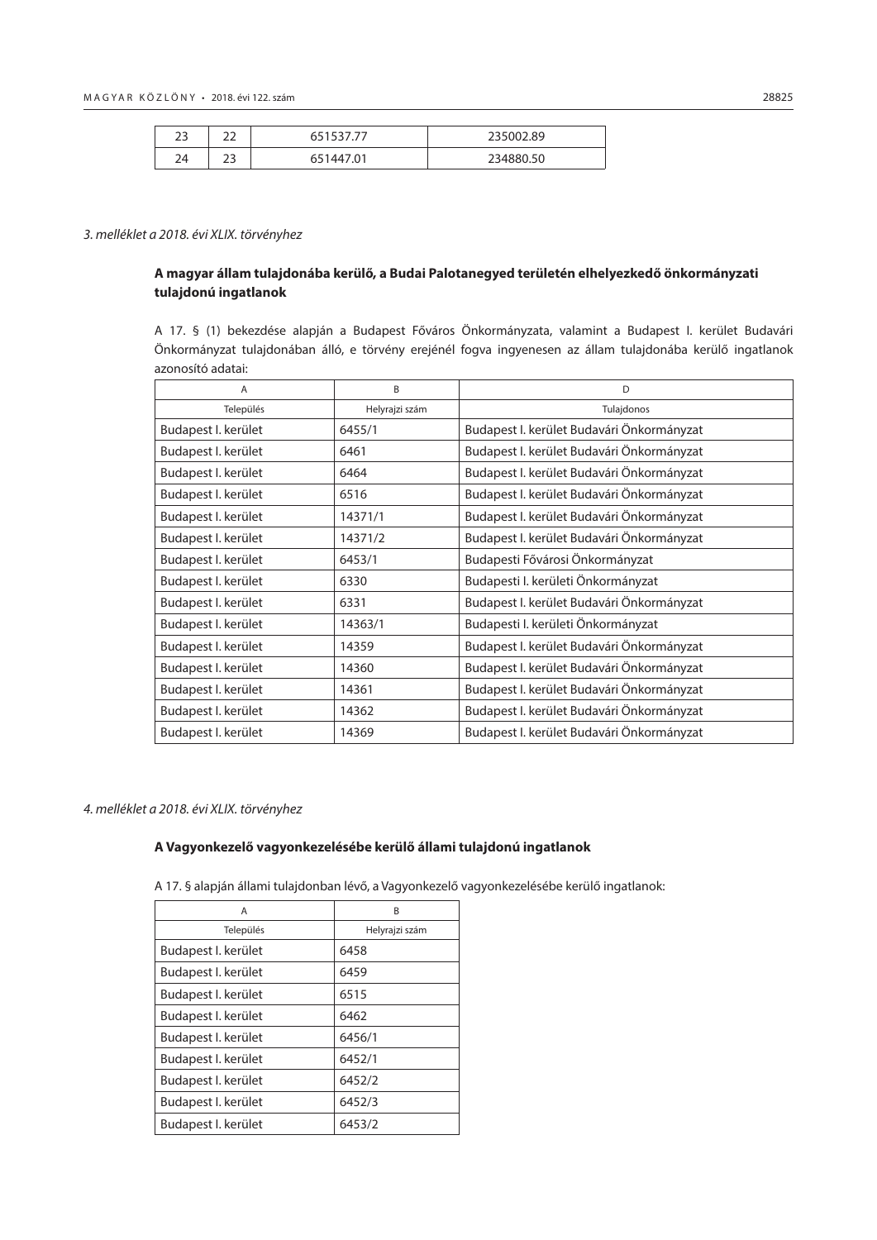| $\mathbf{\sim}$<br>دے | $\sim$<br>--         |            | 235002.89 |
|-----------------------|----------------------|------------|-----------|
| $\neg$<br>24          | $\sim$<br><u>. .</u> | .01<br>-44 | 234880.50 |

## *3. melléklet a 2018. évi XLIX. törvényhez*

## **A magyar állam tulajdonába kerülő, a Budai Palotanegyed területén elhelyezkedő önkormányzati tulajdonú ingatlanok**

A 17. § (1) bekezdése alapján a Budapest Főváros Önkormányzata, valamint a Budapest I. kerület Budavári Önkormányzat tulajdonában álló, e törvény erejénél fogva ingyenesen az állam tulajdonába kerülő ingatlanok azonosító adatai:

| A                   | B              | D                                         |
|---------------------|----------------|-------------------------------------------|
| Település           | Helyrajzi szám | Tulajdonos                                |
| Budapest I. kerület | 6455/1         | Budapest I. kerület Budavári Önkormányzat |
| Budapest I. kerület | 6461           | Budapest I. kerület Budavári Önkormányzat |
| Budapest I. kerület | 6464           | Budapest I. kerület Budavári Önkormányzat |
| Budapest I. kerület | 6516           | Budapest I. kerület Budavári Önkormányzat |
| Budapest I. kerület | 14371/1        | Budapest I. kerület Budavári Önkormányzat |
| Budapest I. kerület | 14371/2        | Budapest I. kerület Budavári Önkormányzat |
| Budapest I. kerület | 6453/1         | Budapesti Fővárosi Önkormányzat           |
| Budapest I. kerület | 6330           | Budapesti I. kerületi Önkormányzat        |
| Budapest I. kerület | 6331           | Budapest I. kerület Budavári Önkormányzat |
| Budapest I. kerület | 14363/1        | Budapesti I. kerületi Önkormányzat        |
| Budapest I. kerület | 14359          | Budapest I. kerület Budavári Önkormányzat |
| Budapest I. kerület | 14360          | Budapest I. kerület Budavári Önkormányzat |
| Budapest I. kerület | 14361          | Budapest I. kerület Budavári Önkormányzat |
| Budapest I. kerület | 14362          | Budapest I. kerület Budavári Önkormányzat |
| Budapest I. kerület | 14369          | Budapest I. kerület Budavári Önkormányzat |

#### *4. melléklet a 2018. évi XLIX. törvényhez*

## **A Vagyonkezelő vagyonkezelésébe kerülő állami tulajdonú ingatlanok**

A 17. § alapján állami tulajdonban lévő, a Vagyonkezelő vagyonkezelésébe kerülő ingatlanok:

| Α                   | R              |
|---------------------|----------------|
| Település           | Helyrajzi szám |
| Budapest I. kerület | 6458           |
| Budapest I. kerület | 6459           |
| Budapest I. kerület | 6515           |
| Budapest I. kerület | 6462           |
| Budapest I. kerület | 6456/1         |
| Budapest I. kerület | 6452/1         |
| Budapest I. kerület | 6452/2         |
| Budapest I. kerület | 6452/3         |
| Budapest I. kerület | 6453/2         |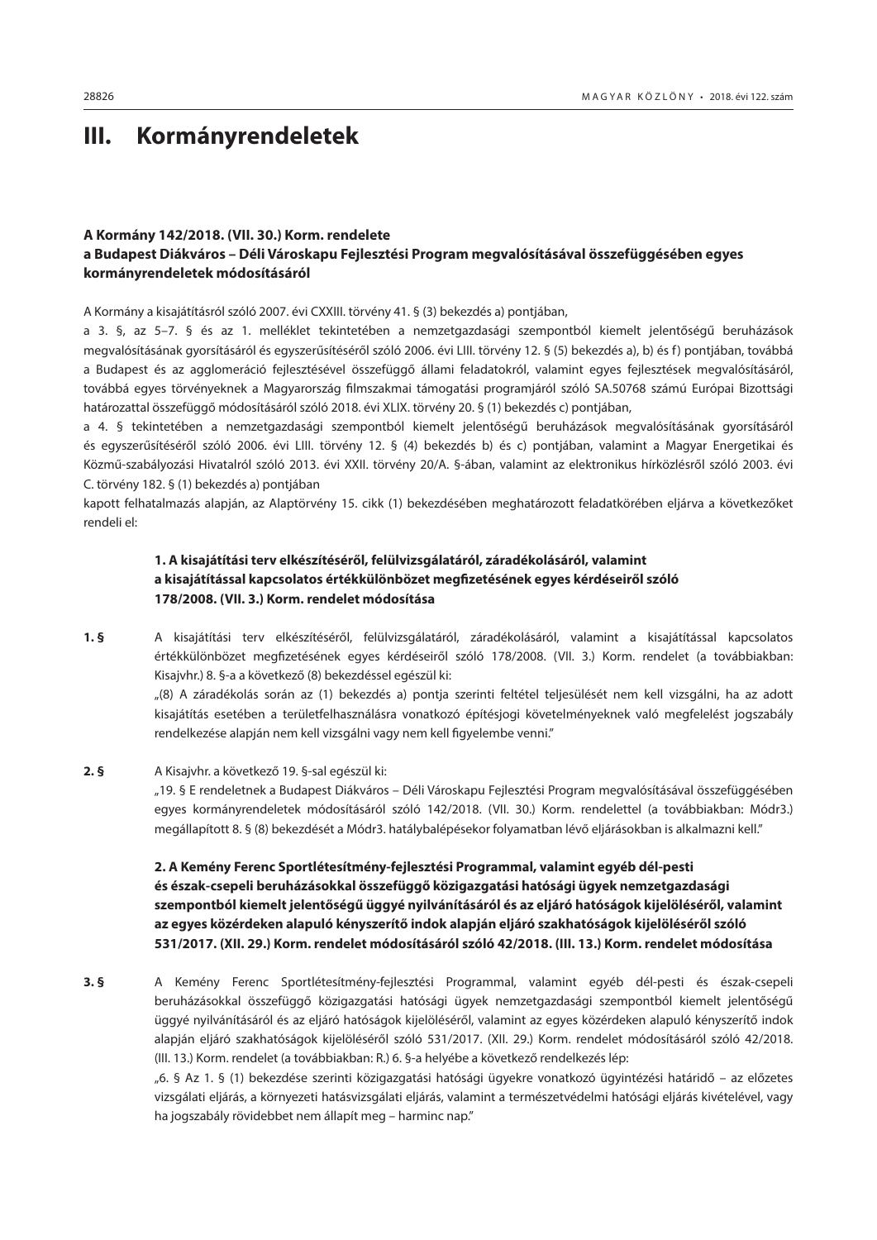# <span id="page-33-0"></span>**III. Kormányrendeletek**

## **A Kormány 142/2018. (VII. 30.) Korm. rendelete**

## **a Budapest Diákváros – Déli Városkapu Fejlesztési Program megvalósításával összefüggésében egyes kormányrendeletek módosításáról**

A Kormány a kisajátításról szóló 2007. évi CXXIII. törvény 41. § (3) bekezdés a) pontjában,

a 3. §, az 5–7. § és az 1. melléklet tekintetében a nemzetgazdasági szempontból kiemelt jelentőségű beruházások megvalósításának gyorsításáról és egyszerűsítéséről szóló 2006. évi LIII. törvény 12. § (5) bekezdés a), b) és f) pontjában, továbbá a Budapest és az agglomeráció fejlesztésével összefüggő állami feladatokról, valamint egyes fejlesztések megvalósításáról, továbbá egyes törvényeknek a Magyarország filmszakmai támogatási programjáról szóló SA.50768 számú Európai Bizottsági határozattal összefüggő módosításáról szóló 2018. évi XLIX. törvény 20. § (1) bekezdés c) pontjában,

a 4. § tekintetében a nemzetgazdasági szempontból kiemelt jelentőségű beruházások megvalósításának gyorsításáról és egyszerűsítéséről szóló 2006. évi LIII. törvény 12. § (4) bekezdés b) és c) pontjában, valamint a Magyar Energetikai és Közmű-szabályozási Hivatalról szóló 2013. évi XXII. törvény 20/A. §-ában, valamint az elektronikus hírközlésről szóló 2003. évi C. törvény 182. § (1) bekezdés a) pontjában

kapott felhatalmazás alapján, az Alaptörvény 15. cikk (1) bekezdésében meghatározott feladatkörében eljárva a következőket rendeli el:

## **1. A kisajátítási terv elkészítéséről, felülvizsgálatáról, záradékolásáról, valamint a kisajátítással kapcsolatos értékkülönbözet megfizetésének egyes kérdéseiről szóló 178/2008. (VII. 3.) Korm. rendelet módosítása**

**1. §** A kisajátítási terv elkészítéséről, felülvizsgálatáról, záradékolásáról, valamint a kisajátítással kapcsolatos értékkülönbözet megfizetésének egyes kérdéseiről szóló 178/2008. (VII. 3.) Korm. rendelet (a továbbiakban: Kisajvhr.) 8. §-a a következő (8) bekezdéssel egészül ki:

"(8) A záradékolás során az (1) bekezdés a) pontja szerinti feltétel teljesülését nem kell vizsgálni, ha az adott kisajátítás esetében a területfelhasználásra vonatkozó építésjogi követelményeknek való megfelelést jogszabály rendelkezése alapján nem kell vizsgálni vagy nem kell figyelembe venni."

#### **2. §** A Kisajvhr. a következő 19. §-sal egészül ki:

"19. § E rendeletnek a Budapest Diákváros – Déli Városkapu Fejlesztési Program megvalósításával összefüggésében egyes kormányrendeletek módosításáról szóló 142/2018. (VII. 30.) Korm. rendelettel (a továbbiakban: Módr3.) megállapított 8. § (8) bekezdését a Módr3. hatálybalépésekor folyamatban lévő eljárásokban is alkalmazni kell."

## **2. A Kemény Ferenc Sportlétesítmény-fejlesztési Programmal, valamint egyéb dél-pesti és észak-csepeli beruházásokkal összefüggő közigazgatási hatósági ügyek nemzetgazdasági szempontból kiemelt jelentőségű üggyé nyilvánításáról és az eljáró hatóságok kijelöléséről, valamint az egyes közérdeken alapuló kényszerítő indok alapján eljáró szakhatóságok kijelöléséről szóló 531/2017. (XII. 29.) Korm. rendelet módosításáról szóló 42/2018. (III. 13.) Korm. rendelet módosítása**

**3. §** A Kemény Ferenc Sportlétesítmény-fejlesztési Programmal, valamint egyéb dél-pesti és észak-csepeli beruházásokkal összefüggő közigazgatási hatósági ügyek nemzetgazdasági szempontból kiemelt jelentőségű üggyé nyilvánításáról és az eljáró hatóságok kijelöléséről, valamint az egyes közérdeken alapuló kényszerítő indok alapján eljáró szakhatóságok kijelöléséről szóló 531/2017. (XII. 29.) Korm. rendelet módosításáról szóló 42/2018. (III. 13.) Korm. rendelet (a továbbiakban: R.) 6. §-a helyébe a következő rendelkezés lép:

> "6. § Az 1. § (1) bekezdése szerinti közigazgatási hatósági ügyekre vonatkozó ügyintézési határidő – az előzetes vizsgálati eljárás, a környezeti hatásvizsgálati eljárás, valamint a természetvédelmi hatósági eljárás kivételével, vagy ha jogszabály rövidebbet nem állapít meg – harminc nap."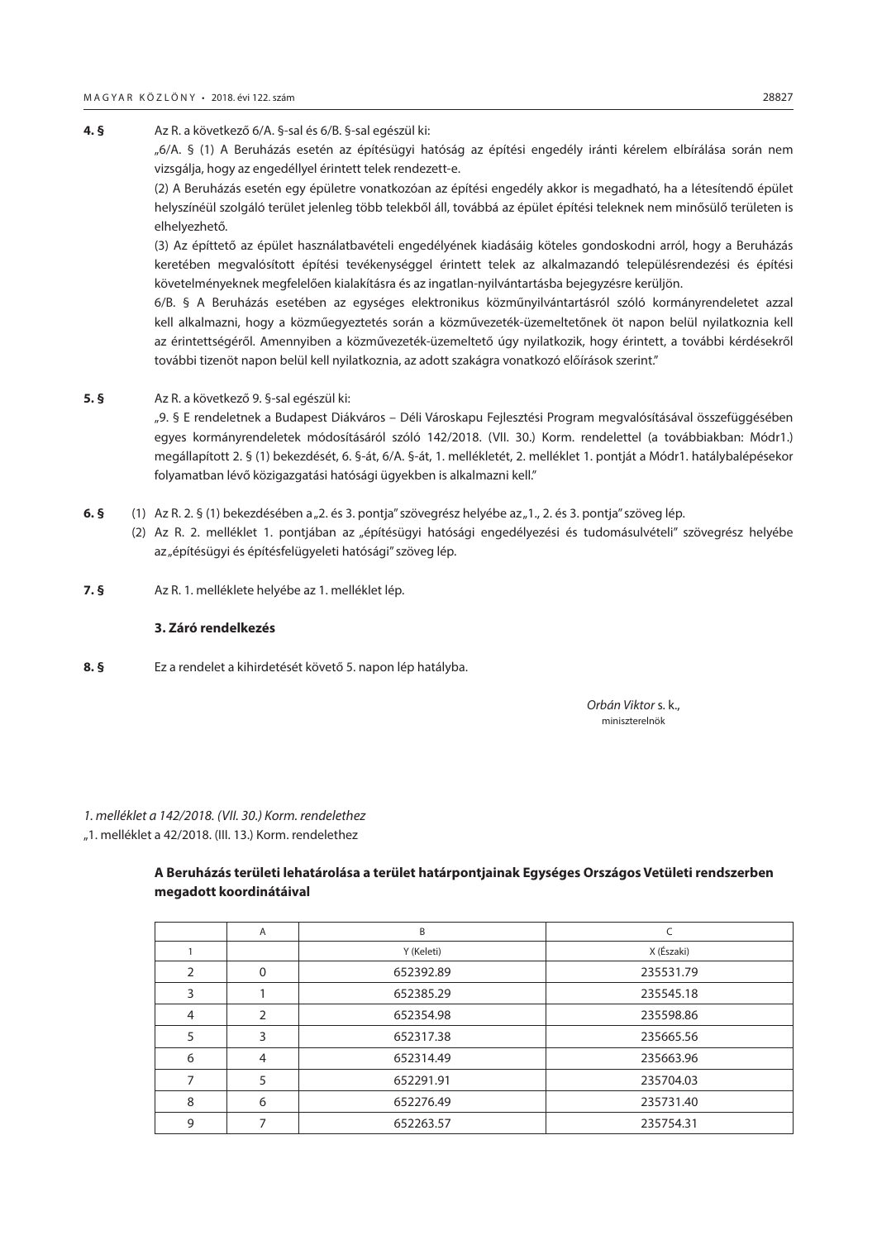**4. §** Az R. a következő 6/A. §-sal és 6/B. §-sal egészül ki: "6/A. § (1) A Beruházás esetén az építésügyi hatóság az építési engedély iránti kérelem elbírálása során nem vizsgálja, hogy az engedéllyel érintett telek rendezett-e.

(2) A Beruházás esetén egy épületre vonatkozóan az építési engedély akkor is megadható, ha a létesítendő épület helyszínéül szolgáló terület jelenleg több telekből áll, továbbá az épület építési teleknek nem minősülő területen is elhelyezhető.

(3) Az építtető az épület használatbavételi engedélyének kiadásáig köteles gondoskodni arról, hogy a Beruházás keretében megvalósított építési tevékenységgel érintett telek az alkalmazandó településrendezési és építési követelményeknek megfelelően kialakításra és az ingatlan-nyilvántartásba bejegyzésre kerüljön.

6/B. § A Beruházás esetében az egységes elektronikus közműnyilvántartásról szóló kormányrendeletet azzal kell alkalmazni, hogy a közműegyeztetés során a közművezeték-üzemeltetőnek öt napon belül nyilatkoznia kell az érintettségéről. Amennyiben a közművezeték-üzemeltető úgy nyilatkozik, hogy érintett, a további kérdésekről további tizenöt napon belül kell nyilatkoznia, az adott szakágra vonatkozó előírások szerint."

**5. §** Az R. a következő 9. §-sal egészül ki:

"9. § E rendeletnek a Budapest Diákváros – Déli Városkapu Fejlesztési Program megvalósításával összefüggésében egyes kormányrendeletek módosításáról szóló 142/2018. (VII. 30.) Korm. rendelettel (a továbbiakban: Módr1.) megállapított 2. § (1) bekezdését, 6. §-át, 6/A. §-át, 1. mellékletét, 2. melléklet 1. pontját a Módr1. hatálybalépésekor folyamatban lévő közigazgatási hatósági ügyekben is alkalmazni kell."

- **6. §** (1) Az R. 2. § (1) bekezdésében a "2. és 3. pontja" szövegrész helyébe az "1., 2. és 3. pontja" szöveg lép.
	- (2) Az R. 2. melléklet 1. pontjában az "építésügyi hatósági engedélyezési és tudomásulvételi" szövegrész helyébe az "építésügyi és építésfelügyeleti hatósági" szöveg lép.
- **7. §** Az R. 1. melléklete helyébe az 1. melléklet lép.

#### **3. Záró rendelkezés**

**8. §** Ez a rendelet a kihirdetését követő 5. napon lép hatályba.

 *Orbán Viktor* s. k., miniszterelnök

*1. melléklet a 142/2018. (VII. 30.) Korm. rendelethez* "1. melléklet a 42/2018. (III. 13.) Korm. rendelethez

## **A Beruházás területi lehatárolása a terület határpontjainak Egységes Országos Vetületi rendszerben megadott koordinátáival**

|                | A        | B          |            |
|----------------|----------|------------|------------|
|                |          | Y (Keleti) | X (Északi) |
| 2              | $\Omega$ | 652392.89  | 235531.79  |
| 3              |          | 652385.29  | 235545.18  |
| $\overline{4}$ | 2        | 652354.98  | 235598.86  |
| 5              | 3        | 652317.38  | 235665.56  |
| 6              | 4        | 652314.49  | 235663.96  |
|                | 5        | 652291.91  | 235704.03  |
| 8              | 6        | 652276.49  | 235731.40  |
| 9              |          | 652263.57  | 235754.31  |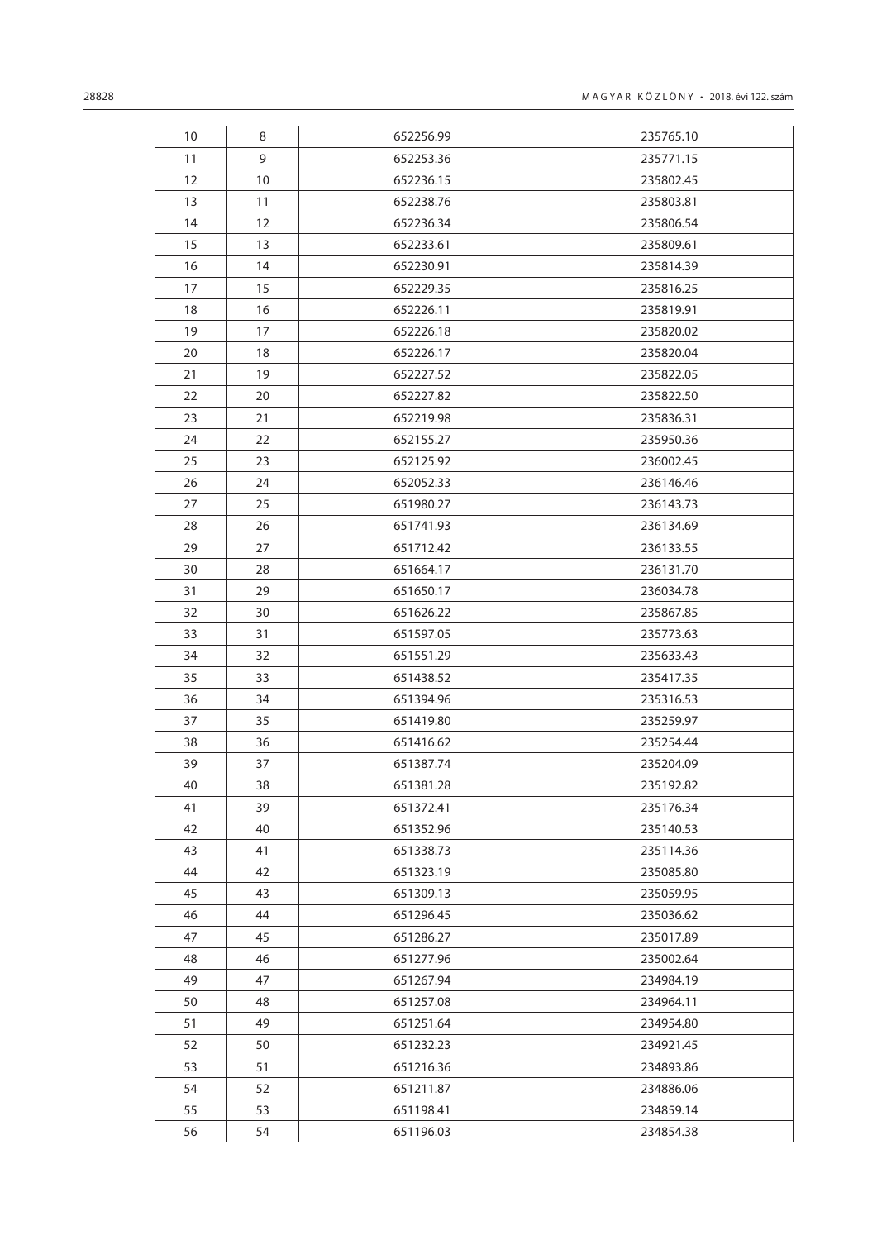| 10 | 8  | 652256.99 | 235765.10 |
|----|----|-----------|-----------|
| 11 | 9  | 652253.36 | 235771.15 |
| 12 | 10 | 652236.15 | 235802.45 |
| 13 | 11 | 652238.76 | 235803.81 |
| 14 | 12 | 652236.34 | 235806.54 |
| 15 | 13 | 652233.61 | 235809.61 |
| 16 | 14 | 652230.91 | 235814.39 |
| 17 | 15 | 652229.35 | 235816.25 |
| 18 | 16 | 652226.11 | 235819.91 |
| 19 | 17 | 652226.18 | 235820.02 |
| 20 | 18 | 652226.17 | 235820.04 |
| 21 | 19 | 652227.52 | 235822.05 |
| 22 | 20 | 652227.82 | 235822.50 |
| 23 | 21 | 652219.98 | 235836.31 |
| 24 | 22 | 652155.27 | 235950.36 |
| 25 | 23 | 652125.92 | 236002.45 |
| 26 | 24 | 652052.33 | 236146.46 |
| 27 | 25 | 651980.27 | 236143.73 |
| 28 | 26 | 651741.93 | 236134.69 |
| 29 | 27 | 651712.42 | 236133.55 |
| 30 | 28 | 651664.17 | 236131.70 |
| 31 | 29 | 651650.17 | 236034.78 |
| 32 | 30 | 651626.22 | 235867.85 |
| 33 | 31 | 651597.05 | 235773.63 |
| 34 | 32 | 651551.29 | 235633.43 |
| 35 | 33 | 651438.52 | 235417.35 |
| 36 | 34 | 651394.96 | 235316.53 |
| 37 | 35 | 651419.80 | 235259.97 |
| 38 | 36 | 651416.62 | 235254.44 |
| 39 | 37 | 651387.74 | 235204.09 |
| 40 | 38 | 651381.28 | 235192.82 |
| 41 | 39 | 651372.41 | 235176.34 |
| 42 | 40 | 651352.96 | 235140.53 |
| 43 | 41 | 651338.73 | 235114.36 |
| 44 | 42 | 651323.19 | 235085.80 |
| 45 | 43 | 651309.13 | 235059.95 |
| 46 | 44 | 651296.45 | 235036.62 |
| 47 | 45 | 651286.27 | 235017.89 |
| 48 | 46 | 651277.96 | 235002.64 |
| 49 | 47 | 651267.94 | 234984.19 |
| 50 | 48 | 651257.08 | 234964.11 |
| 51 | 49 | 651251.64 | 234954.80 |
| 52 | 50 | 651232.23 | 234921.45 |
| 53 | 51 | 651216.36 | 234893.86 |
| 54 | 52 | 651211.87 | 234886.06 |
| 55 | 53 | 651198.41 | 234859.14 |
| 56 | 54 | 651196.03 | 234854.38 |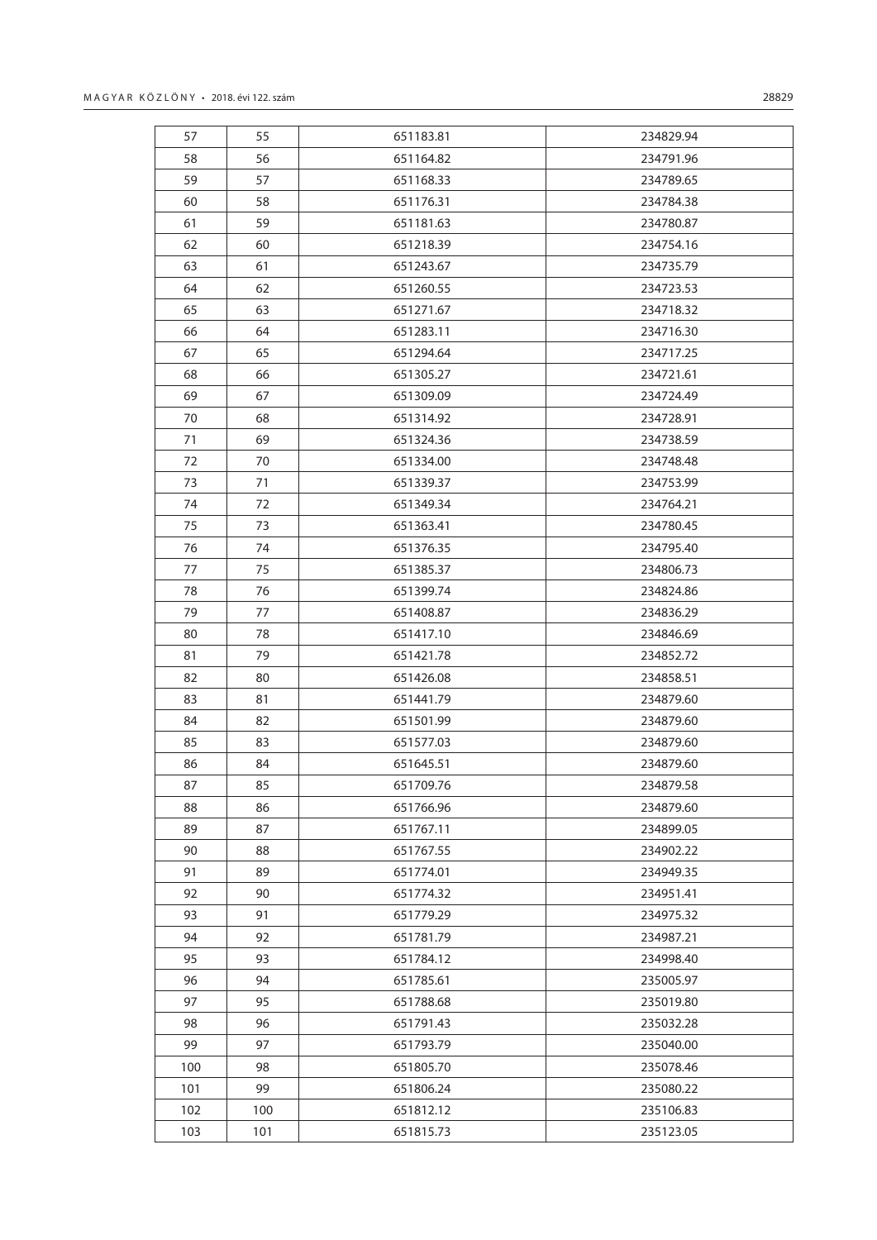| 57  | 55  | 651183.81 | 234829.94 |
|-----|-----|-----------|-----------|
| 58  | 56  | 651164.82 | 234791.96 |
| 59  | 57  | 651168.33 | 234789.65 |
| 60  | 58  | 651176.31 | 234784.38 |
| 61  | 59  | 651181.63 | 234780.87 |
| 62  | 60  | 651218.39 | 234754.16 |
| 63  | 61  | 651243.67 | 234735.79 |
| 64  | 62  | 651260.55 | 234723.53 |
| 65  | 63  | 651271.67 | 234718.32 |
| 66  | 64  | 651283.11 | 234716.30 |
| 67  | 65  | 651294.64 | 234717.25 |
| 68  | 66  | 651305.27 | 234721.61 |
| 69  | 67  | 651309.09 | 234724.49 |
| 70  | 68  | 651314.92 | 234728.91 |
| 71  | 69  | 651324.36 | 234738.59 |
| 72  | 70  | 651334.00 | 234748.48 |
| 73  | 71  | 651339.37 | 234753.99 |
| 74  | 72  | 651349.34 | 234764.21 |
| 75  | 73  | 651363.41 | 234780.45 |
| 76  | 74  | 651376.35 | 234795.40 |
| 77  | 75  | 651385.37 | 234806.73 |
| 78  | 76  | 651399.74 | 234824.86 |
| 79  | 77  | 651408.87 | 234836.29 |
| 80  | 78  | 651417.10 | 234846.69 |
| 81  | 79  | 651421.78 | 234852.72 |
| 82  | 80  | 651426.08 | 234858.51 |
| 83  | 81  | 651441.79 | 234879.60 |
| 84  | 82  | 651501.99 | 234879.60 |
| 85  | 83  | 651577.03 | 234879.60 |
| 86  | 84  | 651645.51 | 234879.60 |
| 87  | 85  | 651709.76 | 234879.58 |
| 88  | 86  | 651766.96 | 234879.60 |
| 89  | 87  | 651767.11 | 234899.05 |
| 90  | 88  | 651767.55 | 234902.22 |
| 91  | 89  | 651774.01 | 234949.35 |
| 92  | 90  | 651774.32 | 234951.41 |
| 93  | 91  | 651779.29 | 234975.32 |
| 94  | 92  | 651781.79 | 234987.21 |
| 95  | 93  | 651784.12 | 234998.40 |
| 96  | 94  | 651785.61 | 235005.97 |
| 97  | 95  | 651788.68 | 235019.80 |
| 98  | 96  | 651791.43 | 235032.28 |
| 99  | 97  | 651793.79 | 235040.00 |
| 100 | 98  | 651805.70 | 235078.46 |
| 101 | 99  | 651806.24 | 235080.22 |
| 102 | 100 | 651812.12 | 235106.83 |
| 103 | 101 | 651815.73 | 235123.05 |
|     |     |           |           |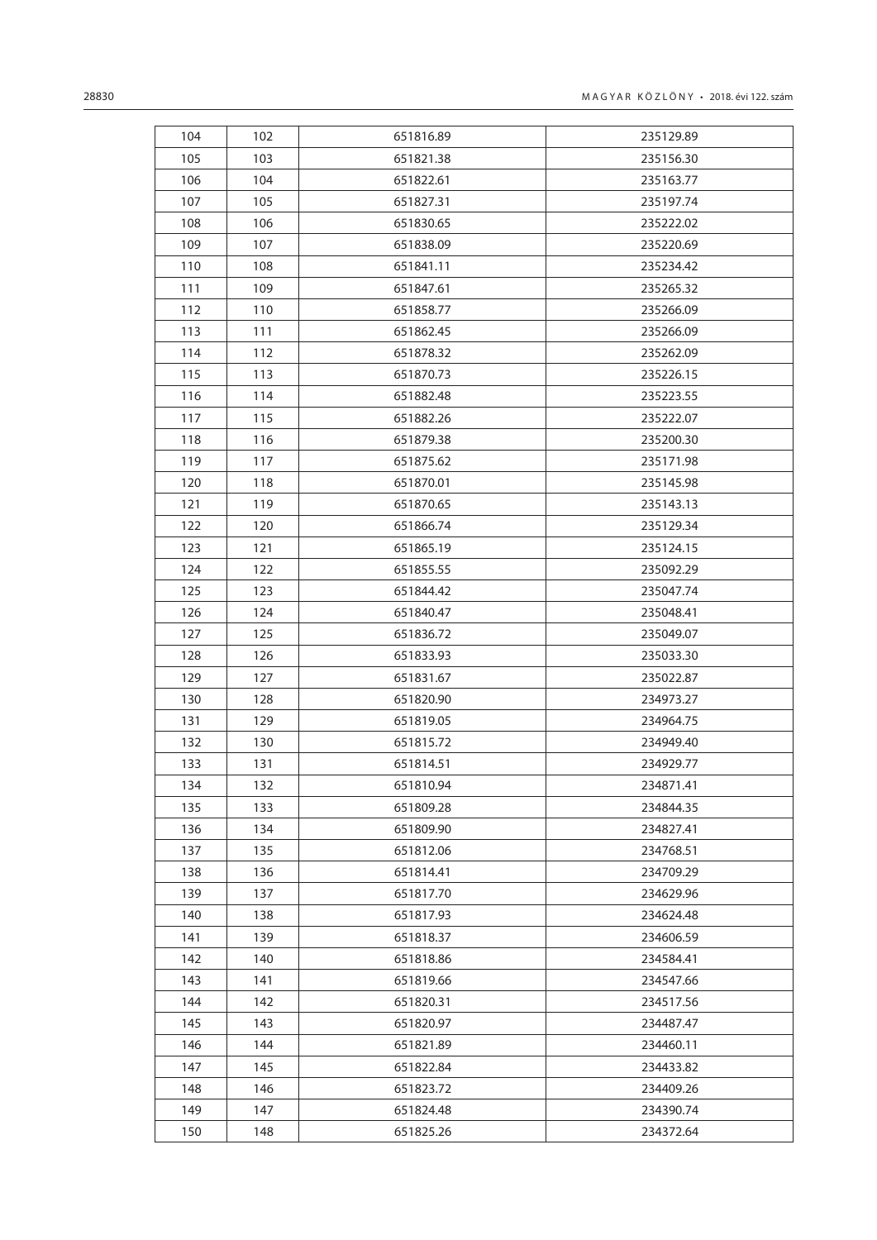| 104 | 102 | 651816.89 | 235129.89 |
|-----|-----|-----------|-----------|
| 105 | 103 | 651821.38 | 235156.30 |
| 106 | 104 | 651822.61 | 235163.77 |
| 107 | 105 | 651827.31 | 235197.74 |
| 108 | 106 | 651830.65 | 235222.02 |
| 109 | 107 | 651838.09 | 235220.69 |
| 110 | 108 | 651841.11 | 235234.42 |
| 111 | 109 | 651847.61 | 235265.32 |
| 112 | 110 | 651858.77 | 235266.09 |
| 113 | 111 | 651862.45 | 235266.09 |
| 114 | 112 | 651878.32 | 235262.09 |
| 115 | 113 | 651870.73 | 235226.15 |
| 116 | 114 | 651882.48 | 235223.55 |
| 117 | 115 | 651882.26 | 235222.07 |
| 118 | 116 | 651879.38 | 235200.30 |
| 119 | 117 | 651875.62 | 235171.98 |
| 120 | 118 | 651870.01 | 235145.98 |
| 121 | 119 | 651870.65 | 235143.13 |
| 122 | 120 | 651866.74 | 235129.34 |
| 123 | 121 | 651865.19 | 235124.15 |
| 124 | 122 | 651855.55 | 235092.29 |
| 125 | 123 | 651844.42 | 235047.74 |
| 126 | 124 | 651840.47 | 235048.41 |
| 127 | 125 | 651836.72 | 235049.07 |
| 128 | 126 | 651833.93 | 235033.30 |
| 129 | 127 | 651831.67 | 235022.87 |
| 130 | 128 | 651820.90 | 234973.27 |
| 131 | 129 | 651819.05 | 234964.75 |
| 132 | 130 | 651815.72 | 234949.40 |
| 133 | 131 | 651814.51 | 234929.77 |
| 134 | 132 | 651810.94 | 234871.41 |
| 135 | 133 | 651809.28 | 234844.35 |
| 136 | 134 | 651809.90 | 234827.41 |
| 137 | 135 | 651812.06 | 234768.51 |
| 138 | 136 | 651814.41 | 234709.29 |
| 139 | 137 | 651817.70 | 234629.96 |
| 140 | 138 | 651817.93 | 234624.48 |
| 141 | 139 | 651818.37 | 234606.59 |
| 142 | 140 | 651818.86 | 234584.41 |
| 143 | 141 | 651819.66 | 234547.66 |
| 144 | 142 | 651820.31 | 234517.56 |
| 145 | 143 | 651820.97 | 234487.47 |
| 146 | 144 | 651821.89 | 234460.11 |
| 147 | 145 | 651822.84 | 234433.82 |
| 148 | 146 | 651823.72 | 234409.26 |
| 149 | 147 | 651824.48 | 234390.74 |
| 150 | 148 | 651825.26 | 234372.64 |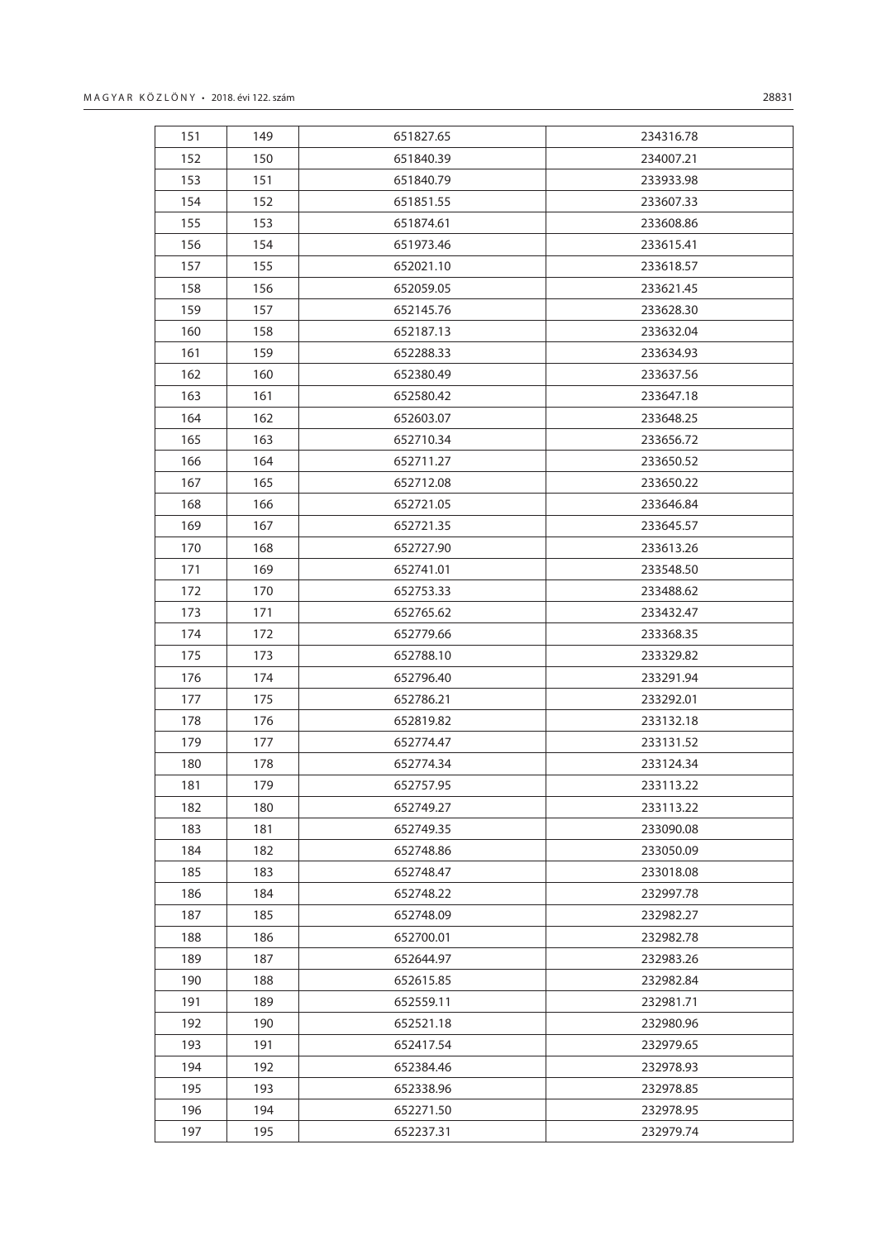| 151 | 149 | 651827.65 | 234316.78 |
|-----|-----|-----------|-----------|
| 152 | 150 | 651840.39 | 234007.21 |
| 153 | 151 | 651840.79 | 233933.98 |
| 154 | 152 | 651851.55 | 233607.33 |
| 155 | 153 | 651874.61 | 233608.86 |
| 156 | 154 | 651973.46 | 233615.41 |
| 157 | 155 | 652021.10 | 233618.57 |
| 158 | 156 | 652059.05 | 233621.45 |
| 159 | 157 | 652145.76 | 233628.30 |
| 160 | 158 | 652187.13 | 233632.04 |
| 161 | 159 | 652288.33 | 233634.93 |
| 162 | 160 | 652380.49 | 233637.56 |
| 163 | 161 | 652580.42 | 233647.18 |
| 164 | 162 | 652603.07 | 233648.25 |
| 165 | 163 | 652710.34 | 233656.72 |
| 166 | 164 | 652711.27 | 233650.52 |
| 167 | 165 | 652712.08 | 233650.22 |
| 168 | 166 | 652721.05 | 233646.84 |
| 169 | 167 | 652721.35 | 233645.57 |
| 170 | 168 | 652727.90 | 233613.26 |
| 171 | 169 | 652741.01 | 233548.50 |
| 172 | 170 | 652753.33 | 233488.62 |
| 173 | 171 | 652765.62 | 233432.47 |
| 174 | 172 | 652779.66 | 233368.35 |
| 175 | 173 | 652788.10 | 233329.82 |
| 176 | 174 | 652796.40 | 233291.94 |
| 177 | 175 | 652786.21 | 233292.01 |
| 178 | 176 | 652819.82 | 233132.18 |
| 179 | 177 | 652774.47 | 233131.52 |
| 180 | 178 | 652774.34 | 233124.34 |
| 181 | 179 | 652757.95 | 233113.22 |
| 182 | 180 | 652749.27 | 233113.22 |
| 183 | 181 | 652749.35 | 233090.08 |
| 184 | 182 | 652748.86 | 233050.09 |
| 185 | 183 | 652748.47 | 233018.08 |
| 186 | 184 | 652748.22 | 232997.78 |
| 187 | 185 | 652748.09 | 232982.27 |
| 188 | 186 | 652700.01 | 232982.78 |
| 189 | 187 | 652644.97 | 232983.26 |
| 190 | 188 | 652615.85 | 232982.84 |
| 191 | 189 | 652559.11 | 232981.71 |
| 192 | 190 | 652521.18 | 232980.96 |
| 193 | 191 | 652417.54 | 232979.65 |
| 194 | 192 | 652384.46 | 232978.93 |
| 195 | 193 | 652338.96 | 232978.85 |
| 196 | 194 | 652271.50 | 232978.95 |

195 652237.31 232979.74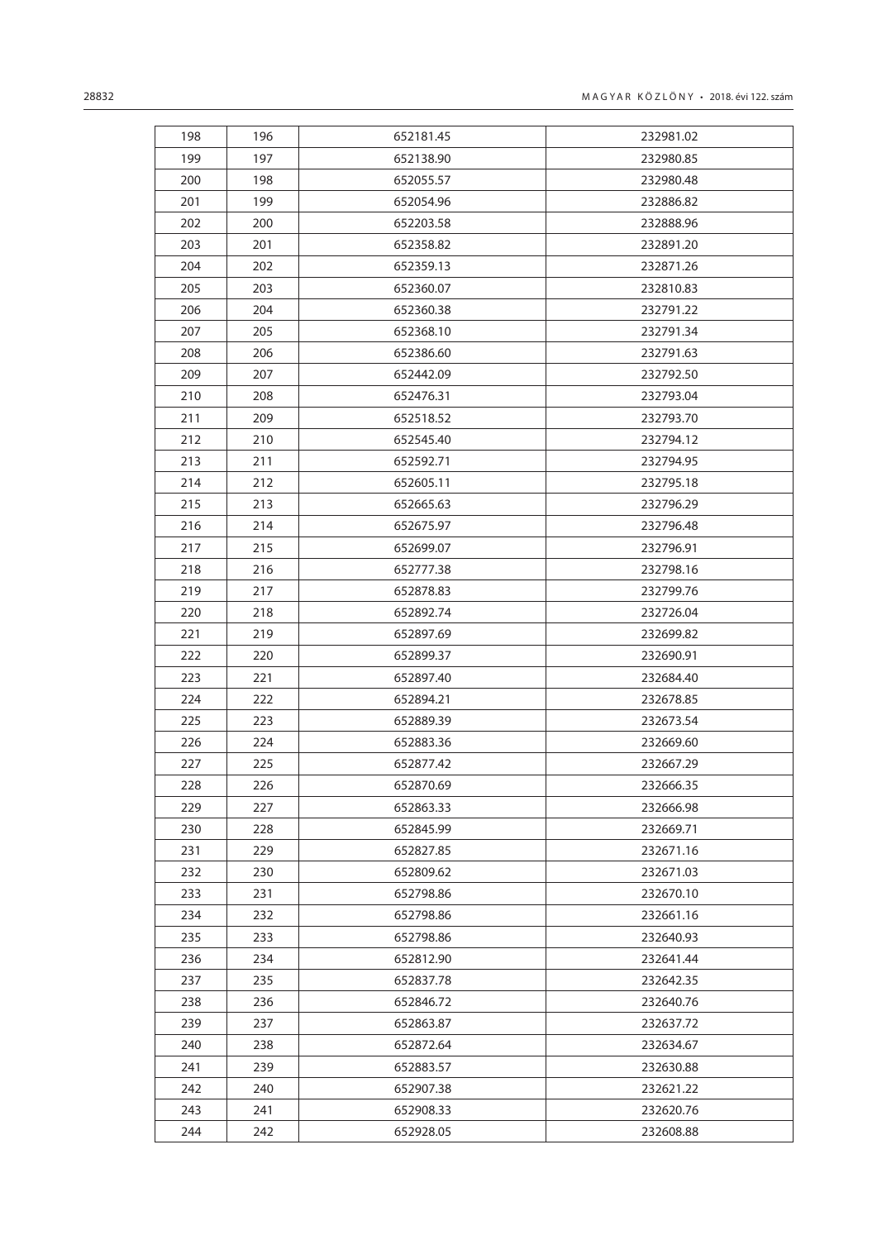| 198 | 196 | 652181.45 | 232981.02 |
|-----|-----|-----------|-----------|
| 199 | 197 | 652138.90 | 232980.85 |
| 200 | 198 | 652055.57 | 232980.48 |
| 201 | 199 | 652054.96 | 232886.82 |
| 202 | 200 | 652203.58 | 232888.96 |
| 203 | 201 | 652358.82 | 232891.20 |
| 204 | 202 | 652359.13 | 232871.26 |
| 205 | 203 | 652360.07 | 232810.83 |
| 206 | 204 | 652360.38 | 232791.22 |
| 207 | 205 | 652368.10 | 232791.34 |
| 208 | 206 | 652386.60 | 232791.63 |
| 209 | 207 | 652442.09 | 232792.50 |
| 210 | 208 | 652476.31 | 232793.04 |
| 211 | 209 | 652518.52 | 232793.70 |
| 212 | 210 | 652545.40 | 232794.12 |
| 213 | 211 | 652592.71 | 232794.95 |
| 214 | 212 | 652605.11 | 232795.18 |
| 215 | 213 | 652665.63 | 232796.29 |
| 216 | 214 | 652675.97 | 232796.48 |
| 217 | 215 | 652699.07 | 232796.91 |
| 218 | 216 | 652777.38 | 232798.16 |
| 219 | 217 | 652878.83 | 232799.76 |
| 220 | 218 | 652892.74 | 232726.04 |
| 221 | 219 | 652897.69 | 232699.82 |
| 222 | 220 | 652899.37 | 232690.91 |
| 223 | 221 | 652897.40 | 232684.40 |
| 224 | 222 | 652894.21 | 232678.85 |
| 225 | 223 | 652889.39 | 232673.54 |
| 226 | 224 | 652883.36 | 232669.60 |
| 227 | 225 | 652877.42 | 232667.29 |
| 228 | 226 | 652870.69 | 232666.35 |
| 229 | 227 | 652863.33 | 232666.98 |
| 230 | 228 | 652845.99 | 232669.71 |
| 231 | 229 | 652827.85 | 232671.16 |
| 232 | 230 | 652809.62 | 232671.03 |
| 233 | 231 | 652798.86 | 232670.10 |
| 234 | 232 | 652798.86 | 232661.16 |
| 235 | 233 | 652798.86 | 232640.93 |
| 236 | 234 | 652812.90 | 232641.44 |
| 237 | 235 | 652837.78 | 232642.35 |
| 238 | 236 | 652846.72 | 232640.76 |
| 239 | 237 | 652863.87 | 232637.72 |
| 240 | 238 | 652872.64 | 232634.67 |
| 241 | 239 | 652883.57 | 232630.88 |
| 242 | 240 | 652907.38 | 232621.22 |
| 243 | 241 | 652908.33 | 232620.76 |
| 244 | 242 | 652928.05 | 232608.88 |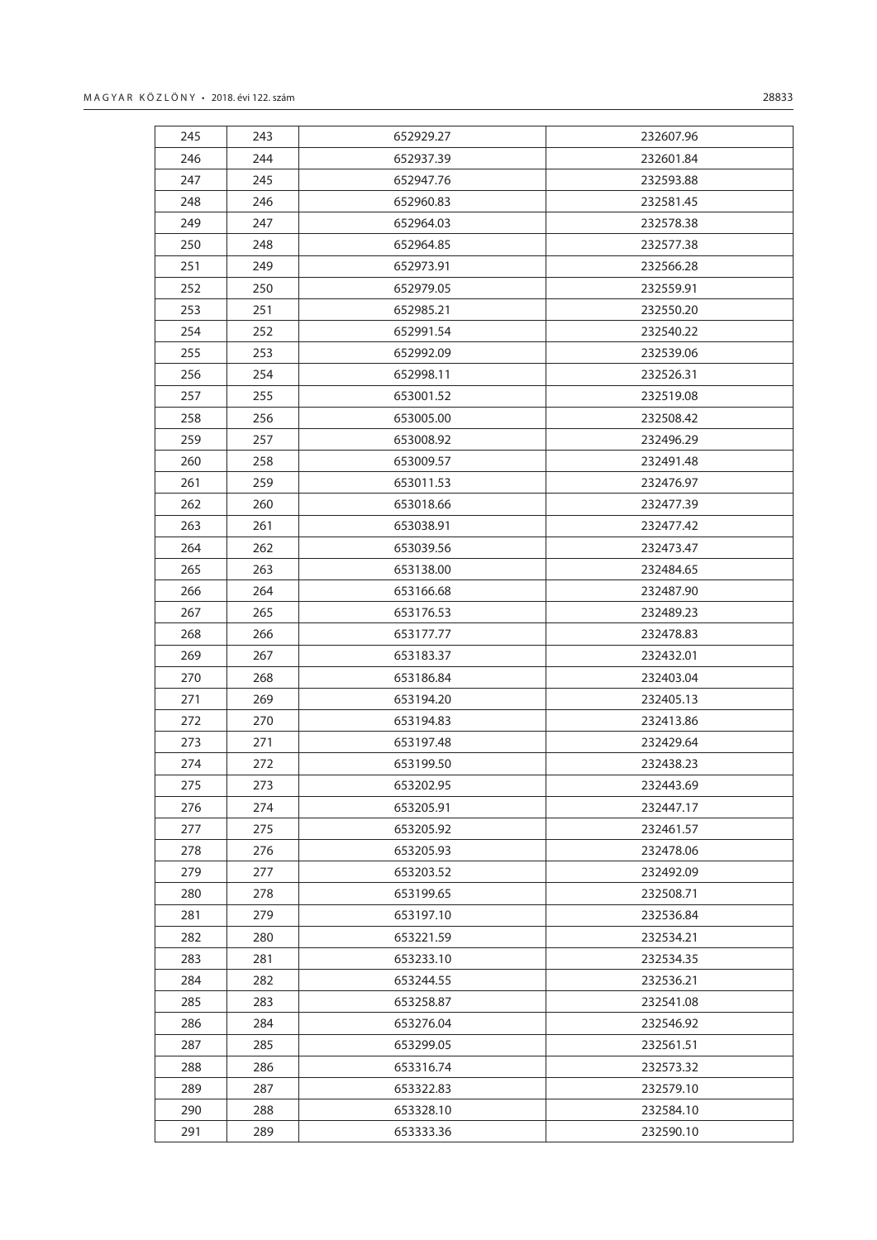245 243 652929.27 246 244 652937.39 247 245 652947.76 248 246 652960.83

| 28833     |
|-----------|
|           |
| 232607.96 |
| 232601.84 |
| 232593.88 |
| 232581.45 |
| 232578.38 |
| 232577.38 |
| 232566.28 |
| 232559.91 |
| 232550.20 |
| 232540.22 |
| 232539.06 |
| 232526.31 |
| 232519.08 |
| 232508.42 |
| 232496.29 |
| 232491.48 |
|           |

| 249 | 247 | 652964.03 | 232578.38 |
|-----|-----|-----------|-----------|
| 250 | 248 | 652964.85 | 232577.38 |
| 251 | 249 | 652973.91 | 232566.28 |
| 252 | 250 | 652979.05 | 232559.91 |
| 253 | 251 | 652985.21 | 232550.20 |
| 254 | 252 | 652991.54 | 232540.22 |
| 255 | 253 | 652992.09 | 232539.06 |
| 256 | 254 | 652998.11 | 232526.31 |
| 257 | 255 | 653001.52 | 232519.08 |
| 258 | 256 | 653005.00 | 232508.42 |
| 259 | 257 | 653008.92 | 232496.29 |
| 260 | 258 | 653009.57 | 232491.48 |
| 261 | 259 | 653011.53 | 232476.97 |
| 262 | 260 | 653018.66 | 232477.39 |
| 263 | 261 | 653038.91 | 232477.42 |
| 264 | 262 | 653039.56 | 232473.47 |
| 265 | 263 | 653138.00 | 232484.65 |
| 266 | 264 | 653166.68 | 232487.90 |
| 267 | 265 | 653176.53 | 232489.23 |
| 268 | 266 | 653177.77 | 232478.83 |
| 269 | 267 | 653183.37 | 232432.01 |
| 270 | 268 | 653186.84 | 232403.04 |
| 271 | 269 | 653194.20 | 232405.13 |
| 272 | 270 | 653194.83 | 232413.86 |
| 273 | 271 | 653197.48 | 232429.64 |
| 274 | 272 | 653199.50 | 232438.23 |
| 275 | 273 | 653202.95 | 232443.69 |
| 276 | 274 | 653205.91 | 232447.17 |
| 277 | 275 | 653205.92 | 232461.57 |
| 278 | 276 | 653205.93 | 232478.06 |
| 279 | 277 | 653203.52 | 232492.09 |
| 280 | 278 | 653199.65 | 232508.71 |
| 281 | 279 | 653197.10 | 232536.84 |
| 282 | 280 | 653221.59 | 232534.21 |
| 283 | 281 | 653233.10 | 232534.35 |
| 284 | 282 | 653244.55 | 232536.21 |
| 285 | 283 | 653258.87 | 232541.08 |
| 286 | 284 | 653276.04 | 232546.92 |
| 287 | 285 | 653299.05 | 232561.51 |
| 288 | 286 | 653316.74 | 232573.32 |
| 289 | 287 | 653322.83 | 232579.10 |
| 290 | 288 | 653328.10 | 232584.10 |
| 291 | 289 | 653333.36 | 232590.10 |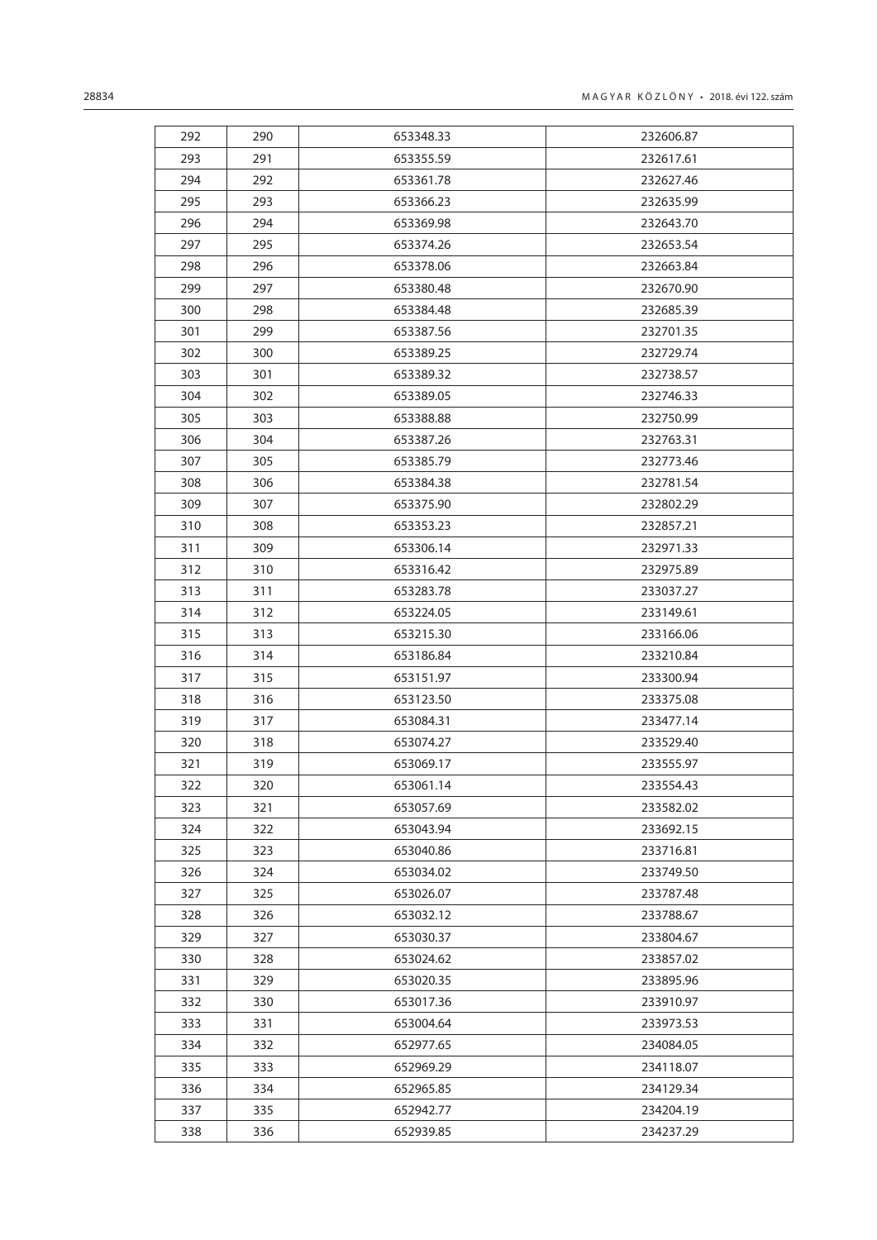| 292 | 290 | 653348.33 | 232606.87 |
|-----|-----|-----------|-----------|
| 293 | 291 | 653355.59 | 232617.61 |
| 294 | 292 | 653361.78 | 232627.46 |
| 295 | 293 | 653366.23 | 232635.99 |
| 296 | 294 | 653369.98 | 232643.70 |
| 297 | 295 | 653374.26 | 232653.54 |
| 298 | 296 | 653378.06 | 232663.84 |
| 299 | 297 | 653380.48 | 232670.90 |
| 300 | 298 | 653384.48 | 232685.39 |
| 301 | 299 | 653387.56 | 232701.35 |
| 302 | 300 | 653389.25 | 232729.74 |
| 303 | 301 | 653389.32 | 232738.57 |
| 304 | 302 | 653389.05 | 232746.33 |
| 305 | 303 | 653388.88 | 232750.99 |
| 306 | 304 | 653387.26 | 232763.31 |
| 307 | 305 | 653385.79 | 232773.46 |
| 308 | 306 | 653384.38 | 232781.54 |
| 309 | 307 | 653375.90 | 232802.29 |
| 310 | 308 | 653353.23 | 232857.21 |
| 311 | 309 | 653306.14 | 232971.33 |
| 312 | 310 | 653316.42 | 232975.89 |
| 313 | 311 | 653283.78 | 233037.27 |
| 314 | 312 | 653224.05 | 233149.61 |
| 315 | 313 | 653215.30 | 233166.06 |
| 316 | 314 | 653186.84 | 233210.84 |
| 317 | 315 | 653151.97 | 233300.94 |
| 318 | 316 | 653123.50 | 233375.08 |
| 319 | 317 | 653084.31 | 233477.14 |
| 320 | 318 | 653074.27 | 233529.40 |
| 321 | 319 | 653069.17 | 233555.97 |
| 322 | 320 | 653061.14 | 233554.43 |
| 323 | 321 | 653057.69 | 233582.02 |
| 324 | 322 | 653043.94 | 233692.15 |
| 325 | 323 | 653040.86 | 233716.81 |
| 326 | 324 | 653034.02 | 233749.50 |
| 327 | 325 | 653026.07 | 233787.48 |
| 328 | 326 | 653032.12 | 233788.67 |
| 329 | 327 | 653030.37 | 233804.67 |
| 330 | 328 | 653024.62 | 233857.02 |
| 331 | 329 | 653020.35 | 233895.96 |
| 332 | 330 | 653017.36 | 233910.97 |
| 333 | 331 | 653004.64 | 233973.53 |
| 334 | 332 | 652977.65 | 234084.05 |
| 335 | 333 | 652969.29 | 234118.07 |
| 336 | 334 | 652965.85 | 234129.34 |
| 337 | 335 | 652942.77 | 234204.19 |
| 338 | 336 | 652939.85 | 234237.29 |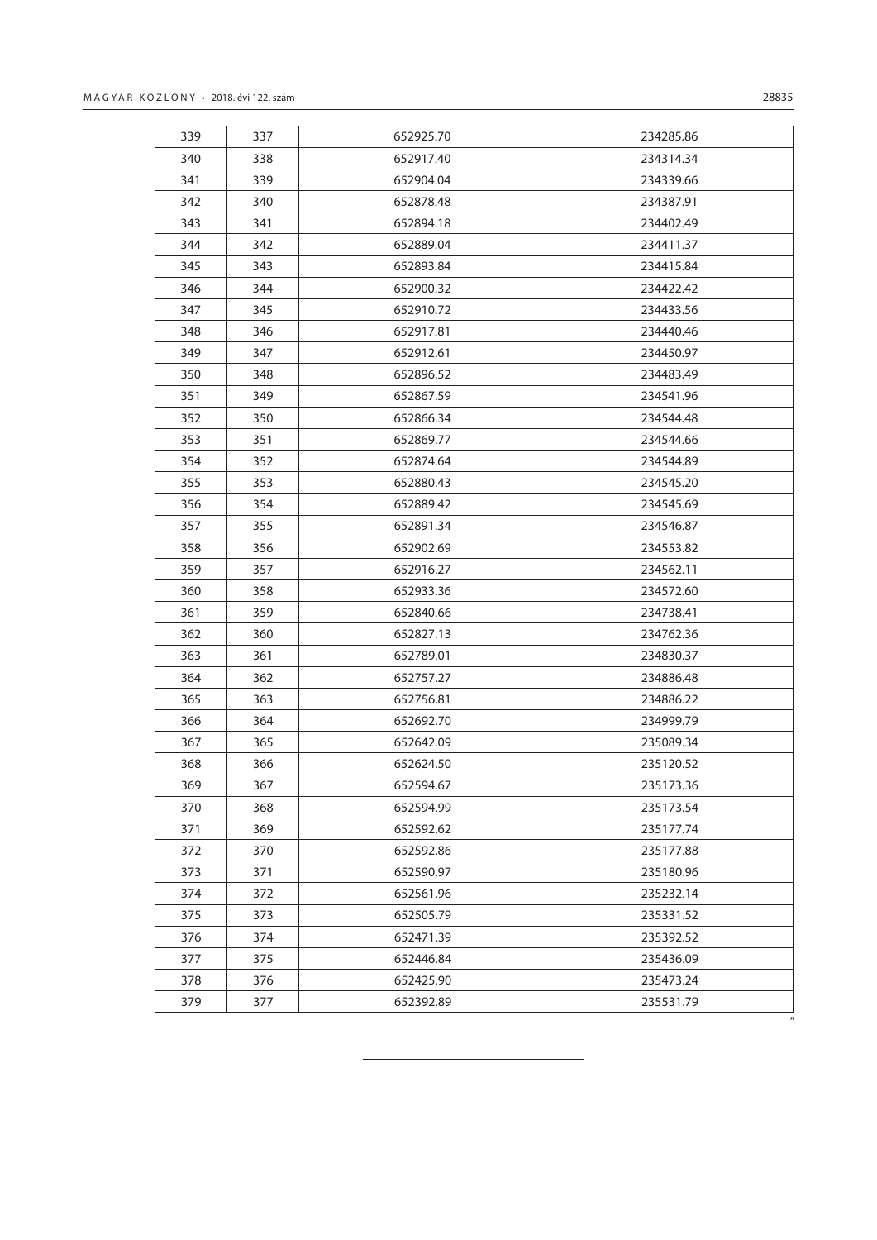| 341<br>339<br>652904.04<br>234339.66<br>342<br>340<br>652878.48<br>234387.91<br>343<br>341<br>652894.18<br>234402.49<br>344<br>342<br>652889.04<br>234411.37<br>345<br>343<br>652893.84<br>234415.84<br>346<br>344<br>652900.32<br>234422.42<br>347<br>345<br>652910.72<br>234433.56<br>348<br>346<br>652917.81<br>234440.46<br>349<br>347<br>652912.61<br>234450.97<br>350<br>348<br>652896.52<br>234483.49<br>351<br>652867.59<br>349<br>234541.96<br>352<br>350<br>652866.34<br>234544.48<br>353<br>351<br>652869.77<br>234544.66<br>354<br>352<br>652874.64<br>234544.89<br>355<br>353<br>652880.43<br>234545.20<br>356<br>354<br>652889.42<br>234545.69<br>357<br>355<br>652891.34<br>234546.87<br>356<br>358<br>652902.69<br>234553.82<br>359<br>357<br>652916.27<br>234562.11<br>360<br>358<br>652933.36<br>234572.60<br>361<br>359<br>652840.66<br>234738.41<br>362<br>360<br>652827.13<br>234762.36<br>363<br>361<br>652789.01<br>234830.37<br>364<br>362<br>652757.27<br>234886.48<br>365<br>363<br>234886.22<br>652756.81<br>364<br>366<br>652692.70<br>234999.79<br>367<br>365<br>652642.09<br>235089.34<br>368<br>366<br>235120.52<br>652624.50<br>369<br>367<br>652594.67<br>235173.36<br>370<br>368<br>652594.99<br>235173.54<br>371<br>369<br>652592.62<br>235177.74<br>372<br>370<br>652592.86<br>235177.88<br>373<br>371<br>652590.97<br>235180.96<br>374<br>372<br>652561.96<br>235232.14<br>375<br>373<br>652505.79<br>235331.52<br>376<br>374<br>652471.39<br>235392.52<br>377<br>375<br>652446.84<br>235436.09<br>376<br>378<br>652425.90<br>235473.24<br>379<br>377<br>652392.89<br>235531.79 | 340 | 338 | 652917.40 | 234314.34 |
|----------------------------------------------------------------------------------------------------------------------------------------------------------------------------------------------------------------------------------------------------------------------------------------------------------------------------------------------------------------------------------------------------------------------------------------------------------------------------------------------------------------------------------------------------------------------------------------------------------------------------------------------------------------------------------------------------------------------------------------------------------------------------------------------------------------------------------------------------------------------------------------------------------------------------------------------------------------------------------------------------------------------------------------------------------------------------------------------------------------------------------------------------------------------------------------------------------------------------------------------------------------------------------------------------------------------------------------------------------------------------------------------------------------------------------------------------------------------------------------------------------------------------------------------------------------------------------------------------------------------|-----|-----|-----------|-----------|
|                                                                                                                                                                                                                                                                                                                                                                                                                                                                                                                                                                                                                                                                                                                                                                                                                                                                                                                                                                                                                                                                                                                                                                                                                                                                                                                                                                                                                                                                                                                                                                                                                      |     |     |           |           |
|                                                                                                                                                                                                                                                                                                                                                                                                                                                                                                                                                                                                                                                                                                                                                                                                                                                                                                                                                                                                                                                                                                                                                                                                                                                                                                                                                                                                                                                                                                                                                                                                                      |     |     |           |           |
|                                                                                                                                                                                                                                                                                                                                                                                                                                                                                                                                                                                                                                                                                                                                                                                                                                                                                                                                                                                                                                                                                                                                                                                                                                                                                                                                                                                                                                                                                                                                                                                                                      |     |     |           |           |
|                                                                                                                                                                                                                                                                                                                                                                                                                                                                                                                                                                                                                                                                                                                                                                                                                                                                                                                                                                                                                                                                                                                                                                                                                                                                                                                                                                                                                                                                                                                                                                                                                      |     |     |           |           |
|                                                                                                                                                                                                                                                                                                                                                                                                                                                                                                                                                                                                                                                                                                                                                                                                                                                                                                                                                                                                                                                                                                                                                                                                                                                                                                                                                                                                                                                                                                                                                                                                                      |     |     |           |           |
|                                                                                                                                                                                                                                                                                                                                                                                                                                                                                                                                                                                                                                                                                                                                                                                                                                                                                                                                                                                                                                                                                                                                                                                                                                                                                                                                                                                                                                                                                                                                                                                                                      |     |     |           |           |
|                                                                                                                                                                                                                                                                                                                                                                                                                                                                                                                                                                                                                                                                                                                                                                                                                                                                                                                                                                                                                                                                                                                                                                                                                                                                                                                                                                                                                                                                                                                                                                                                                      |     |     |           |           |
|                                                                                                                                                                                                                                                                                                                                                                                                                                                                                                                                                                                                                                                                                                                                                                                                                                                                                                                                                                                                                                                                                                                                                                                                                                                                                                                                                                                                                                                                                                                                                                                                                      |     |     |           |           |
|                                                                                                                                                                                                                                                                                                                                                                                                                                                                                                                                                                                                                                                                                                                                                                                                                                                                                                                                                                                                                                                                                                                                                                                                                                                                                                                                                                                                                                                                                                                                                                                                                      |     |     |           |           |
|                                                                                                                                                                                                                                                                                                                                                                                                                                                                                                                                                                                                                                                                                                                                                                                                                                                                                                                                                                                                                                                                                                                                                                                                                                                                                                                                                                                                                                                                                                                                                                                                                      |     |     |           |           |
|                                                                                                                                                                                                                                                                                                                                                                                                                                                                                                                                                                                                                                                                                                                                                                                                                                                                                                                                                                                                                                                                                                                                                                                                                                                                                                                                                                                                                                                                                                                                                                                                                      |     |     |           |           |
|                                                                                                                                                                                                                                                                                                                                                                                                                                                                                                                                                                                                                                                                                                                                                                                                                                                                                                                                                                                                                                                                                                                                                                                                                                                                                                                                                                                                                                                                                                                                                                                                                      |     |     |           |           |
|                                                                                                                                                                                                                                                                                                                                                                                                                                                                                                                                                                                                                                                                                                                                                                                                                                                                                                                                                                                                                                                                                                                                                                                                                                                                                                                                                                                                                                                                                                                                                                                                                      |     |     |           |           |
|                                                                                                                                                                                                                                                                                                                                                                                                                                                                                                                                                                                                                                                                                                                                                                                                                                                                                                                                                                                                                                                                                                                                                                                                                                                                                                                                                                                                                                                                                                                                                                                                                      |     |     |           |           |
|                                                                                                                                                                                                                                                                                                                                                                                                                                                                                                                                                                                                                                                                                                                                                                                                                                                                                                                                                                                                                                                                                                                                                                                                                                                                                                                                                                                                                                                                                                                                                                                                                      |     |     |           |           |
|                                                                                                                                                                                                                                                                                                                                                                                                                                                                                                                                                                                                                                                                                                                                                                                                                                                                                                                                                                                                                                                                                                                                                                                                                                                                                                                                                                                                                                                                                                                                                                                                                      |     |     |           |           |
|                                                                                                                                                                                                                                                                                                                                                                                                                                                                                                                                                                                                                                                                                                                                                                                                                                                                                                                                                                                                                                                                                                                                                                                                                                                                                                                                                                                                                                                                                                                                                                                                                      |     |     |           |           |
|                                                                                                                                                                                                                                                                                                                                                                                                                                                                                                                                                                                                                                                                                                                                                                                                                                                                                                                                                                                                                                                                                                                                                                                                                                                                                                                                                                                                                                                                                                                                                                                                                      |     |     |           |           |
|                                                                                                                                                                                                                                                                                                                                                                                                                                                                                                                                                                                                                                                                                                                                                                                                                                                                                                                                                                                                                                                                                                                                                                                                                                                                                                                                                                                                                                                                                                                                                                                                                      |     |     |           |           |
|                                                                                                                                                                                                                                                                                                                                                                                                                                                                                                                                                                                                                                                                                                                                                                                                                                                                                                                                                                                                                                                                                                                                                                                                                                                                                                                                                                                                                                                                                                                                                                                                                      |     |     |           |           |
|                                                                                                                                                                                                                                                                                                                                                                                                                                                                                                                                                                                                                                                                                                                                                                                                                                                                                                                                                                                                                                                                                                                                                                                                                                                                                                                                                                                                                                                                                                                                                                                                                      |     |     |           |           |
|                                                                                                                                                                                                                                                                                                                                                                                                                                                                                                                                                                                                                                                                                                                                                                                                                                                                                                                                                                                                                                                                                                                                                                                                                                                                                                                                                                                                                                                                                                                                                                                                                      |     |     |           |           |
|                                                                                                                                                                                                                                                                                                                                                                                                                                                                                                                                                                                                                                                                                                                                                                                                                                                                                                                                                                                                                                                                                                                                                                                                                                                                                                                                                                                                                                                                                                                                                                                                                      |     |     |           |           |
|                                                                                                                                                                                                                                                                                                                                                                                                                                                                                                                                                                                                                                                                                                                                                                                                                                                                                                                                                                                                                                                                                                                                                                                                                                                                                                                                                                                                                                                                                                                                                                                                                      |     |     |           |           |
|                                                                                                                                                                                                                                                                                                                                                                                                                                                                                                                                                                                                                                                                                                                                                                                                                                                                                                                                                                                                                                                                                                                                                                                                                                                                                                                                                                                                                                                                                                                                                                                                                      |     |     |           |           |
|                                                                                                                                                                                                                                                                                                                                                                                                                                                                                                                                                                                                                                                                                                                                                                                                                                                                                                                                                                                                                                                                                                                                                                                                                                                                                                                                                                                                                                                                                                                                                                                                                      |     |     |           |           |
|                                                                                                                                                                                                                                                                                                                                                                                                                                                                                                                                                                                                                                                                                                                                                                                                                                                                                                                                                                                                                                                                                                                                                                                                                                                                                                                                                                                                                                                                                                                                                                                                                      |     |     |           |           |
|                                                                                                                                                                                                                                                                                                                                                                                                                                                                                                                                                                                                                                                                                                                                                                                                                                                                                                                                                                                                                                                                                                                                                                                                                                                                                                                                                                                                                                                                                                                                                                                                                      |     |     |           |           |
|                                                                                                                                                                                                                                                                                                                                                                                                                                                                                                                                                                                                                                                                                                                                                                                                                                                                                                                                                                                                                                                                                                                                                                                                                                                                                                                                                                                                                                                                                                                                                                                                                      |     |     |           |           |
|                                                                                                                                                                                                                                                                                                                                                                                                                                                                                                                                                                                                                                                                                                                                                                                                                                                                                                                                                                                                                                                                                                                                                                                                                                                                                                                                                                                                                                                                                                                                                                                                                      |     |     |           |           |
|                                                                                                                                                                                                                                                                                                                                                                                                                                                                                                                                                                                                                                                                                                                                                                                                                                                                                                                                                                                                                                                                                                                                                                                                                                                                                                                                                                                                                                                                                                                                                                                                                      |     |     |           |           |
|                                                                                                                                                                                                                                                                                                                                                                                                                                                                                                                                                                                                                                                                                                                                                                                                                                                                                                                                                                                                                                                                                                                                                                                                                                                                                                                                                                                                                                                                                                                                                                                                                      |     |     |           |           |
|                                                                                                                                                                                                                                                                                                                                                                                                                                                                                                                                                                                                                                                                                                                                                                                                                                                                                                                                                                                                                                                                                                                                                                                                                                                                                                                                                                                                                                                                                                                                                                                                                      |     |     |           |           |
|                                                                                                                                                                                                                                                                                                                                                                                                                                                                                                                                                                                                                                                                                                                                                                                                                                                                                                                                                                                                                                                                                                                                                                                                                                                                                                                                                                                                                                                                                                                                                                                                                      |     |     |           |           |
|                                                                                                                                                                                                                                                                                                                                                                                                                                                                                                                                                                                                                                                                                                                                                                                                                                                                                                                                                                                                                                                                                                                                                                                                                                                                                                                                                                                                                                                                                                                                                                                                                      |     |     |           |           |
|                                                                                                                                                                                                                                                                                                                                                                                                                                                                                                                                                                                                                                                                                                                                                                                                                                                                                                                                                                                                                                                                                                                                                                                                                                                                                                                                                                                                                                                                                                                                                                                                                      |     |     |           |           |
|                                                                                                                                                                                                                                                                                                                                                                                                                                                                                                                                                                                                                                                                                                                                                                                                                                                                                                                                                                                                                                                                                                                                                                                                                                                                                                                                                                                                                                                                                                                                                                                                                      |     |     |           |           |
|                                                                                                                                                                                                                                                                                                                                                                                                                                                                                                                                                                                                                                                                                                                                                                                                                                                                                                                                                                                                                                                                                                                                                                                                                                                                                                                                                                                                                                                                                                                                                                                                                      |     |     |           |           |
|                                                                                                                                                                                                                                                                                                                                                                                                                                                                                                                                                                                                                                                                                                                                                                                                                                                                                                                                                                                                                                                                                                                                                                                                                                                                                                                                                                                                                                                                                                                                                                                                                      |     |     |           |           |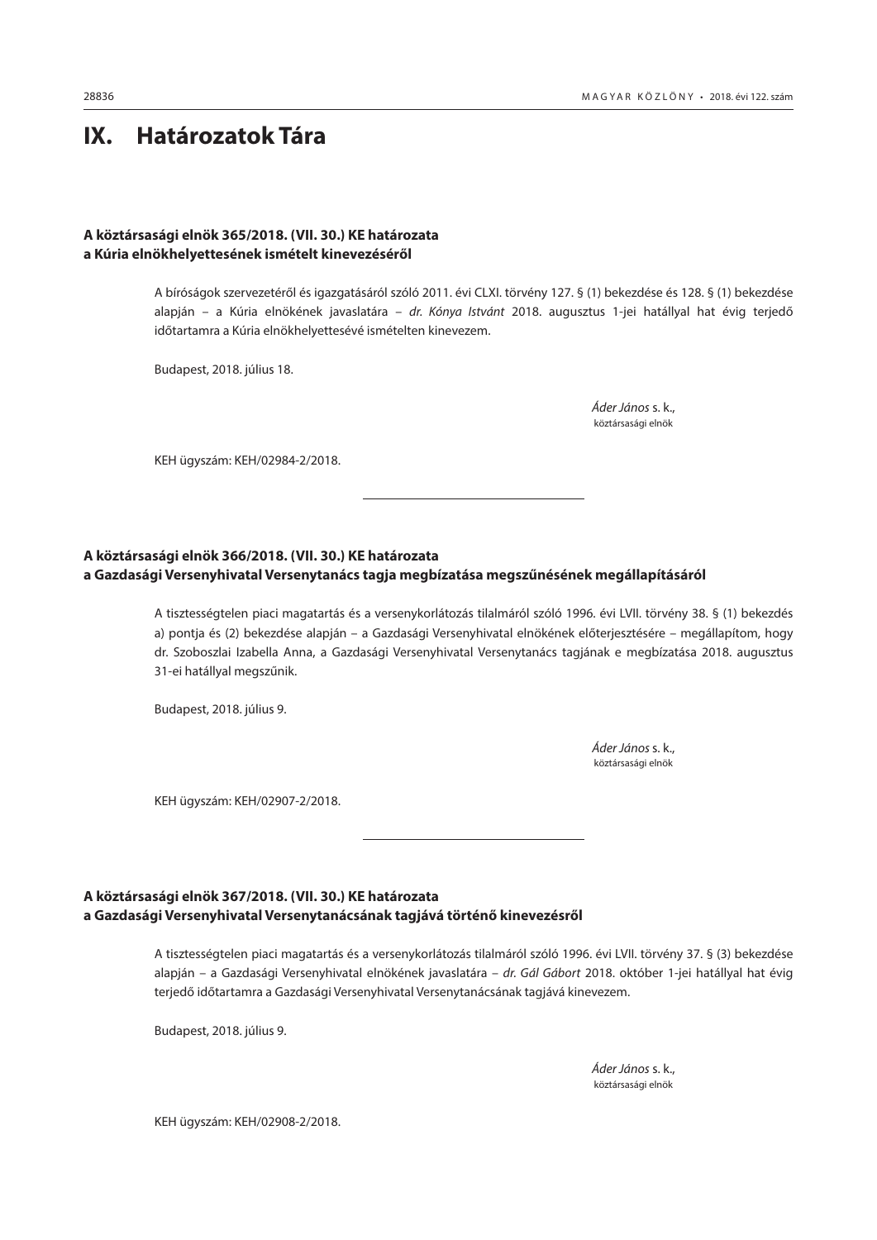# <span id="page-43-0"></span>**IX. Határozatok Tára**

## **A köztársasági elnök 365/2018. (VII. 30.) KE határozata a Kúria elnökhelyettesének ismételt kinevezéséről**

A bíróságok szervezetéről és igazgatásáról szóló 2011. évi CLXI. törvény 127. § (1) bekezdése és 128. § (1) bekezdése alapján – a Kúria elnökének javaslatára – *dr. Kónya Istvánt* 2018. augusztus 1-jei hatállyal hat évig terjedő időtartamra a Kúria elnökhelyettesévé ismételten kinevezem.

Budapest, 2018. július 18.

 *Áder János* s. k., köztársasági elnök

KEH ügyszám: KEH/02984-2/2018.

## **A köztársasági elnök 366/2018. (VII. 30.) KE határozata a Gazdasági Versenyhivatal Versenytanács tagja megbízatása megszűnésének megállapításáról**

A tisztességtelen piaci magatartás és a versenykorlátozás tilalmáról szóló 1996. évi LVII. törvény 38. § (1) bekezdés a) pontja és (2) bekezdése alapján – a Gazdasági Versenyhivatal elnökének előterjesztésére – megállapítom, hogy dr. Szoboszlai Izabella Anna, a Gazdasági Versenyhivatal Versenytanács tagjának e megbízatása 2018. augusztus 31-ei hatállyal megszűnik.

Budapest, 2018. július 9.

 *Áder János* s. k., köztársasági elnök

KEH ügyszám: KEH/02907-2/2018.

## **A köztársasági elnök 367/2018. (VII. 30.) KE határozata a Gazdasági Versenyhivatal Versenytanácsának tagjává történő kinevezésről**

A tisztességtelen piaci magatartás és a versenykorlátozás tilalmáról szóló 1996. évi LVII. törvény 37. § (3) bekezdése alapján – a Gazdasági Versenyhivatal elnökének javaslatára – *dr. Gál Gábort* 2018. október 1-jei hatállyal hat évig terjedő időtartamra a Gazdasági Versenyhivatal Versenytanácsának tagjává kinevezem.

Budapest, 2018. július 9.

 *Áder János* s. k., köztársasági elnök

KEH ügyszám: KEH/02908-2/2018.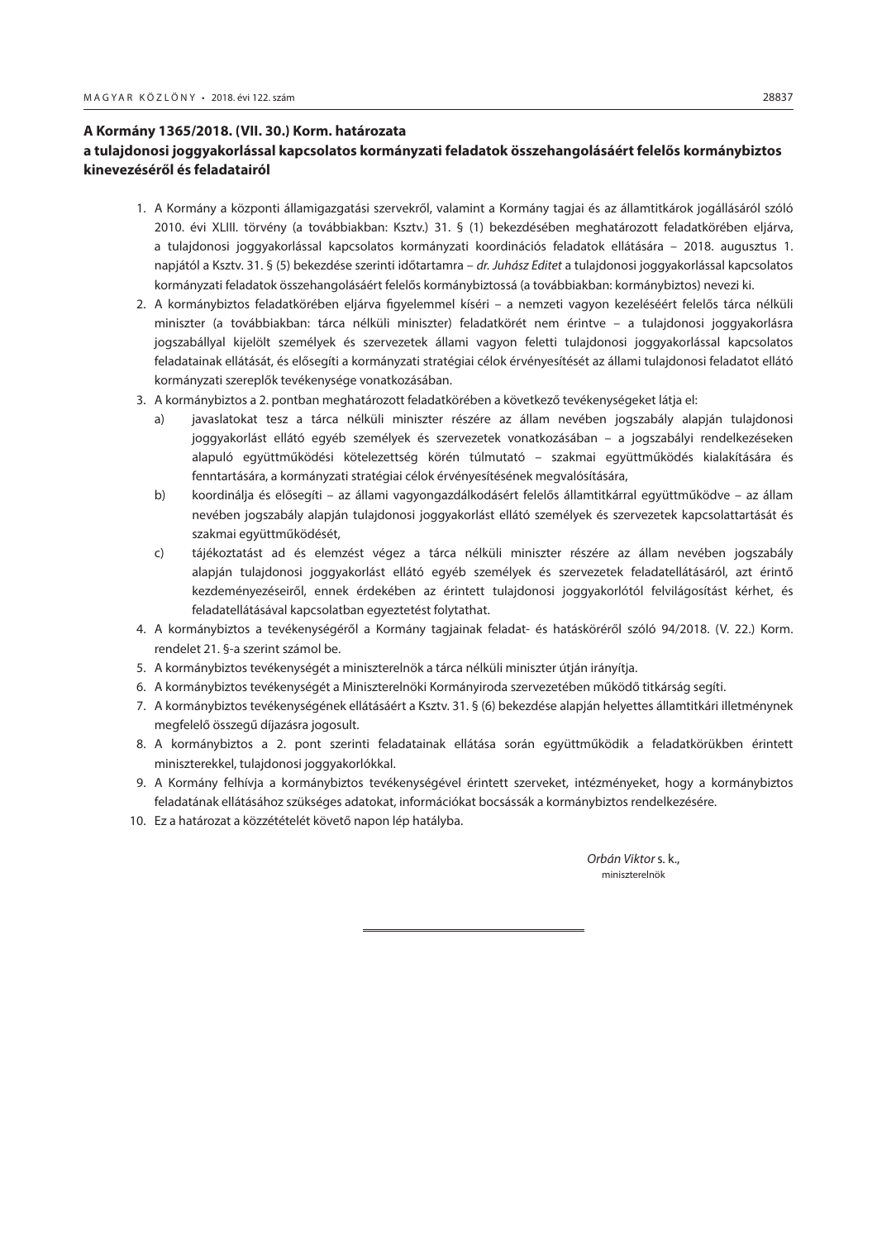## <span id="page-44-0"></span>**A Kormány 1365/2018. (VII. 30.) Korm. határozata**

## **a tulajdonosi joggyakorlással kapcsolatos kormányzati feladatok összehangolásáért felelős kormánybiztos kinevezéséről és feladatairól**

- 1. A Kormány a központi államigazgatási szervekről, valamint a Kormány tagjai és az államtitkárok jogállásáról szóló 2010. évi XLIII. törvény (a továbbiakban: Ksztv.) 31. § (1) bekezdésében meghatározott feladatkörében eljárva, a tulajdonosi joggyakorlással kapcsolatos kormányzati koordinációs feladatok ellátására – 2018. augusztus 1. napjától a Ksztv. 31. § (5) bekezdése szerinti időtartamra – *dr. Juhász Editet* a tulajdonosi joggyakorlással kapcsolatos kormányzati feladatok összehangolásáért felelős kormánybiztossá (a továbbiakban: kormánybiztos) nevezi ki.
- 2. A kormánybiztos feladatkörében eljárva figyelemmel kíséri a nemzeti vagyon kezeléséért felelős tárca nélküli miniszter (a továbbiakban: tárca nélküli miniszter) feladatkörét nem érintve – a tulajdonosi joggyakorlásra jogszabállyal kijelölt személyek és szervezetek állami vagyon feletti tulajdonosi joggyakorlással kapcsolatos feladatainak ellátását, és elősegíti a kormányzati stratégiai célok érvényesítését az állami tulajdonosi feladatot ellátó kormányzati szereplők tevékenysége vonatkozásában.
- 3. A kormánybiztos a 2. pontban meghatározott feladatkörében a következő tevékenységeket látja el:
	- a) javaslatokat tesz a tárca nélküli miniszter részére az állam nevében jogszabály alapján tulajdonosi joggyakorlást ellátó egyéb személyek és szervezetek vonatkozásában – a jogszabályi rendelkezéseken alapuló együttműködési kötelezettség körén túlmutató – szakmai együttműködés kialakítására és fenntartására, a kormányzati stratégiai célok érvényesítésének megvalósítására,
	- b) koordinálja és elősegíti az állami vagyongazdálkodásért felelős államtitkárral együttműködve az állam nevében jogszabály alapján tulajdonosi joggyakorlást ellátó személyek és szervezetek kapcsolattartását és szakmai együttműködését,
	- c) tájékoztatást ad és elemzést végez a tárca nélküli miniszter részére az állam nevében jogszabály alapján tulajdonosi joggyakorlást ellátó egyéb személyek és szervezetek feladatellátásáról, azt érintő kezdeményezéseiről, ennek érdekében az érintett tulajdonosi joggyakorlótól felvilágosítást kérhet, és feladatellátásával kapcsolatban egyeztetést folytathat.
- 4. A kormánybiztos a tevékenységéről a Kormány tagjainak feladat- és hatásköréről szóló 94/2018. (V. 22.) Korm. rendelet 21. §-a szerint számol be.
- 5. A kormánybiztos tevékenységét a miniszterelnök a tárca nélküli miniszter útján irányítja.
- 6. A kormánybiztos tevékenységét a Miniszterelnöki Kormányiroda szervezetében működő titkárság segíti.
- 7. A kormánybiztos tevékenységének ellátásáért a Ksztv. 31. § (6) bekezdése alapján helyettes államtitkári illetménynek megfelelő összegű díjazásra jogosult.
- 8. A kormánybiztos a 2. pont szerinti feladatainak ellátása során együttműködik a feladatkörükben érintett miniszterekkel, tulajdonosi joggyakorlókkal.
- 9. A Kormány felhívja a kormánybiztos tevékenységével érintett szerveket, intézményeket, hogy a kormánybiztos feladatának ellátásához szükséges adatokat, információkat bocsássák a kormánybiztos rendelkezésére.
- 10. Ez a határozat a közzétételét követő napon lép hatályba.

 *Orbán Viktor* s. k., miniszterelnök